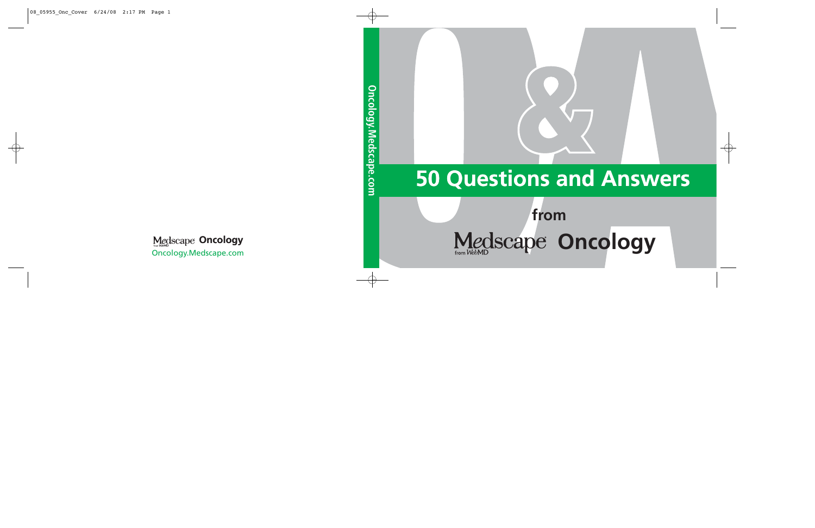### **50 Questions and Answers**

# **Examediations**<br>**from**<br>e Oncology **Medscape Oncology**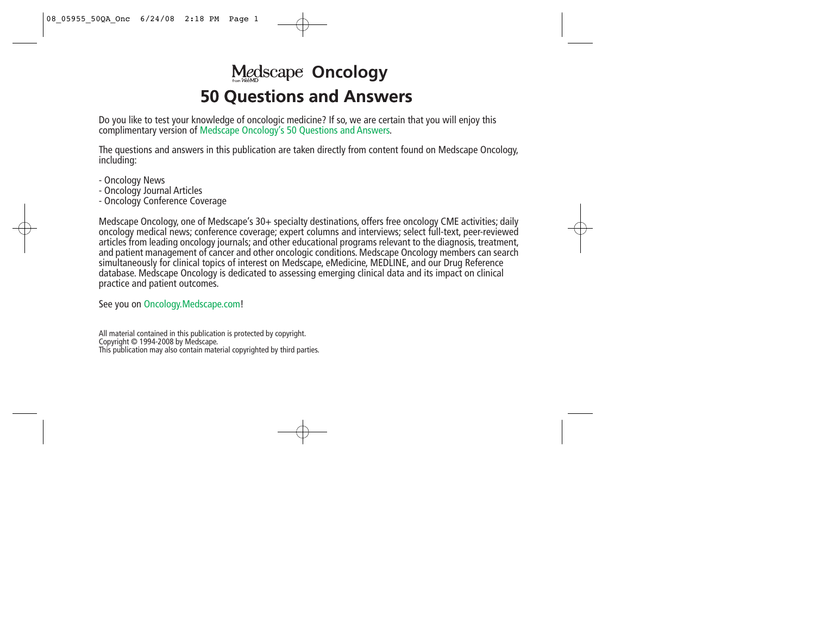### **50 Questions and Answers Medscape Oncology**

Do you like to test your knowledge of oncologic medicine? If so, we are certain that you will enjoy this complimentary version of Medscape Oncology's 50 Questions and Answers.

The questions and answers in this publication are taken directly from content found on Medscape Oncology, including:

- Oncology News
- Oncology Journal Articles
- Oncology Conference Coverage

Medscape Oncology, one of Medscape's 30+ specialty destinations, offers free oncology CME activities; daily oncology medical news; conference coverage; expert columns and interviews; select full-text, peer-reviewed articles from leading oncology journals; and other educational programs relevant to the diagnosis, treatment, and patient management of cancer and other oncologic conditions. Medscape Oncology members can search simultaneously for clinical topics of interest on Medscape, eMedicine, MEDLINE, and our Drug Reference database. Medscape Oncology is dedicated to assessing emerging clinical data and its impact on clinical practice and patient outcomes.

See you on Oncology.Medscape.com!

All material contained in this publication is protected by copyright. Copyright © 1994-2008 by Medscape. This publication may also contain material copyrighted by third parties.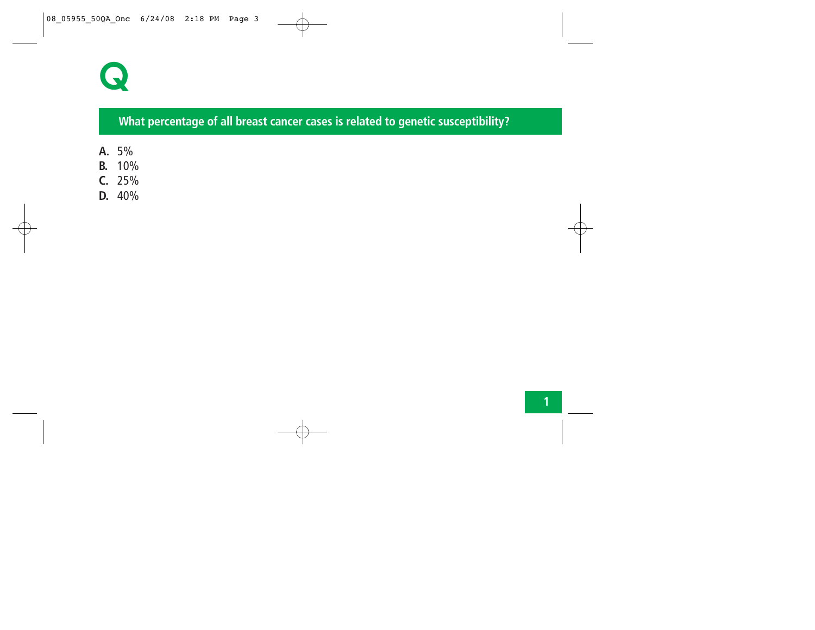

#### **What percentage of all breast cancer cases is related to genetic susceptibility?**

- **A.** 5%
- **B.** 10%
- **C.** 25%
- **D.** 40%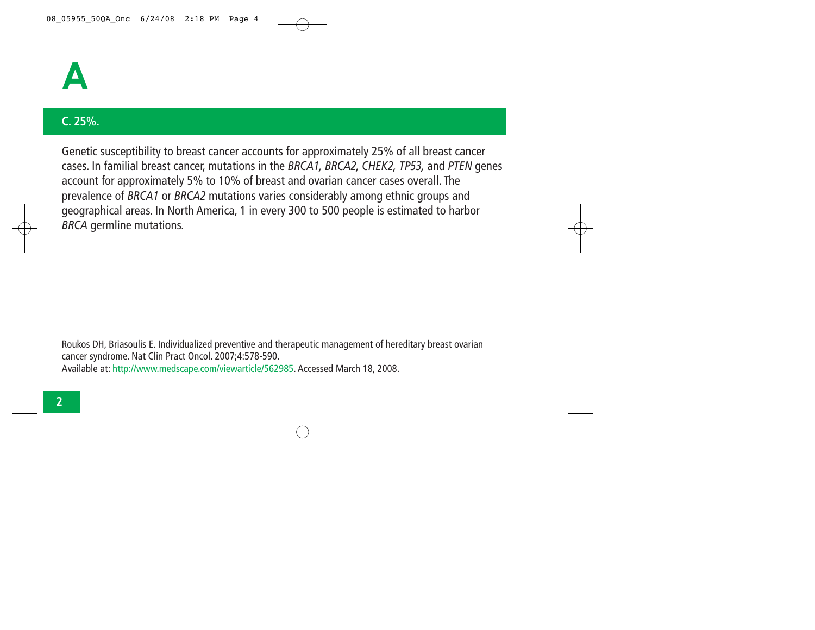

#### **C. 25%.**

Genetic susceptibility to breast cancer accounts for approximately 25% of all breast cancer cases. In familial breast cancer, mutations in the *BRCA1, BRCA2, CHEK2, TP53,* and *PTEN* genes account for approximately 5% to 10% of breast and ovarian cancer cases overall. The prevalence of *BRCA1* or *BRCA2* mutations varies considerably among ethnic groups and geographical areas. In North America, 1 in every 300 to 500 people is estimated to harbor *BRCA* germline mutations.

Roukos DH, Briasoulis E. Individualized preventive and therapeutic management of hereditary breast ovarian cancer syndrome. Nat Clin Pract Oncol. 2007;4:578-590. Available at: http://www.medscape.com/viewarticle/562985. Accessed March 18, 2008.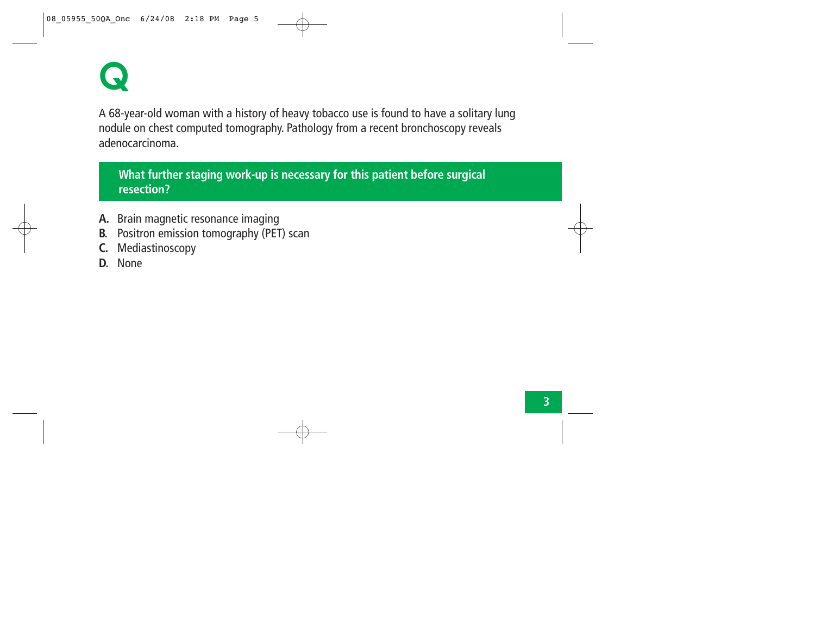

A 68-year-old woman with a history of heavy tobacco use is found to have a solitary lung nodule on chest computed tomography. Pathology from a recent bronchoscopy reveals adenocarcinoma.

#### **What further staging work-up is necessary for this patient before surgical resection?**

- **A.** Brain magnetic resonance imaging
- **B.** Positron emission tomography (PET) scan
- **C.** Mediastinoscopy
- **D.** None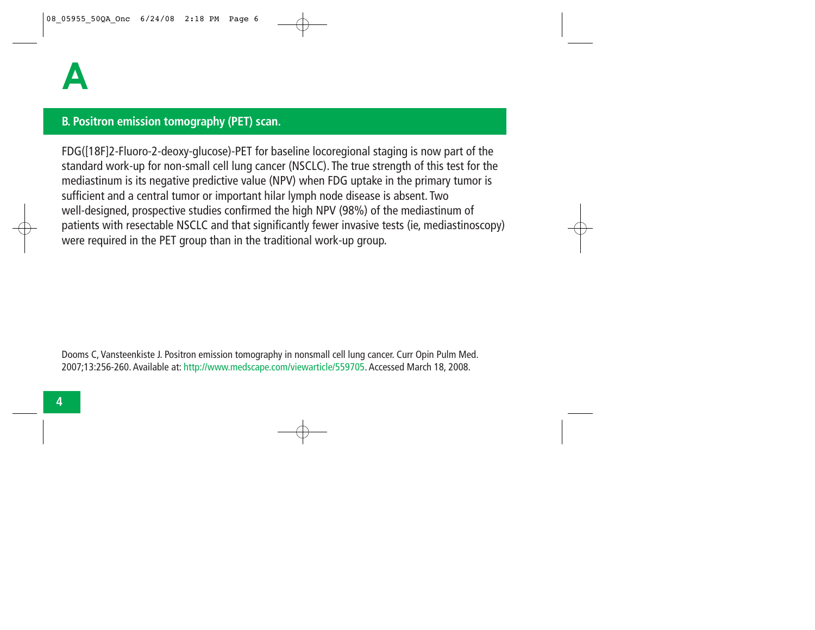#### **B. Positron emission tomography (PET) scan.**

FDG([18F]2-Fluoro-2-deoxy-glucose)-PET for baseline locoregional staging is now part of the standard work-up for non-small cell lung cancer (NSCLC). The true strength of this test for the mediastinum is its negative predictive value (NPV) when FDG uptake in the primary tumor is sufficient and a central tumor or important hilar lymph node disease is absent. Two well-designed, prospective studies confirmed the high NPV (98%) of the mediastinum of patients with resectable NSCLC and that significantly fewer invasive tests (ie, mediastinoscopy) were required in the PET group than in the traditional work-up group.

Dooms C, Vansteenkiste J. Positron emission tomography in nonsmall cell lung cancer. Curr Opin Pulm Med. 2007;13:256-260. Available at: http://www.medscape.com/viewarticle/559705. Accessed March 18, 2008.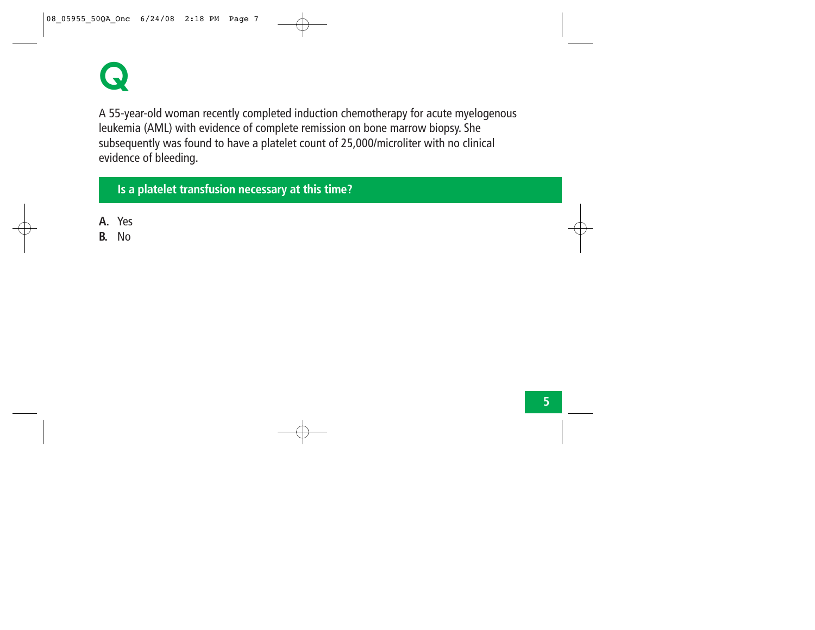

A 55-year-old woman recently completed induction chemotherapy for acute myelogenous leukemia (AML) with evidence of complete remission on bone marrow biopsy. She subsequently was found to have a platelet count of 25,000/microliter with no clinical evidence of bleeding.

**Is a platelet transfusion necessary at this time?**

- **A.** Yes
- **B.** No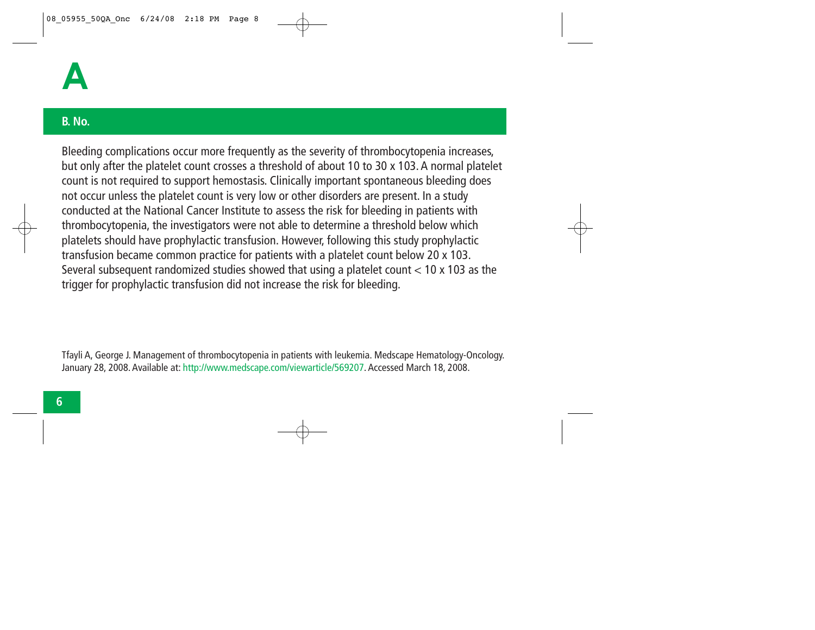#### **B. No.**

Bleeding complications occur more frequently as the severity of thrombocytopenia increases, but only after the platelet count crosses a threshold of about 10 to 30 x 103. A normal platelet count is not required to support hemostasis. Clinically important spontaneous bleeding does not occur unless the platelet count is very low or other disorders are present. In a study conducted at the National Cancer Institute to assess the risk for bleeding in patients with thrombocytopenia, the investigators were not able to determine a threshold below which platelets should have prophylactic transfusion. However, following this study prophylactic transfusion became common practice for patients with a platelet count below 20 x 103. Several subsequent randomized studies showed that using a platelet count < 10 x 103 as the trigger for prophylactic transfusion did not increase the risk for bleeding.

Tfayli A, George J. Management of thrombocytopenia in patients with leukemia. Medscape Hematology-Oncology. January 28, 2008. Available at: http://www.medscape.com/viewarticle/569207. Accessed March 18, 2008.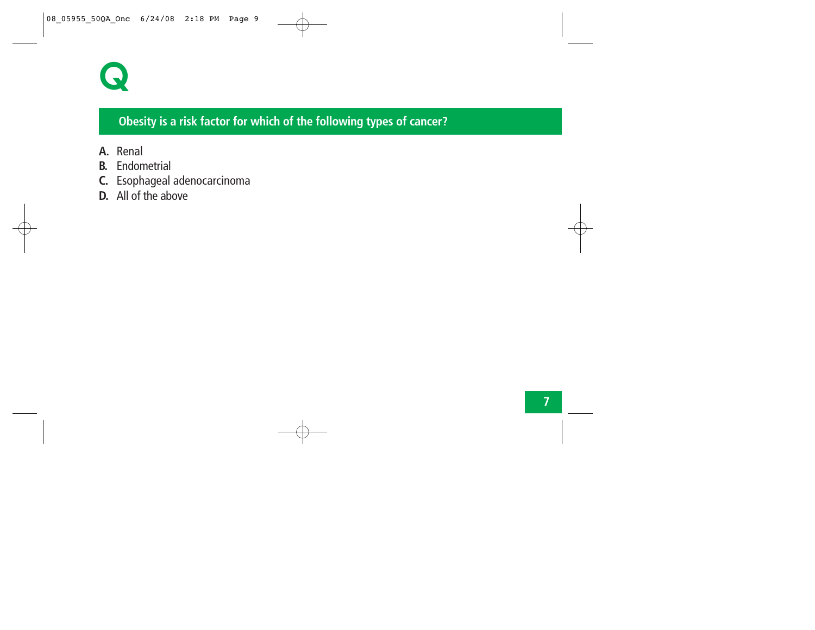

#### **Obesity is a risk factor for which of the following types of cancer?**

- **A.** Renal
- **B.** Endometrial
- **C.** Esophageal adenocarcinoma
- **D.** All of the above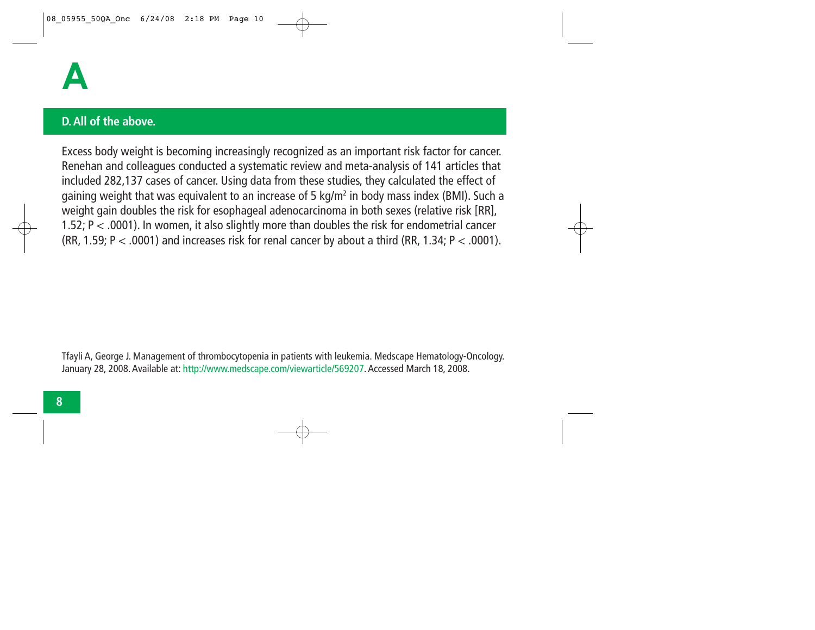

#### **D. All of the above.**

Excess body weight is becoming increasingly recognized as an important risk factor for cancer. Renehan and colleagues conducted a systematic review and meta-analysis of 141 articles that included 282,137 cases of cancer. Using data from these studies, they calculated the effect of gaining weight that was equivalent to an increase of 5 kg/m<sup>2</sup> in body mass index (BMI). Such a weight gain doubles the risk for esophageal adenocarcinoma in both sexes (relative risk [RR], 1.52; P < .0001). In women, it also slightly more than doubles the risk for endometrial cancer (RR, 1.59; P  $<$  .0001) and increases risk for renal cancer by about a third (RR, 1.34; P  $<$  .0001).

Tfayli A, George J. Management of thrombocytopenia in patients with leukemia. Medscape Hematology-Oncology. January 28, 2008. Available at: http://www.medscape.com/viewarticle/569207. Accessed March 18, 2008.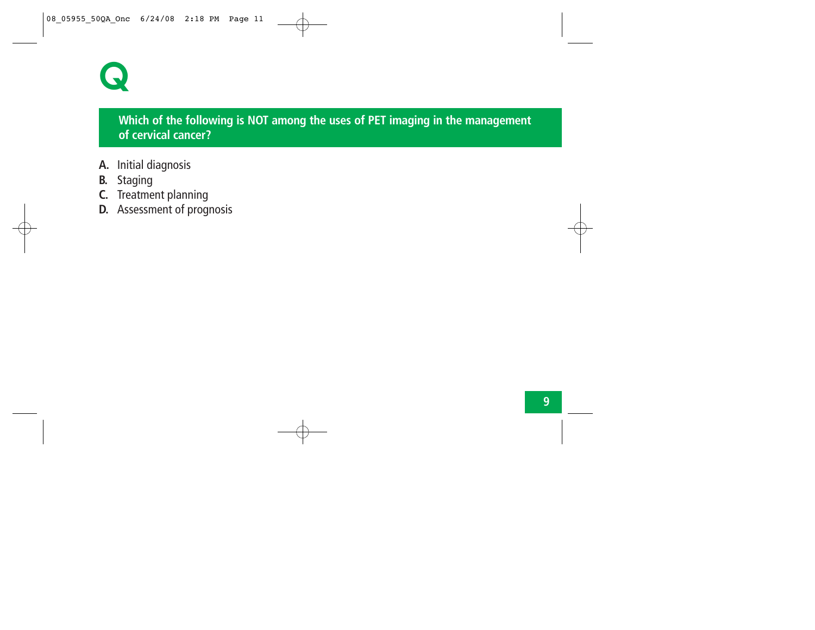

#### **Which of the following is NOT among the uses of PET imaging in the management of cervical cancer?**

- **A.** Initial diagnosis
- **B.** Staging
- **C.** Treatment planning
- **D.** Assessment of prognosis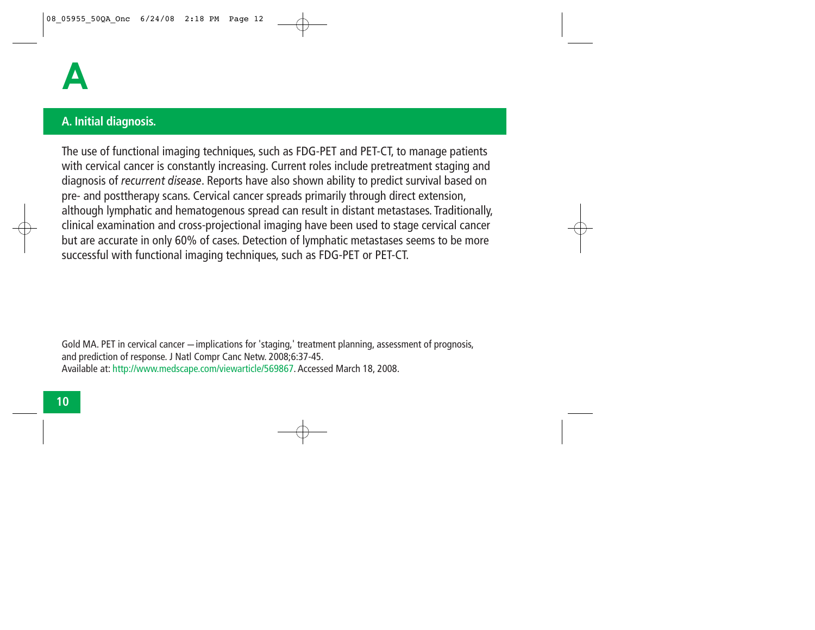

#### **A. Initial diagnosis.**

The use of functional imaging techniques, such as FDG-PET and PET-CT, to manage patients with cervical cancer is constantly increasing. Current roles include pretreatment staging and diagnosis of *recurrent disease*. Reports have also shown ability to predict survival based on pre- and posttherapy scans. Cervical cancer spreads primarily through direct extension, although lymphatic and hematogenous spread can result in distant metastases. Traditionally, clinical examination and cross-projectional imaging have been used to stage cervical cancer but are accurate in only 60% of cases. Detection of lymphatic metastases seems to be more successful with functional imaging techniques, such as FDG-PET or PET-CT.

Gold MA. PET in cervical cancer — implications for 'staging,' treatment planning, assessment of prognosis, and prediction of response. J Natl Compr Canc Netw. 2008;6:37-45. Available at: http://www.medscape.com/viewarticle/569867. Accessed March 18, 2008.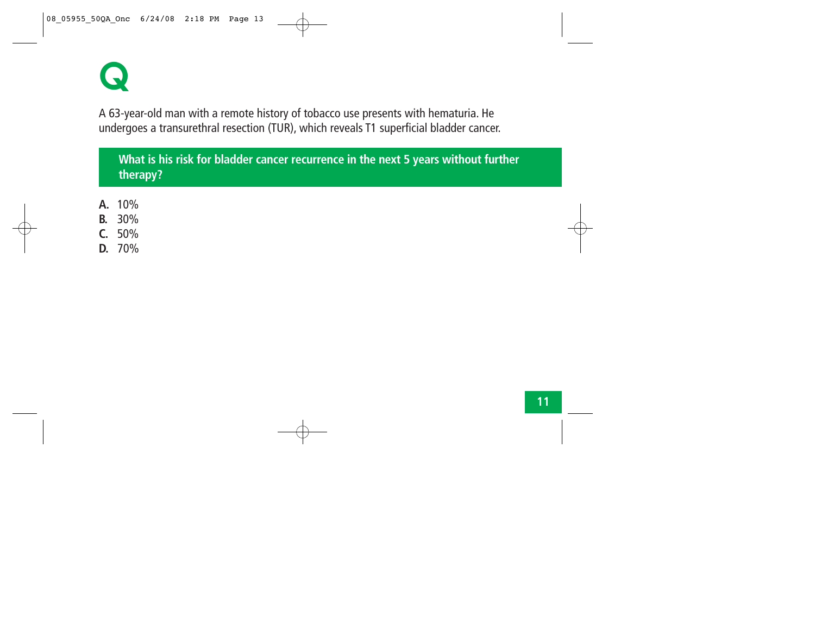**Q**

A 63-year-old man with a remote history of tobacco use presents with hematuria. He undergoes a transurethral resection (TUR), which reveals T1 superficial bladder cancer.

**What is his risk for bladder cancer recurrence in the next 5 years without further therapy?** 

- **A.** 10%
- **B.** 30%
- **C.** 50%
- **D.** 70%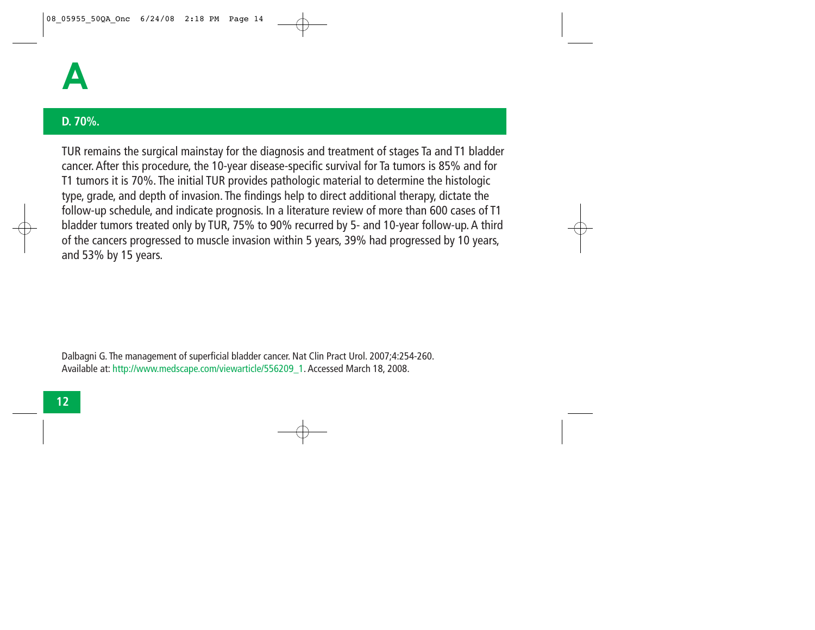

#### **D. 70%.**

TUR remains the surgical mainstay for the diagnosis and treatment of stages Ta and T1 bladder cancer. After this procedure, the 10-year disease-specific survival for Ta tumors is 85% and for T1 tumors it is 70%. The initial TUR provides pathologic material to determine the histologic type, grade, and depth of invasion. The findings help to direct additional therapy, dictate the follow-up schedule, and indicate prognosis. In a literature review of more than 600 cases of T1 bladder tumors treated only by TUR, 75% to 90% recurred by 5- and 10-year follow-up. A third of the cancers progressed to muscle invasion within 5 years, 39% had progressed by 10 years, and 53% by 15 years.

Dalbagni G. The management of superficial bladder cancer. Nat Clin Pract Urol. 2007;4:254-260. Available at: http://www.medscape.com/viewarticle/556209\_1. Accessed March 18, 2008.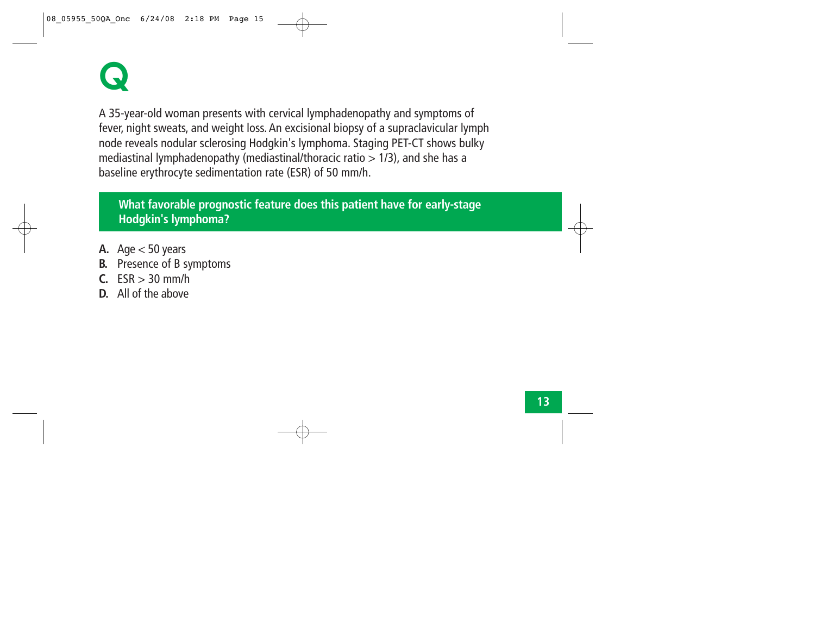## **Q**

A 35-year-old woman presents with cervical lymphadenopathy and symptoms of fever, night sweats, and weight loss. An excisional biopsy of a supraclavicular lymph node reveals nodular sclerosing Hodgkin's lymphoma. Staging PET-CT shows bulky mediastinal lymphadenopathy (mediastinal/thoracic ratio > 1/3), and she has a baseline erythrocyte sedimentation rate (ESR) of 50 mm/h.

**What favorable prognostic feature does this patient have for early-stage Hodgkin's lymphoma?** 

- A. Age  $<$  50 years
- **B.** Presence of B symptoms
- **C.**  $ESR > 30$  mm/h
- **D.** All of the above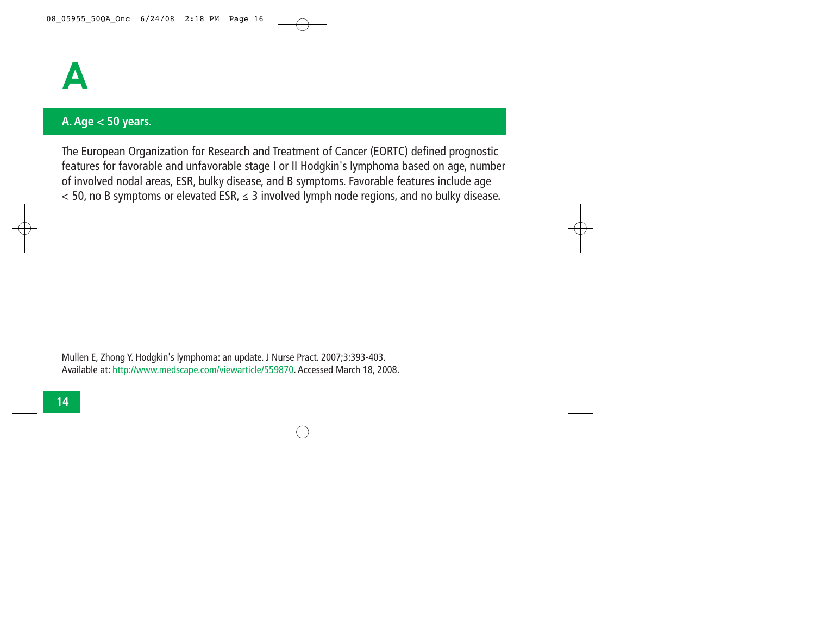

#### **A. Age < 50 years.**

The European Organization for Research and Treatment of Cancer (EORTC) defined prognostic features for favorable and unfavorable stage I or II Hodgkin's lymphoma based on age, number of involved nodal areas, ESR, bulky disease, and B symptoms. Favorable features include age < 50, no B symptoms or elevated ESR, *<sup>≤</sup>* 3 involved lymph node regions, and no bulky disease.

Mullen E, Zhong Y. Hodgkin's lymphoma: an update. J Nurse Pract. 2007;3:393-403. Available at: http://www.medscape.com/viewarticle/559870. Accessed March 18, 2008.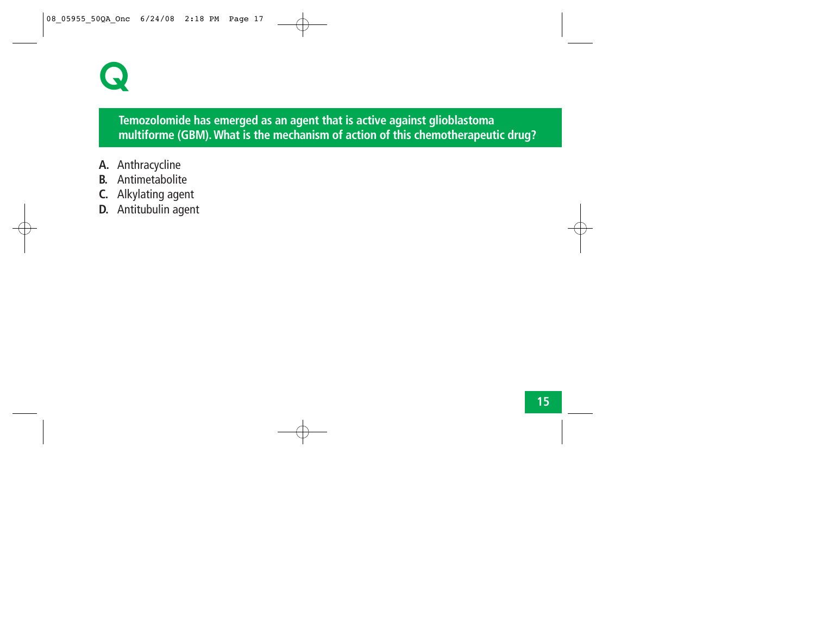### **Q**

#### **Temozolomide has emerged as an agent that is active against glioblastoma multiforme (GBM). What is the mechanism of action of this chemotherapeutic drug?**

- **A.** Anthracycline
- **B.** Antimetabolite
- **C.** Alkylating agent
- **D.** Antitubulin agent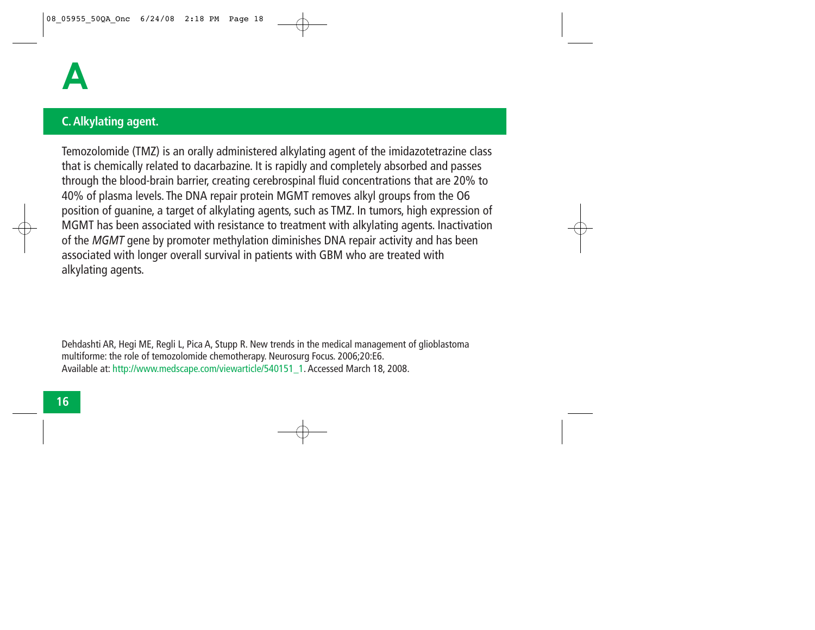

#### **C. Alkylating agent.**

Temozolomide (TMZ) is an orally administered alkylating agent of the imidazotetrazine class that is chemically related to dacarbazine. It is rapidly and completely absorbed and passes through the blood-brain barrier, creating cerebrospinal fluid concentrations that are 20% to 40% of plasma levels. The DNA repair protein MGMT removes alkyl groups from the O6 position of guanine, a target of alkylating agents, such as TMZ. In tumors, high expression of MGMT has been associated with resistance to treatment with alkylating agents. Inactivation of the *MGMT* gene by promoter methylation diminishes DNA repair activity and has been associated with longer overall survival in patients with GBM who are treated with alkylating agents.

Dehdashti AR, Hegi ME, Regli L, Pica A, Stupp R. New trends in the medical management of glioblastoma multiforme: the role of temozolomide chemotherapy. Neurosurg Focus. 2006;20:E6. Available at: http://www.medscape.com/viewarticle/540151\_1. Accessed March 18, 2008.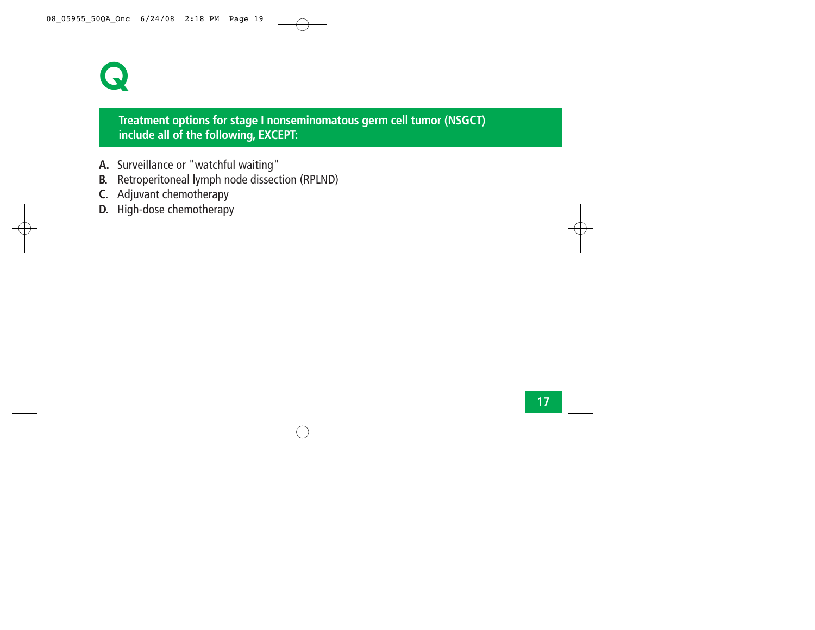

#### **Treatment options for stage I nonseminomatous germ cell tumor (NSGCT) include all of the following, EXCEPT:**

- **A.** Surveillance or "watchful waiting"
- **B.** Retroperitoneal lymph node dissection (RPLND)
- **C.** Adjuvant chemotherapy
- **D.** High-dose chemotherapy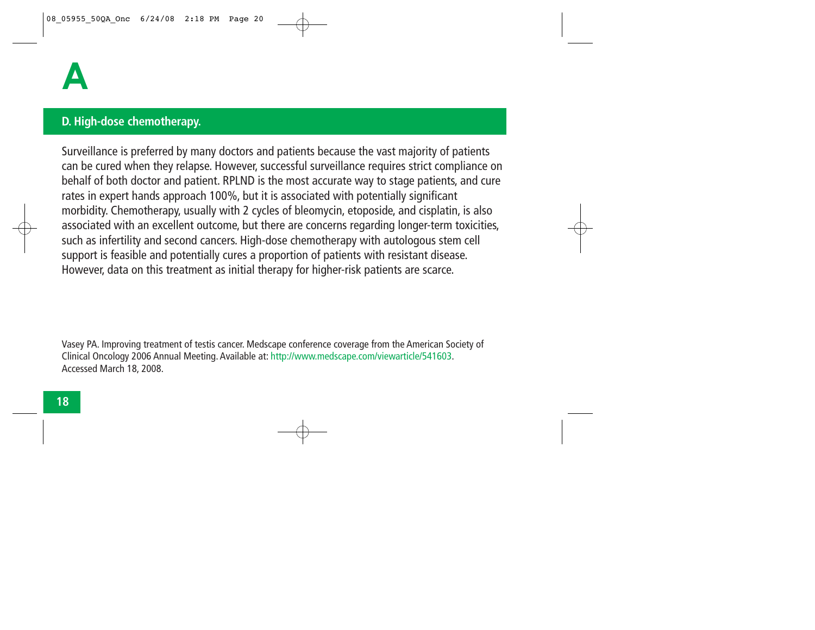#### **D. High-dose chemotherapy.**

Surveillance is preferred by many doctors and patients because the vast majority of patients can be cured when they relapse. However, successful surveillance requires strict compliance on behalf of both doctor and patient. RPLND is the most accurate way to stage patients, and cure rates in expert hands approach 100%, but it is associated with potentially significant morbidity. Chemotherapy, usually with 2 cycles of bleomycin, etoposide, and cisplatin, is also associated with an excellent outcome, but there are concerns regarding longer-term toxicities, such as infertility and second cancers. High-dose chemotherapy with autologous stem cell support is feasible and potentially cures a proportion of patients with resistant disease. However, data on this treatment as initial therapy for higher-risk patients are scarce.

Vasey PA. Improving treatment of testis cancer. Medscape conference coverage from the American Society of Clinical Oncology 2006 Annual Meeting. Available at: http://www.medscape.com/viewarticle/541603. Accessed March 18, 2008.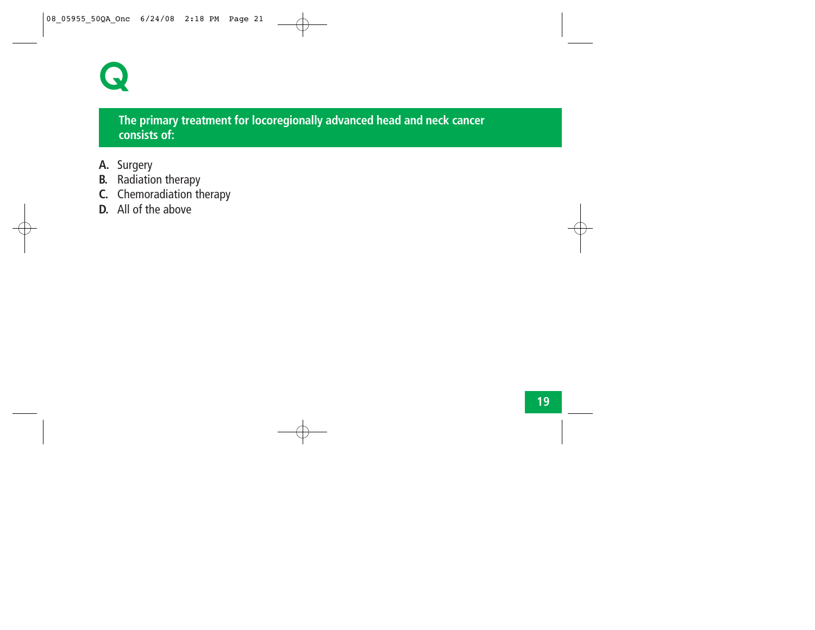

#### **The primary treatment for locoregionally advanced head and neck cancer consists of:**

- **A.** Surgery
- **B.** Radiation therapy
- **C.** Chemoradiation therapy
- **D.** All of the above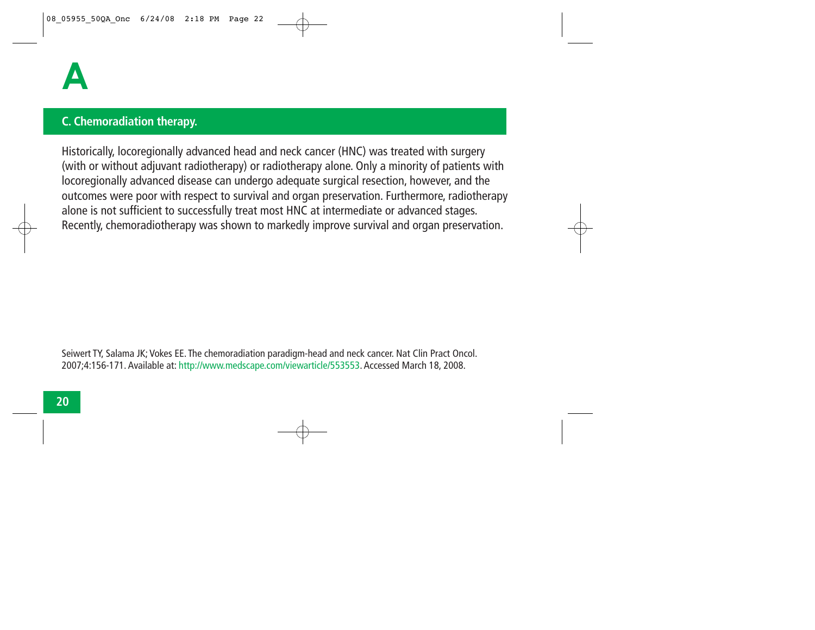#### **C. Chemoradiation therapy.**

Historically, locoregionally advanced head and neck cancer (HNC) was treated with surgery (with or without adjuvant radiotherapy) or radiotherapy alone. Only a minority of patients with locoregionally advanced disease can undergo adequate surgical resection, however, and the outcomes were poor with respect to survival and organ preservation. Furthermore, radiotherapy alone is not sufficient to successfully treat most HNC at intermediate or advanced stages. Recently, chemoradiotherapy was shown to markedly improve survival and organ preservation.

Seiwert TY, Salama JK; Vokes EE. The chemoradiation paradigm-head and neck cancer. Nat Clin Pract Oncol. 2007;4:156-171. Available at: http://www.medscape.com/viewarticle/553553. Accessed March 18, 2008.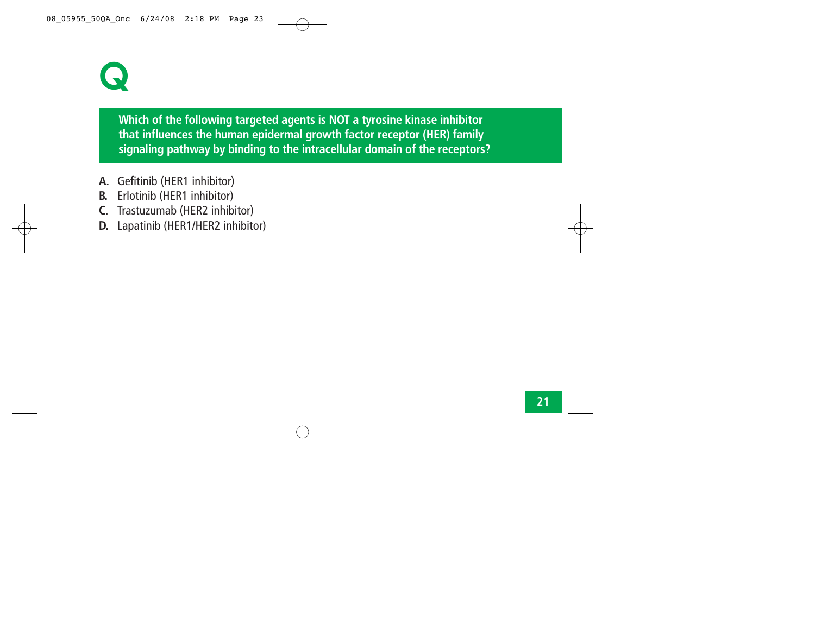### **Q**

**Which of the following targeted agents is NOT a tyrosine kinase inhibitor that influences the human epidermal growth factor receptor (HER) family signaling pathway by binding to the intracellular domain of the receptors?**

- **A.** Gefitinib (HER1 inhibitor)
- **B.** Erlotinib (HER1 inhibitor)
- **C.** Trastuzumab (HER2 inhibitor)
- **D.** Lapatinib (HER1/HER2 inhibitor)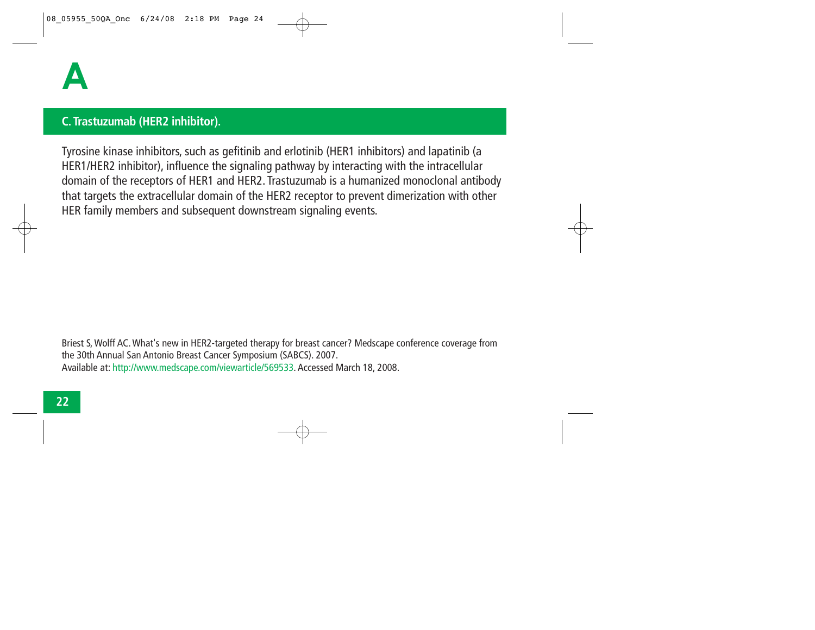#### **C. Trastuzumab (HER2 inhibitor).**

Tyrosine kinase inhibitors, such as gefitinib and erlotinib (HER1 inhibitors) and lapatinib (a HER1/HER2 inhibitor), influence the signaling pathway by interacting with the intracellular domain of the receptors of HER1 and HER2. Trastuzumab is a humanized monoclonal antibody that targets the extracellular domain of the HER2 receptor to prevent dimerization with other HER family members and subsequent downstream signaling events.

Briest S, Wolff AC. What's new in HER2-targeted therapy for breast cancer? Medscape conference coverage from the 30th Annual San Antonio Breast Cancer Symposium (SABCS). 2007. Available at: http://www.medscape.com/viewarticle/569533. Accessed March 18, 2008.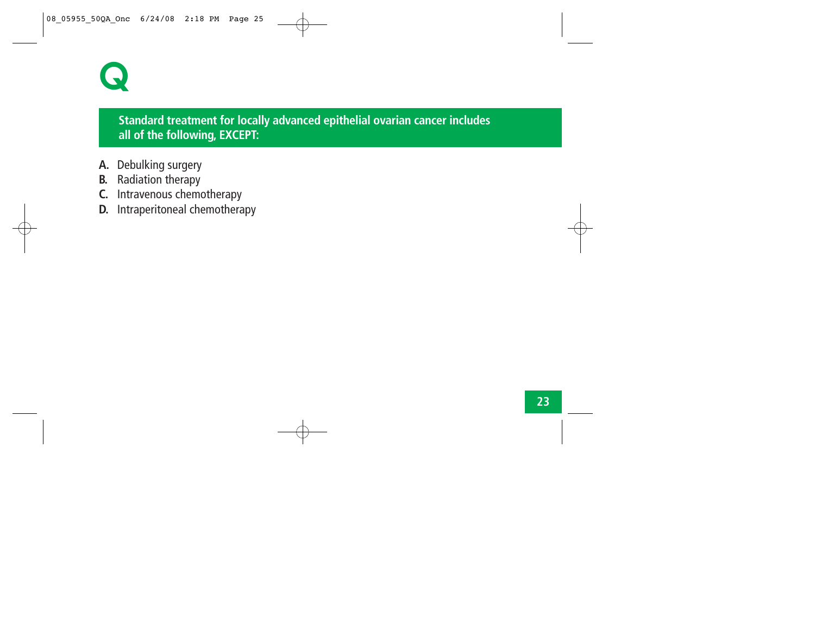

#### **Standard treatment for locally advanced epithelial ovarian cancer includes all of the following, EXCEPT:**

- **A.** Debulking surgery
- **B.** Radiation therapy
- **C.** Intravenous chemotherapy
- **D.** Intraperitoneal chemotherapy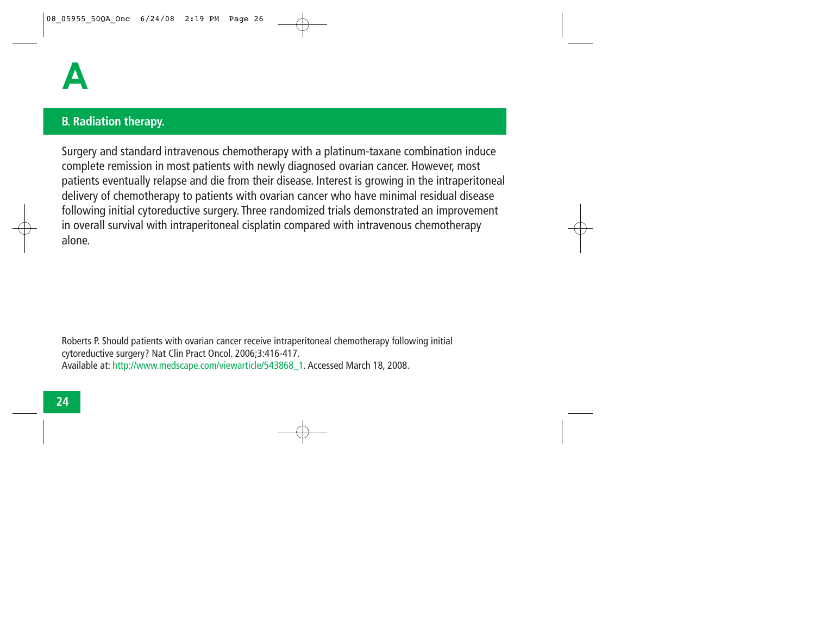#### **B. Radiation therapy.**

Surgery and standard intravenous chemotherapy with a platinum-taxane combination induce complete remission in most patients with newly diagnosed ovarian cancer. However, most patients eventually relapse and die from their disease. Interest is growing in the intraperitoneal delivery of chemotherapy to patients with ovarian cancer who have minimal residual disease following initial cytoreductive surgery. Three randomized trials demonstrated an improvement in overall survival with intraperitoneal cisplatin compared with intravenous chemotherapy alone.

Roberts P. Should patients with ovarian cancer receive intraperitoneal chemotherapy following initial cytoreductive surgery? Nat Clin Pract Oncol. 2006;3:416-417. Available at: http://www.medscape.com/viewarticle/543868\_1. Accessed March 18, 2008.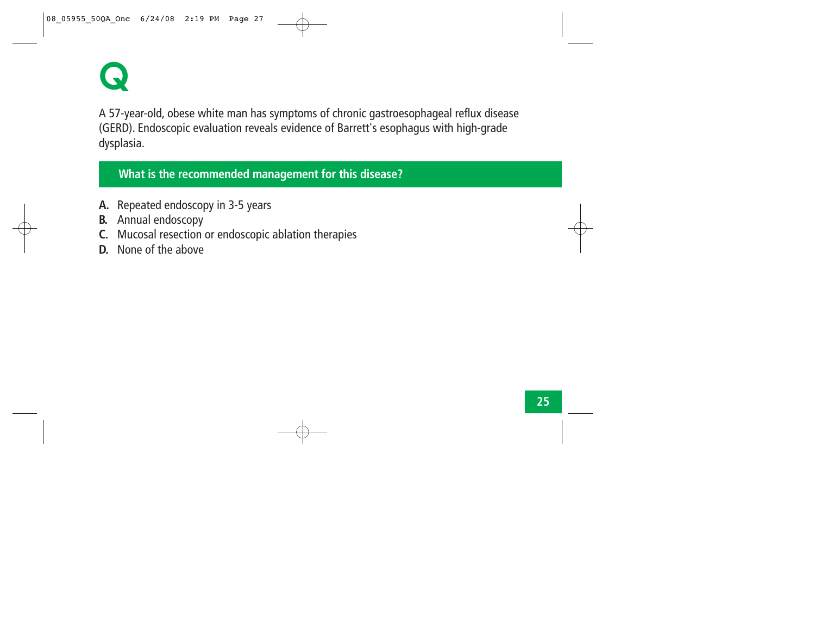**Q**

A 57-year-old, obese white man has symptoms of chronic gastroesophageal reflux disease (GERD). Endoscopic evaluation reveals evidence of Barrett's esophagus with high-grade dysplasia.

#### **What is the recommended management for this disease?**

- **A.** Repeated endoscopy in 3-5 years
- **B.** Annual endoscopy
- **C.** Mucosal resection or endoscopic ablation therapies
- **D.** None of the above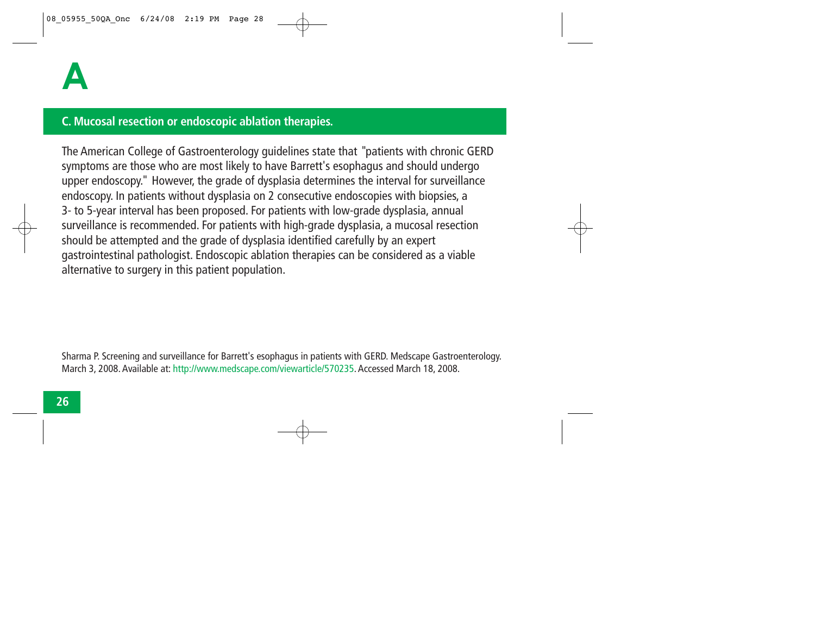#### **C. Mucosal resection or endoscopic ablation therapies.**

The American College of Gastroenterology guidelines state that "patients with chronic GERD symptoms are those who are most likely to have Barrett's esophagus and should undergo upper endoscopy." However, the grade of dysplasia determines the interval for surveillance endoscopy. In patients without dysplasia on 2 consecutive endoscopies with biopsies, a 3- to 5-year interval has been proposed. For patients with low-grade dysplasia, annual surveillance is recommended. For patients with high-grade dysplasia, a mucosal resection should be attempted and the grade of dysplasia identified carefully by an expert gastrointestinal pathologist. Endoscopic ablation therapies can be considered as a viable alternative to surgery in this patient population.

Sharma P. Screening and surveillance for Barrett's esophagus in patients with GERD. Medscape Gastroenterology. March 3, 2008. Available at: http://www.medscape.com/viewarticle/570235. Accessed March 18, 2008.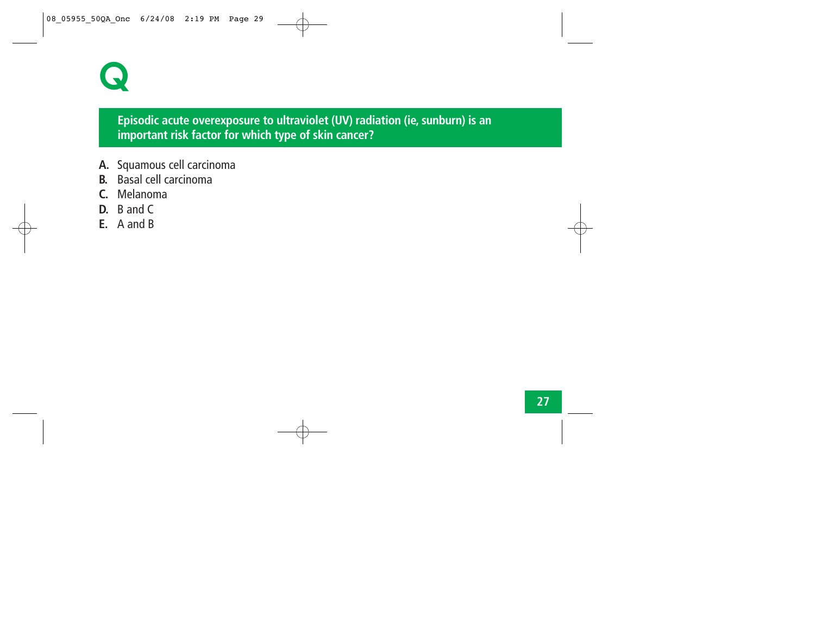

#### **Episodic acute overexposure to ultraviolet (UV) radiation (ie, sunburn) is an important risk factor for which type of skin cancer?**

- **A.** Squamous cell carcinoma
- **B.** Basal cell carcinoma
- **C.** Melanoma
- **D.** B and C
- **E.** A and B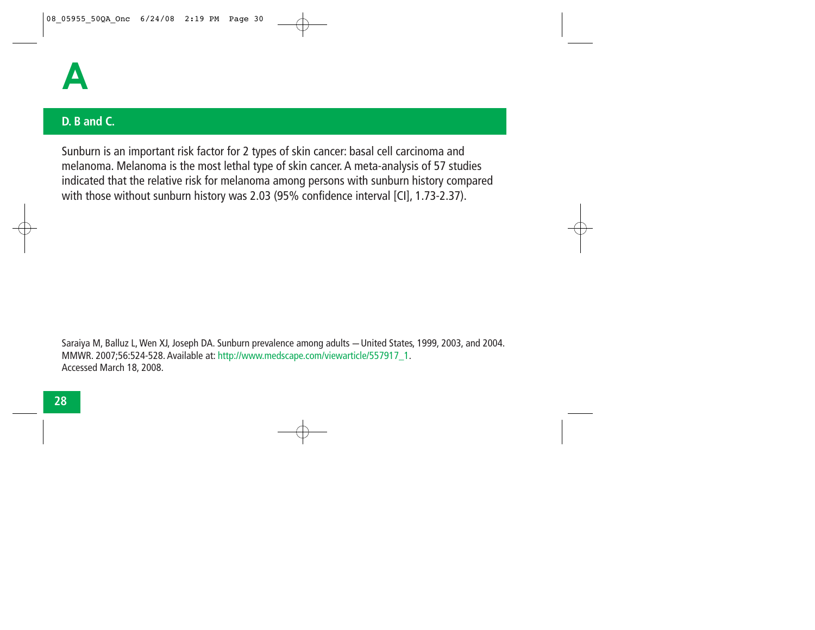

#### **D. B and C.**

Sunburn is an important risk factor for 2 types of skin cancer: basal cell carcinoma and melanoma. Melanoma is the most lethal type of skin cancer. A meta-analysis of 57 studies indicated that the relative risk for melanoma among persons with sunburn history compared with those without sunburn history was 2.03 (95% confidence interval [CI], 1.73-2.37).

Saraiya M, Balluz L, Wen XJ, Joseph DA. Sunburn prevalence among adults *─* United States, 1999, 2003, and 2004. MMWR. 2007;56:524-528. Available at: http://www.medscape.com/viewarticle/557917\_1. Accessed March 18, 2008.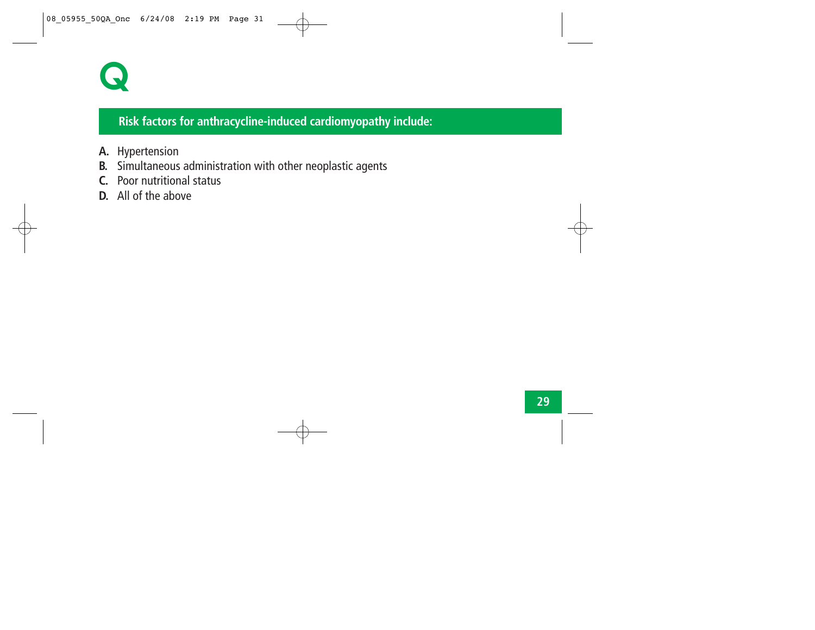

#### **Risk factors for anthracycline-induced cardiomyopathy include:**

- **A.** Hypertension
- **B.** Simultaneous administration with other neoplastic agents
- **C.** Poor nutritional status
- **D.** All of the above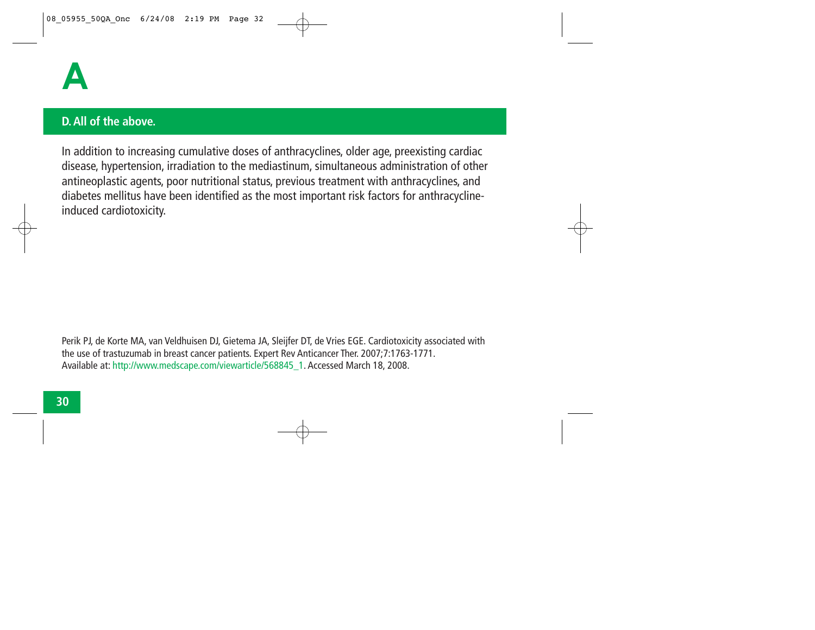

#### **D. All of the above.**

In addition to increasing cumulative doses of anthracyclines, older age, preexisting cardiac disease, hypertension, irradiation to the mediastinum, simultaneous administration of other antineoplastic agents, poor nutritional status, previous treatment with anthracyclines, and diabetes mellitus have been identified as the most important risk factors for anthracyclineinduced cardiotoxicity.

Perik PJ, de Korte MA, van Veldhuisen DJ, Gietema JA, Sleijfer DT, de Vries EGE. Cardiotoxicity associated with the use of trastuzumab in breast cancer patients. Expert Rev Anticancer Ther. 2007;7:1763-1771. Available at: http://www.medscape.com/viewarticle/568845\_1. Accessed March 18, 2008.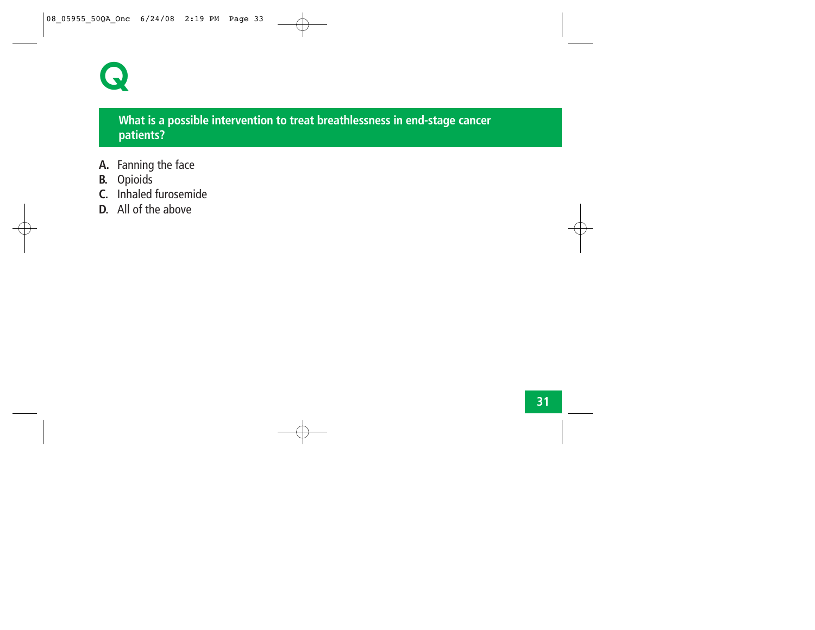

#### **What is a possible intervention to treat breathlessness in end-stage cancer patients?**

- **A.** Fanning the face
- **B.** Opioids
- **C.** Inhaled furosemide
- **D.** All of the above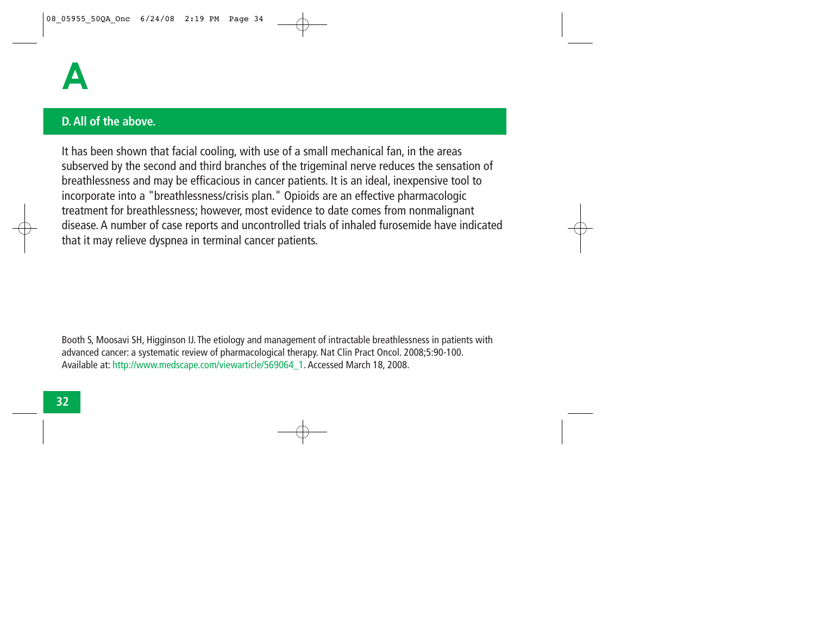

#### **D. All of the above.**

It has been shown that facial cooling, with use of a small mechanical fan, in the areas subserved by the second and third branches of the trigeminal nerve reduces the sensation of breathlessness and may be efficacious in cancer patients. It is an ideal, inexpensive tool to incorporate into a "breathlessness/crisis plan." Opioids are an effective pharmacologic treatment for breathlessness; however, most evidence to date comes from nonmalignant disease. A number of case reports and uncontrolled trials of inhaled furosemide have indicated that it may relieve dyspnea in terminal cancer patients.

Booth S, Moosavi SH, Higginson IJ. The etiology and management of intractable breathlessness in patients with advanced cancer: a systematic review of pharmacological therapy. Nat Clin Pract Oncol. 2008;5:90-100. Available at: http://www.medscape.com/viewarticle/569064\_1. Accessed March 18, 2008.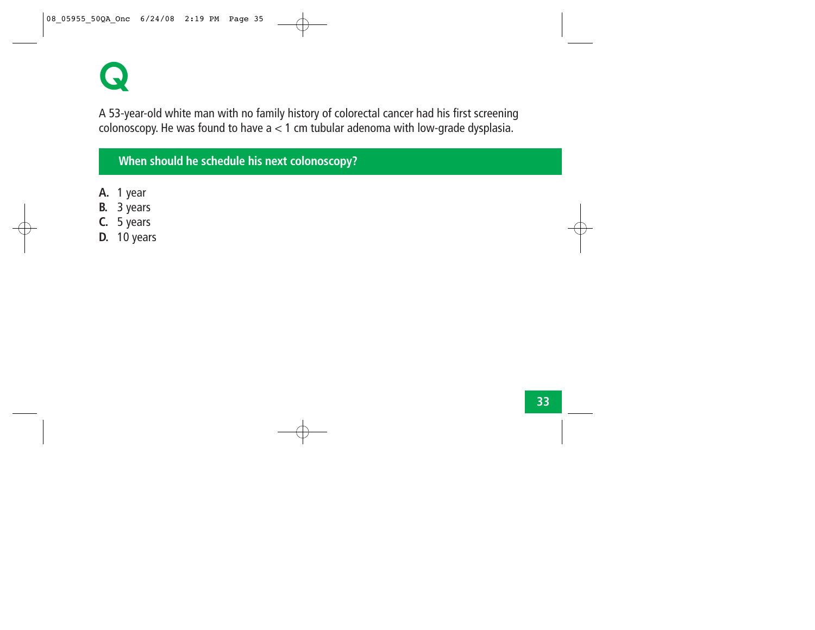**Q**

A 53-year-old white man with no family history of colorectal cancer had his first screening colonoscopy. He was found to have  $a < 1$  cm tubular adenoma with low-grade dysplasia.

#### **When should he schedule his next colonoscopy?**

- **A.** 1 year
- **B.** 3 years
- **C.** 5 years
- **D.** 10 years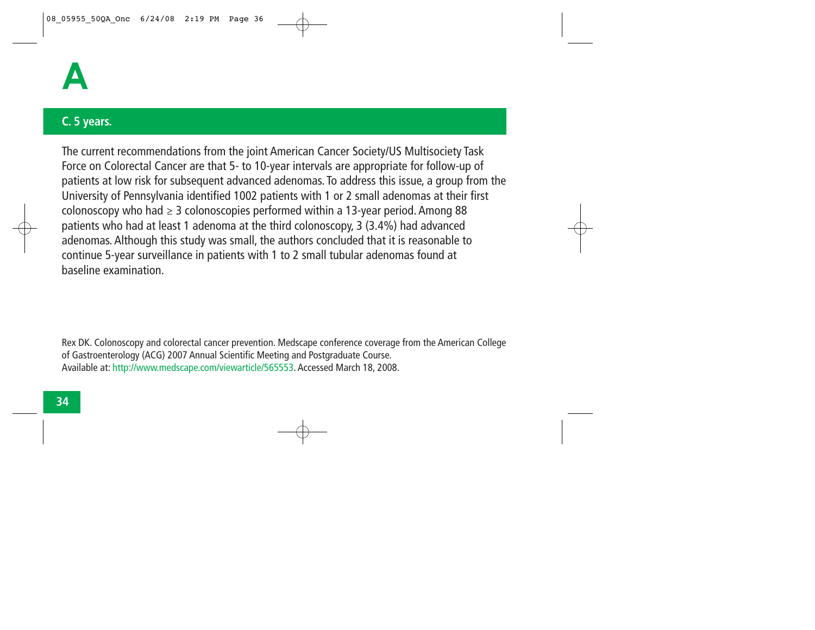

#### **C. 5 years.**

The current recommendations from the joint American Cancer Society/US Multisociety Task Force on Colorectal Cancer are that 5- to 10-year intervals are appropriate for follow-up of patients at low risk for subsequent advanced adenomas. To address this issue, a group from the University of Pennsylvania identified 1002 patients with 1 or 2 small adenomas at their first colonoscopy who had *<sup>≥</sup>* 3 colonoscopies performed within a 13-year period. Among 88 patients who had at least 1 adenoma at the third colonoscopy, 3 (3.4%) had advanced adenomas. Although this study was small, the authors concluded that it is reasonable to continue 5-year surveillance in patients with 1 to 2 small tubular adenomas found at baseline examination.

Rex DK. Colonoscopy and colorectal cancer prevention. Medscape conference coverage from the American College of Gastroenterology (ACG) 2007 Annual Scientific Meeting and Postgraduate Course. Available at: http://www.medscape.com/viewarticle/565553. Accessed March 18, 2008.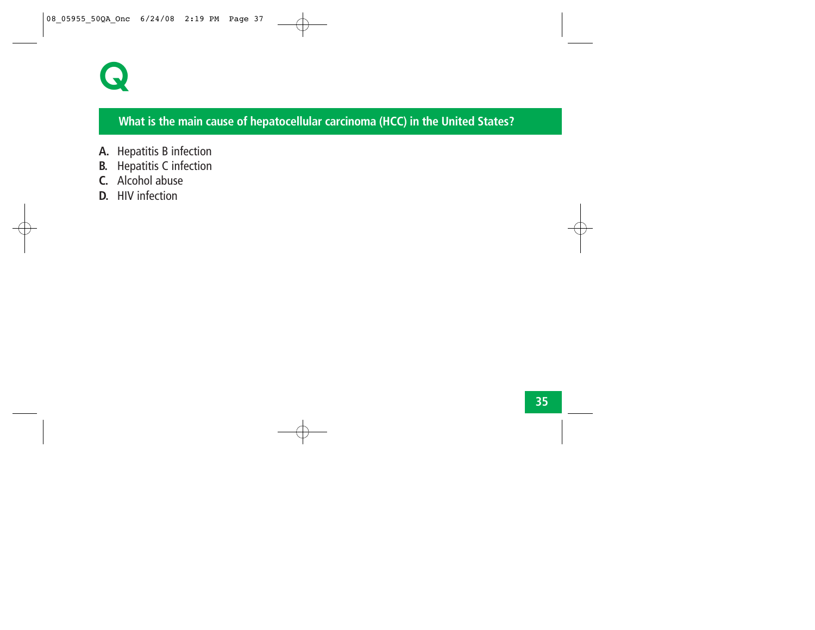

### **What is the main cause of hepatocellular carcinoma (HCC) in the United States?**

- **A.** Hepatitis B infection
- **B.** Hepatitis C infection
- **C.** Alcohol abuse
- **D.** HIV infection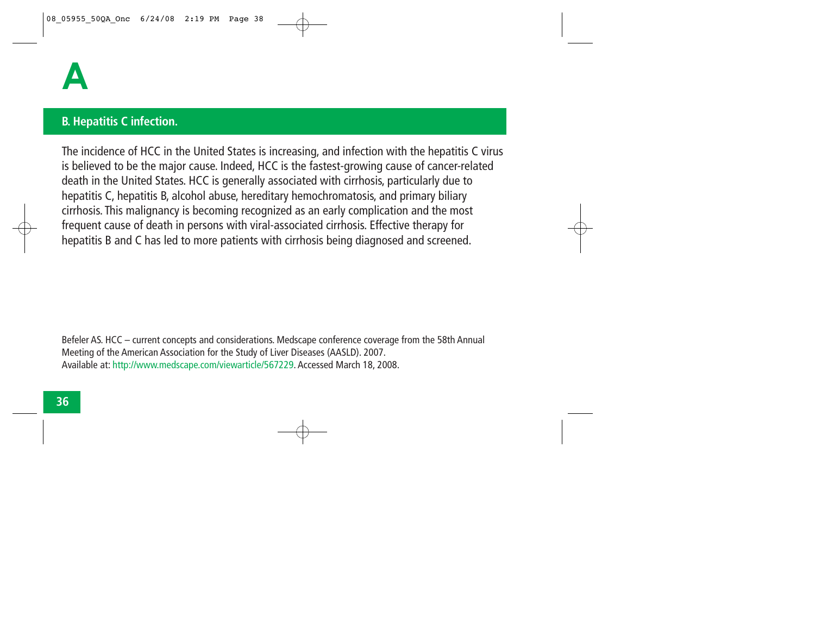## **B. Hepatitis C infection.**

The incidence of HCC in the United States is increasing, and infection with the hepatitis C virus is believed to be the major cause. Indeed, HCC is the fastest-growing cause of cancer-related death in the United States. HCC is generally associated with cirrhosis, particularly due to hepatitis C, hepatitis B, alcohol abuse, hereditary hemochromatosis, and primary biliary cirrhosis. This malignancy is becoming recognized as an early complication and the most frequent cause of death in persons with viral-associated cirrhosis. Effective therapy for hepatitis B and C has led to more patients with cirrhosis being diagnosed and screened.

Befeler AS. HCC – current concepts and considerations. Medscape conference coverage from the 58th Annual Meeting of the American Association for the Study of Liver Diseases (AASLD). 2007. Available at: http://www.medscape.com/viewarticle/567229. Accessed March 18, 2008.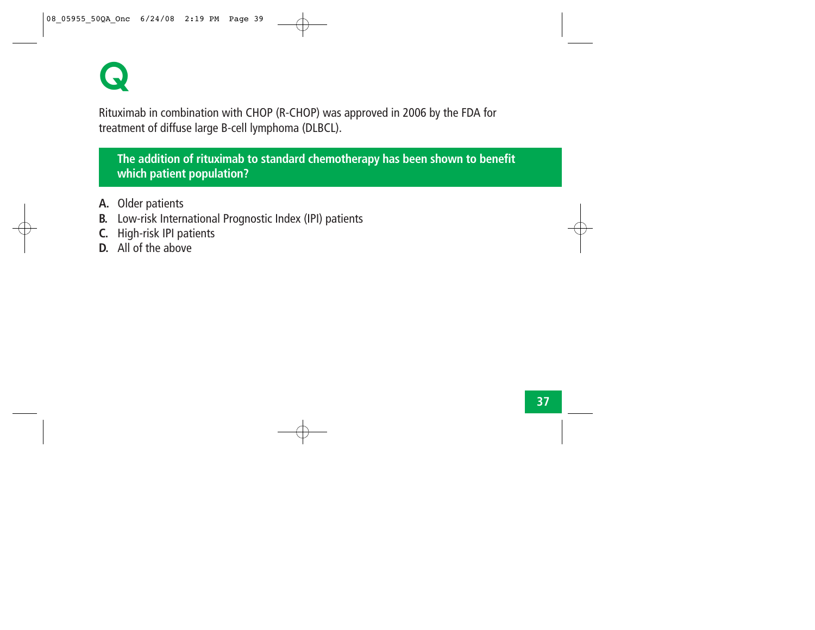

Rituximab in combination with CHOP (R-CHOP) was approved in 2006 by the FDA for treatment of diffuse large B-cell lymphoma (DLBCL).

**The addition of rituximab to standard chemotherapy has been shown to benefit which patient population?**

- **A.** Older patients
- **B.** Low-risk International Prognostic Index (IPI) patients
- **C.** High-risk IPI patients
- **D.** All of the above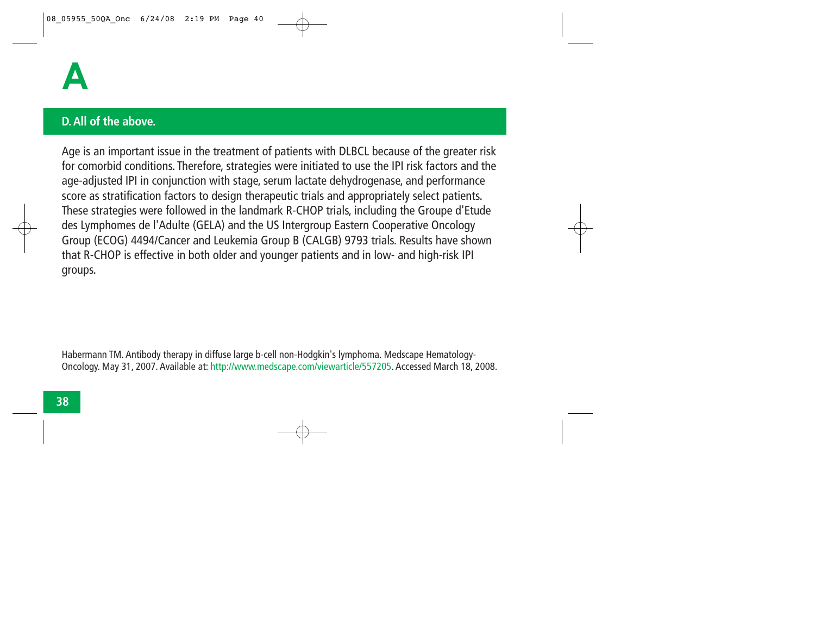

#### **D. All of the above.**

Age is an important issue in the treatment of patients with DLBCL because of the greater risk for comorbid conditions. Therefore, strategies were initiated to use the IPI risk factors and the age-adjusted IPI in conjunction with stage, serum lactate dehydrogenase, and performance score as stratification factors to design therapeutic trials and appropriately select patients. These strategies were followed in the landmark R-CHOP trials, including the Groupe d'Etude des Lymphomes de l'Adulte (GELA) and the US Intergroup Eastern Cooperative Oncology Group (ECOG) 4494/Cancer and Leukemia Group B (CALGB) 9793 trials. Results have shown that R-CHOP is effective in both older and younger patients and in low- and high-risk IPI groups.

Habermann TM. Antibody therapy in diffuse large b-cell non-Hodgkin's lymphoma. Medscape Hematology-Oncology. May 31, 2007. Available at: http://www.medscape.com/viewarticle/557205. Accessed March 18, 2008.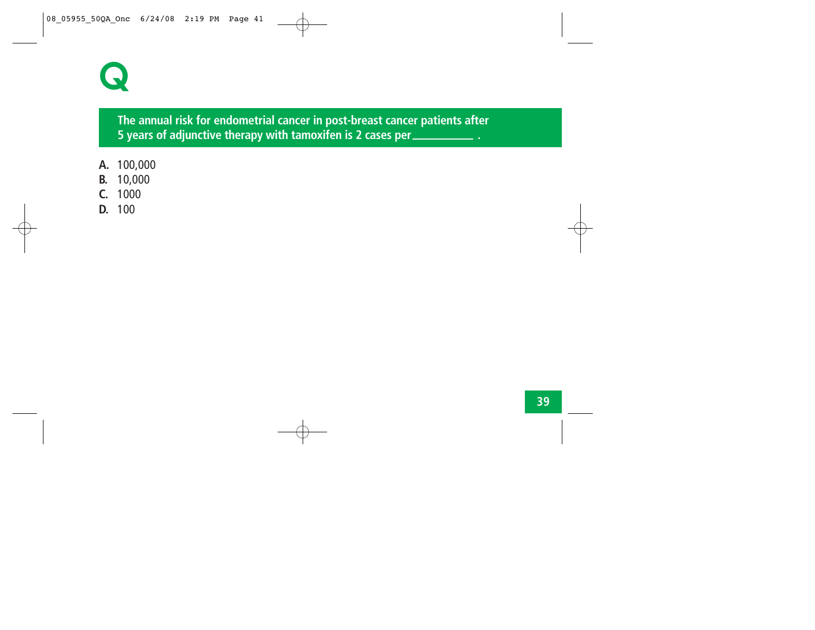

**The annual risk for endometrial cancer in post-breast cancer patients after 5 years of adjunctive therapy with tamoxifen is 2 cases per .**

- **A.** 100,000
- **B.** 10,000
- **C.** 1000
- **D.** 100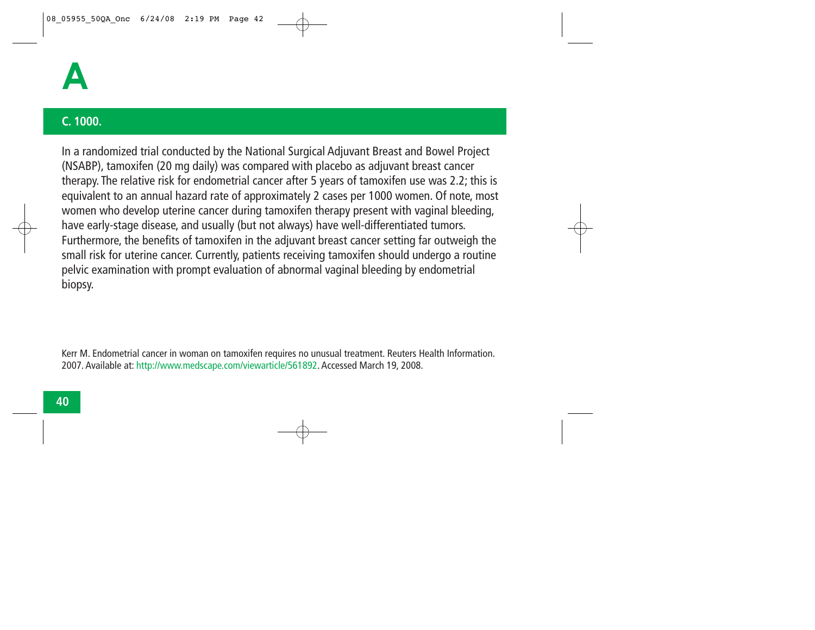

## **C. 1000.**

In a randomized trial conducted by the National Surgical Adjuvant Breast and Bowel Project (NSABP), tamoxifen (20 mg daily) was compared with placebo as adjuvant breast cancer therapy. The relative risk for endometrial cancer after 5 years of tamoxifen use was 2.2; this is equivalent to an annual hazard rate of approximately 2 cases per 1000 women. Of note, most women who develop uterine cancer during tamoxifen therapy present with vaginal bleeding, have early-stage disease, and usually (but not always) have well-differentiated tumors. Furthermore, the benefits of tamoxifen in the adjuvant breast cancer setting far outweigh the small risk for uterine cancer. Currently, patients receiving tamoxifen should undergo a routine pelvic examination with prompt evaluation of abnormal vaginal bleeding by endometrial biopsy.

Kerr M. Endometrial cancer in woman on tamoxifen requires no unusual treatment. Reuters Health Information. 2007. Available at: http://www.medscape.com/viewarticle/561892. Accessed March 19, 2008.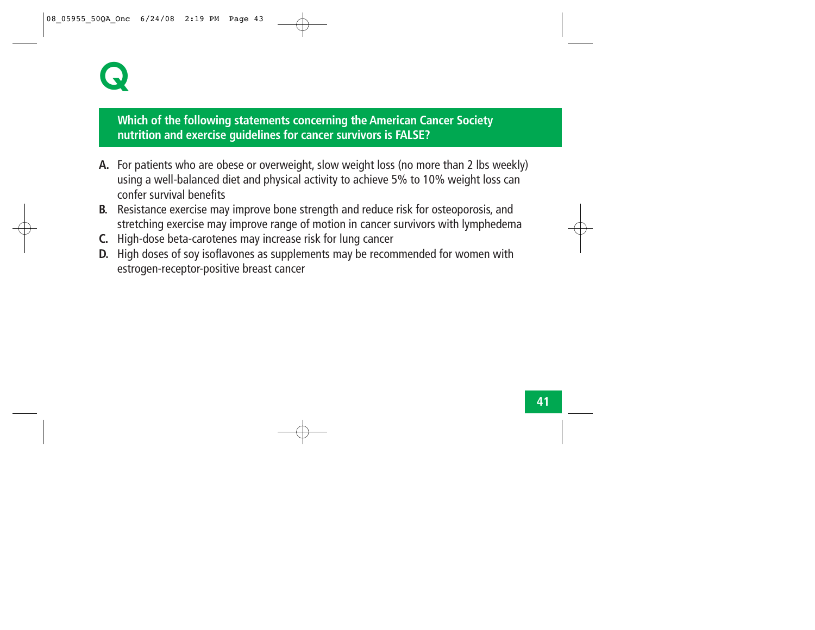# **Q**

# **Which of the following statements concerning the American Cancer Society nutrition and exercise guidelines for cancer survivors is FALSE?**

- **A.** For patients who are obese or overweight, slow weight loss (no more than 2 lbs weekly) using a well-balanced diet and physical activity to achieve 5% to 10% weight loss can confer survival benefits
- **B.** Resistance exercise may improve bone strength and reduce risk for osteoporosis, and stretching exercise may improve range of motion in cancer survivors with lymphedema
- **C.** High-dose beta-carotenes may increase risk for lung cancer
- **D.** High doses of soy isoflavones as supplements may be recommended for women with estrogen-receptor-positive breast cancer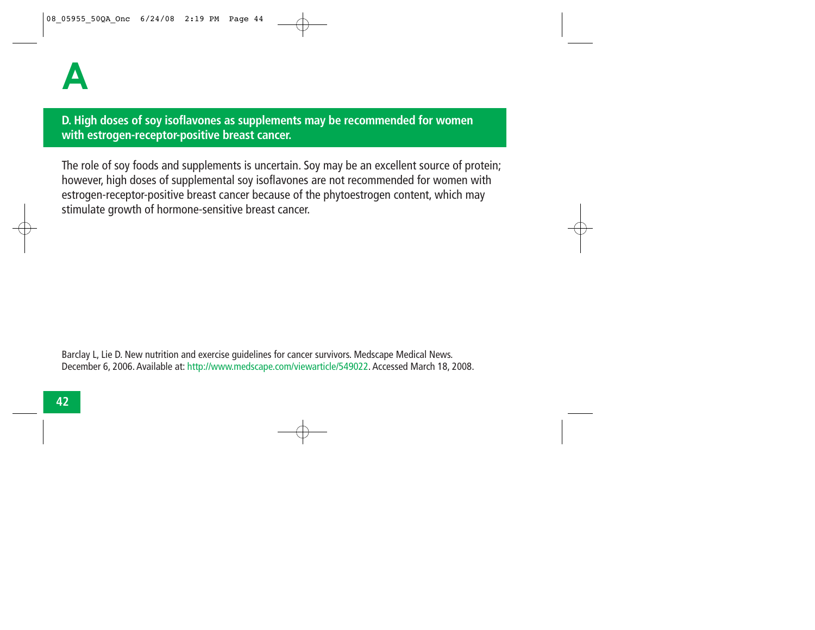**D. High doses of soy isoflavones as supplements may be recommended for women with estrogen-receptor-positive breast cancer.** 

The role of soy foods and supplements is uncertain. Soy may be an excellent source of protein; however, high doses of supplemental soy isoflavones are not recommended for women with estrogen-receptor-positive breast cancer because of the phytoestrogen content, which may stimulate growth of hormone-sensitive breast cancer.

Barclay L, Lie D. New nutrition and exercise guidelines for cancer survivors. Medscape Medical News. December 6, 2006. Available at: http://www.medscape.com/viewarticle/549022. Accessed March 18, 2008.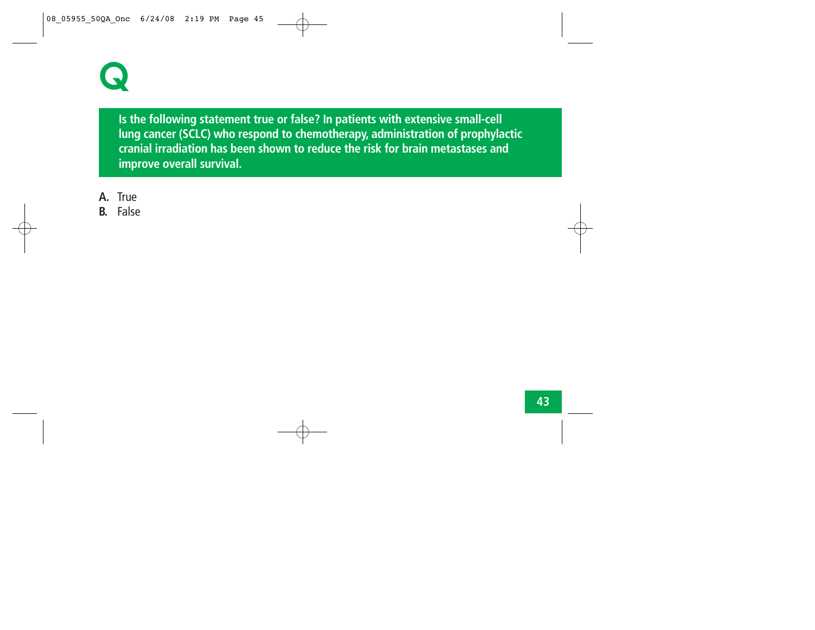

**Is the following statement true or false? In patients with extensive small-cell lung cancer (SCLC) who respond to chemotherapy, administration of prophylactic cranial irradiation has been shown to reduce the risk for brain metastases and improve overall survival.**

- **A.** True
- **B.** False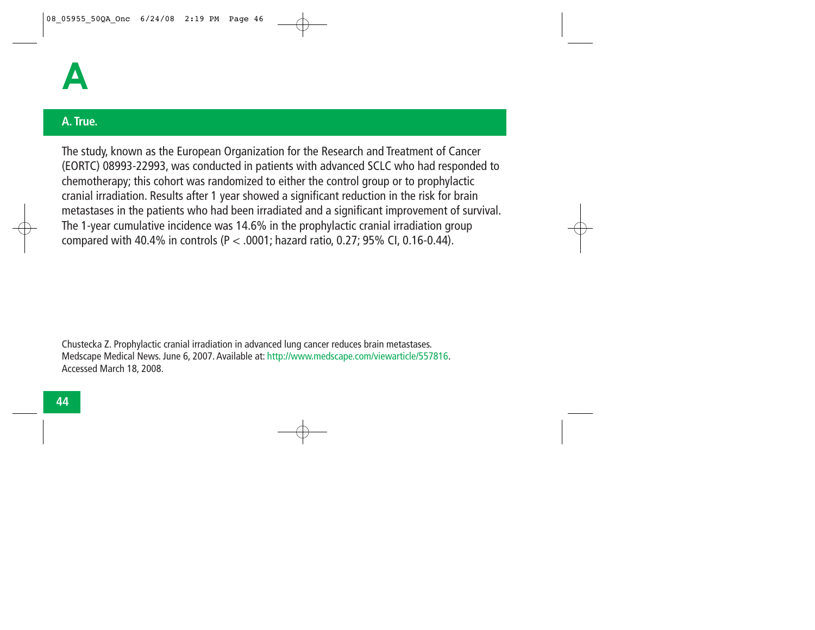

### **A. True.**

The study, known as the European Organization for the Research and Treatment of Cancer (EORTC) 08993-22993, was conducted in patients with advanced SCLC who had responded to chemotherapy; this cohort was randomized to either the control group or to prophylactic cranial irradiation. Results after 1 year showed a significant reduction in the risk for brain metastases in the patients who had been irradiated and a significant improvement of survival. The 1-year cumulative incidence was 14.6% in the prophylactic cranial irradiation group compared with 40.4% in controls (P < .0001; hazard ratio, 0.27; 95% CI, 0.16-0.44).

Chustecka Z. Prophylactic cranial irradiation in advanced lung cancer reduces brain metastases. Medscape Medical News. June 6, 2007. Available at: http://www.medscape.com/viewarticle/557816. Accessed March 18, 2008.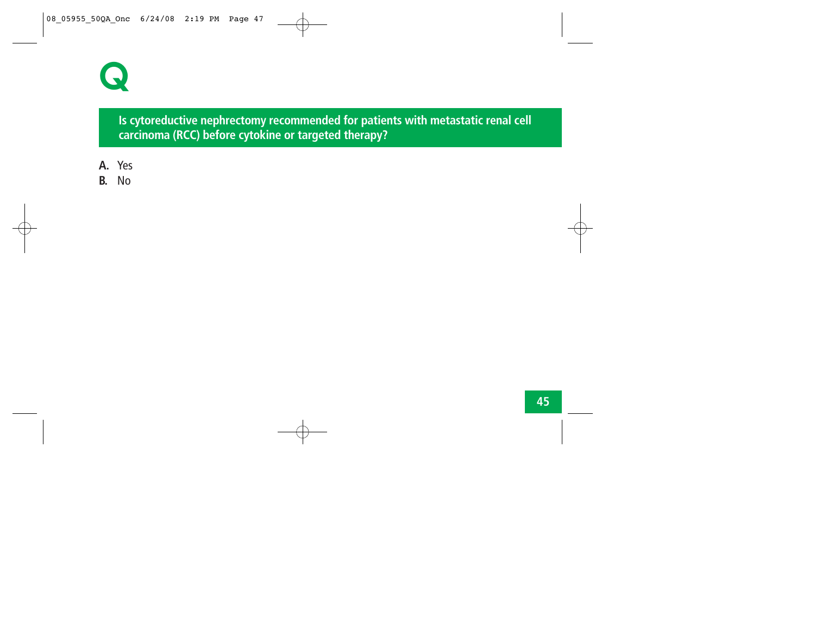

**Is cytoreductive nephrectomy recommended for patients with metastatic renal cell carcinoma (RCC) before cytokine or targeted therapy?**

- **A.** Yes
- **B.** No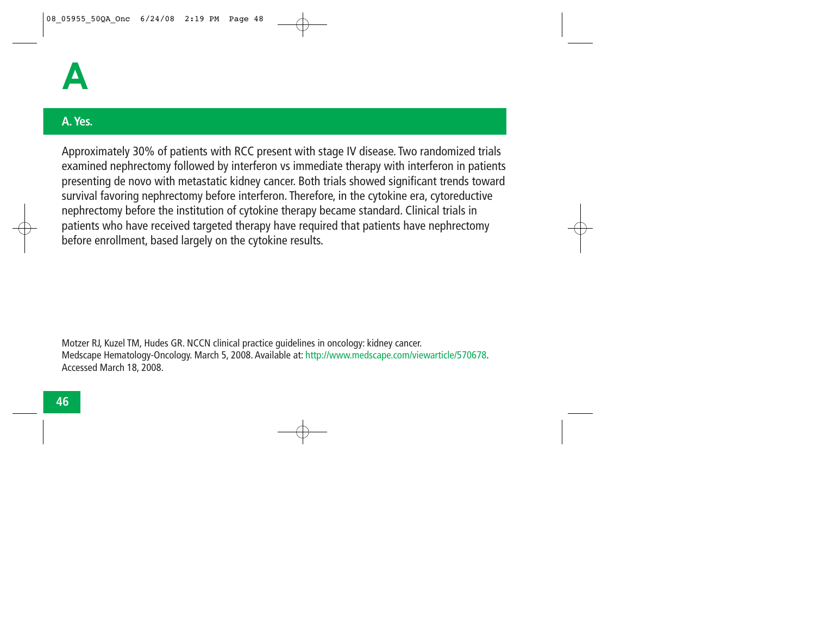

### **A. Yes.**

Approximately 30% of patients with RCC present with stage IV disease. Two randomized trials examined nephrectomy followed by interferon vs immediate therapy with interferon in patients presenting de novo with metastatic kidney cancer. Both trials showed significant trends toward survival favoring nephrectomy before interferon. Therefore, in the cytokine era, cytoreductive nephrectomy before the institution of cytokine therapy became standard. Clinical trials in patients who have received targeted therapy have required that patients have nephrectomy before enrollment, based largely on the cytokine results.

Motzer RJ, Kuzel TM, Hudes GR. NCCN clinical practice guidelines in oncology: kidney cancer. Medscape Hematology-Oncology. March 5, 2008. Available at: http://www.medscape.com/viewarticle/570678. Accessed March 18, 2008.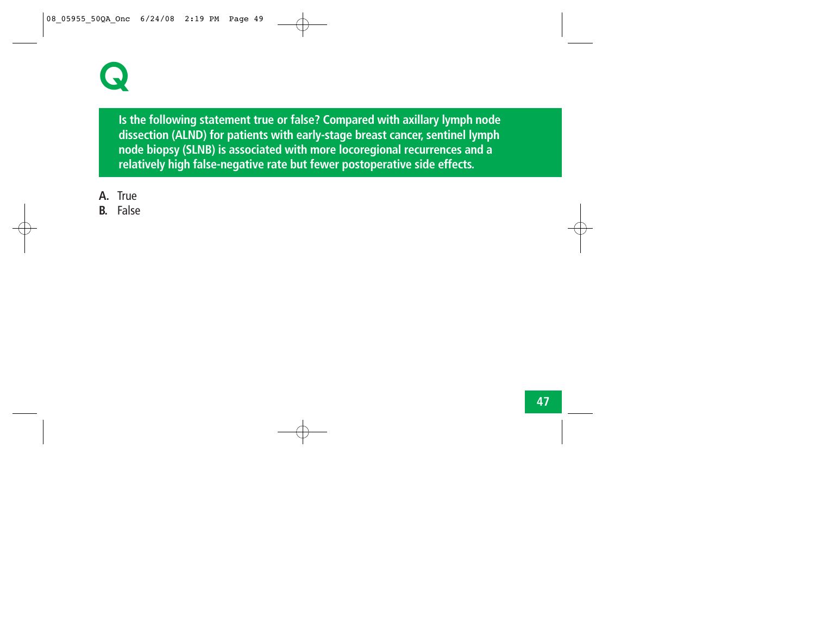

**Is the following statement true or false? Compared with axillary lymph node dissection (ALND) for patients with early-stage breast cancer, sentinel lymph node biopsy (SLNB) is associated with more locoregional recurrences and a relatively high false-negative rate but fewer postoperative side effects.** 

- **A.** True
- **B.** False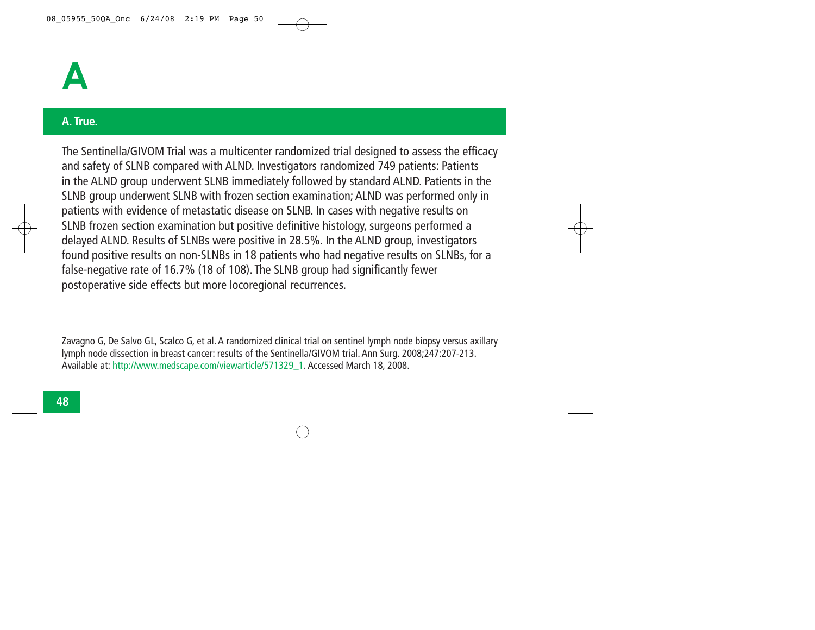## **A. True.**

The Sentinella/GIVOM Trial was a multicenter randomized trial designed to assess the efficacy and safety of SLNB compared with ALND. Investigators randomized 749 patients: Patients in the ALND group underwent SLNB immediately followed by standard ALND. Patients in the SLNB group underwent SLNB with frozen section examination; ALND was performed only in patients with evidence of metastatic disease on SLNB. In cases with negative results on SLNB frozen section examination but positive definitive histology, surgeons performed a delayed ALND. Results of SLNBs were positive in 28.5%. In the ALND group, investigators found positive results on non-SLNBs in 18 patients who had negative results on SLNBs, for a false-negative rate of 16.7% (18 of 108). The SLNB group had significantly fewer postoperative side effects but more locoregional recurrences.

Zavagno G, De Salvo GL, Scalco G, et al. A randomized clinical trial on sentinel lymph node biopsy versus axillary lymph node dissection in breast cancer: results of the Sentinella/GIVOM trial. Ann Surg. 2008;247:207-213. Available at: http://www.medscape.com/viewarticle/571329\_1. Accessed March 18, 2008.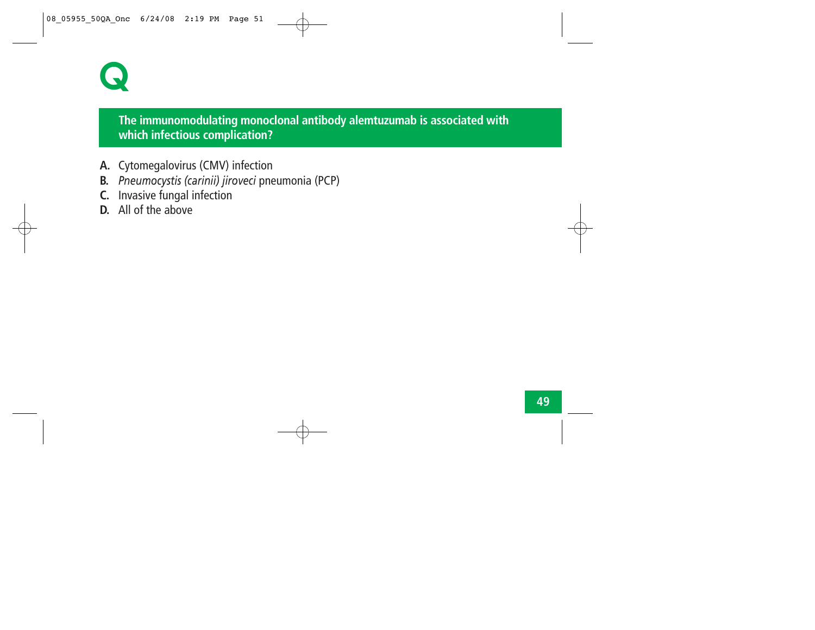

# **The immunomodulating monoclonal antibody alemtuzumab is associated with which infectious complication?**

- **A.** Cytomegalovirus (CMV) infection
- **B.** *Pneumocystis (carinii) jiroveci* pneumonia (PCP)
- **C.** Invasive fungal infection
- **D.** All of the above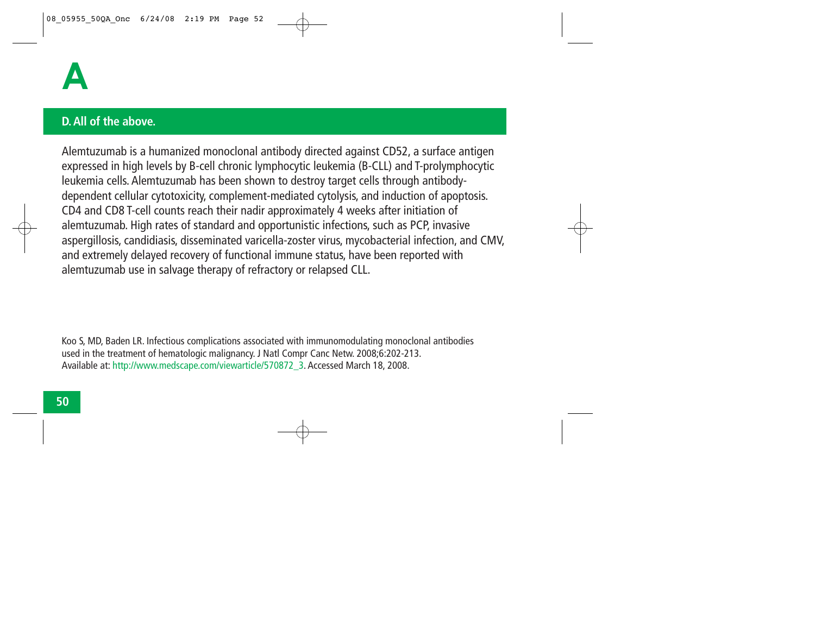

#### **D. All of the above.**

Alemtuzumab is a humanized monoclonal antibody directed against CD52, a surface antigen expressed in high levels by B-cell chronic lymphocytic leukemia (B-CLL) and T-prolymphocytic leukemia cells. Alemtuzumab has been shown to destroy target cells through antibodydependent cellular cytotoxicity, complement-mediated cytolysis, and induction of apoptosis. CD4 and CD8 T-cell counts reach their nadir approximately 4 weeks after initiation of alemtuzumab. High rates of standard and opportunistic infections, such as PCP, invasive aspergillosis, candidiasis, disseminated varicella-zoster virus, mycobacterial infection, and CMV, and extremely delayed recovery of functional immune status, have been reported with alemtuzumab use in salvage therapy of refractory or relapsed CLL.

Koo S, MD, Baden LR. Infectious complications associated with immunomodulating monoclonal antibodies used in the treatment of hematologic malignancy. J Natl Compr Canc Netw. 2008;6:202-213. Available at: http://www.medscape.com/viewarticle/570872\_3. Accessed March 18, 2008.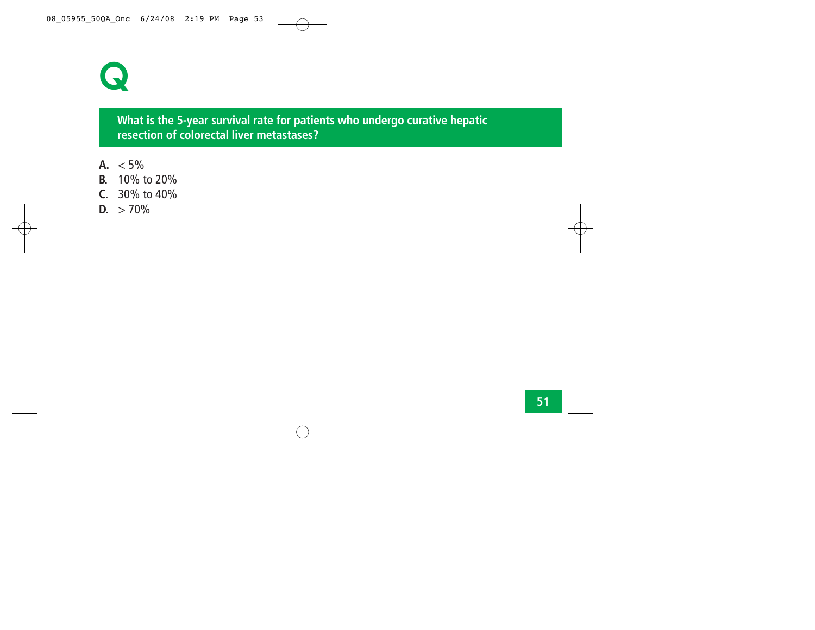

## **What is the 5-year survival rate for patients who undergo curative hepatic resection of colorectal liver metastases?**

- A.  $< 5\%$
- **B.** 10% to 20%
- **C.** 30% to 40%
- **D.**  $> 70\%$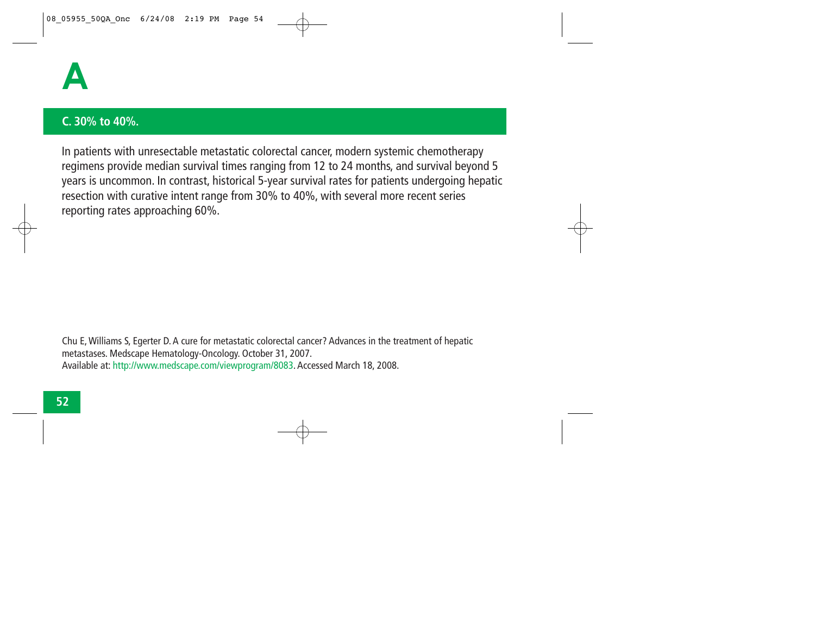

#### **C. 30% to 40%.**

In patients with unresectable metastatic colorectal cancer, modern systemic chemotherapy regimens provide median survival times ranging from 12 to 24 months, and survival beyond 5 years is uncommon. In contrast, historical 5-year survival rates for patients undergoing hepatic resection with curative intent range from 30% to 40%, with several more recent series reporting rates approaching 60%.

Chu E, Williams S, Egerter D. A cure for metastatic colorectal cancer? Advances in the treatment of hepatic metastases. Medscape Hematology-Oncology. October 31, 2007. Available at: http://www.medscape.com/viewprogram/8083. Accessed March 18, 2008.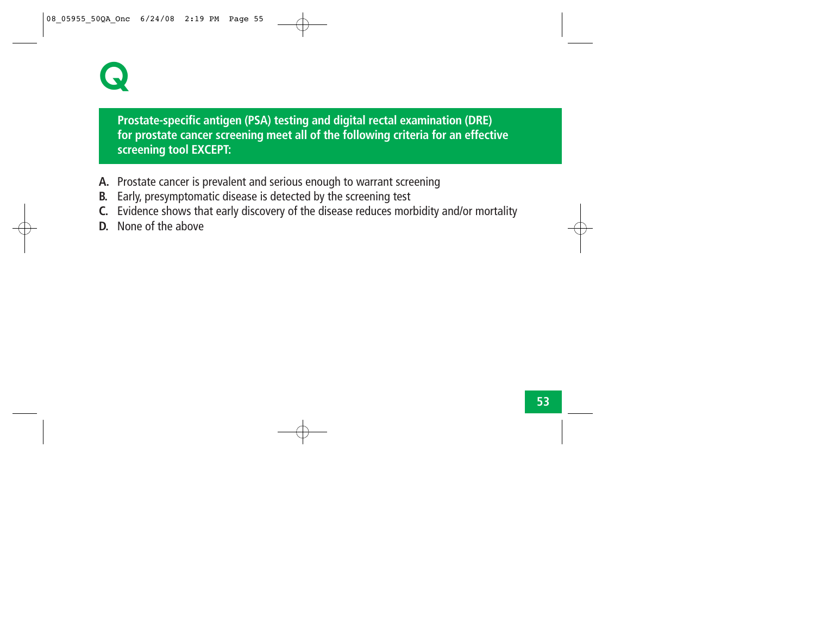

**Prostate-specific antigen (PSA) testing and digital rectal examination (DRE) for prostate cancer screening meet all of the following criteria for an effective screening tool EXCEPT:**

- **A.** Prostate cancer is prevalent and serious enough to warrant screening
- **B.** Early, presymptomatic disease is detected by the screening test
- **C.** Evidence shows that early discovery of the disease reduces morbidity and/or mortality
- **D.** None of the above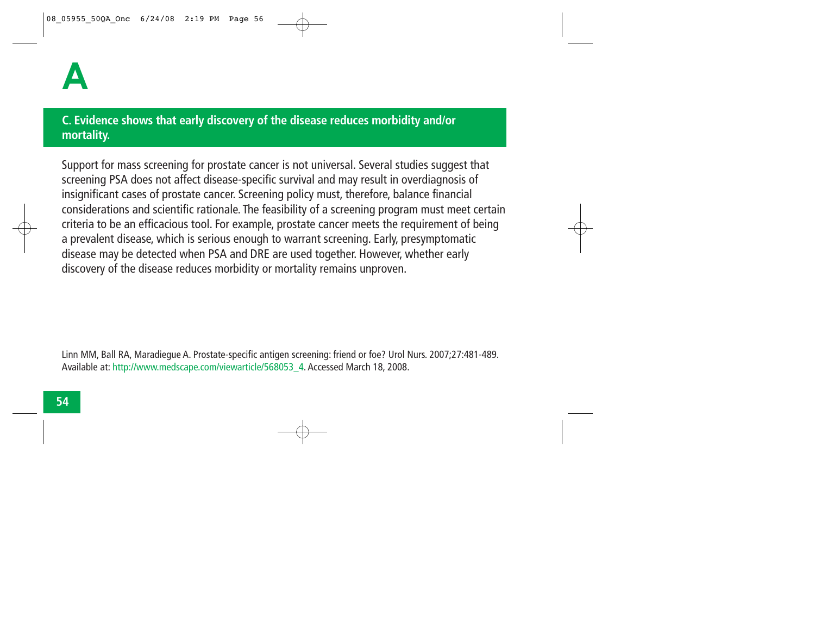# **C. Evidence shows that early discovery of the disease reduces morbidity and/or mortality.**

Support for mass screening for prostate cancer is not universal. Several studies suggest that screening PSA does not affect disease-specific survival and may result in overdiagnosis of insignificant cases of prostate cancer. Screening policy must, therefore, balance financial considerations and scientific rationale. The feasibility of a screening program must meet certain criteria to be an efficacious tool. For example, prostate cancer meets the requirement of being a prevalent disease, which is serious enough to warrant screening. Early, presymptomatic disease may be detected when PSA and DRE are used together. However, whether early discovery of the disease reduces morbidity or mortality remains unproven.

Linn MM, Ball RA, Maradiegue A. Prostate-specific antigen screening: friend or foe? Urol Nurs. 2007;27:481-489. Available at: http://www.medscape.com/viewarticle/568053\_4. Accessed March 18, 2008.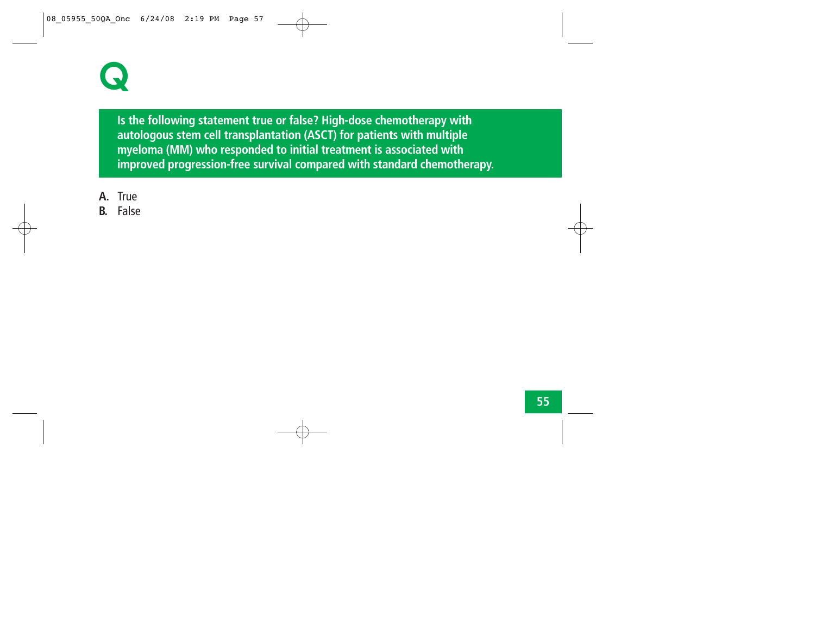

**Is the following statement true or false? High-dose chemotherapy with autologous stem cell transplantation (ASCT) for patients with multiple myeloma (MM) who responded to initial treatment is associated with improved progression-free survival compared with standard chemotherapy.**

- **A.** True
- **B.** False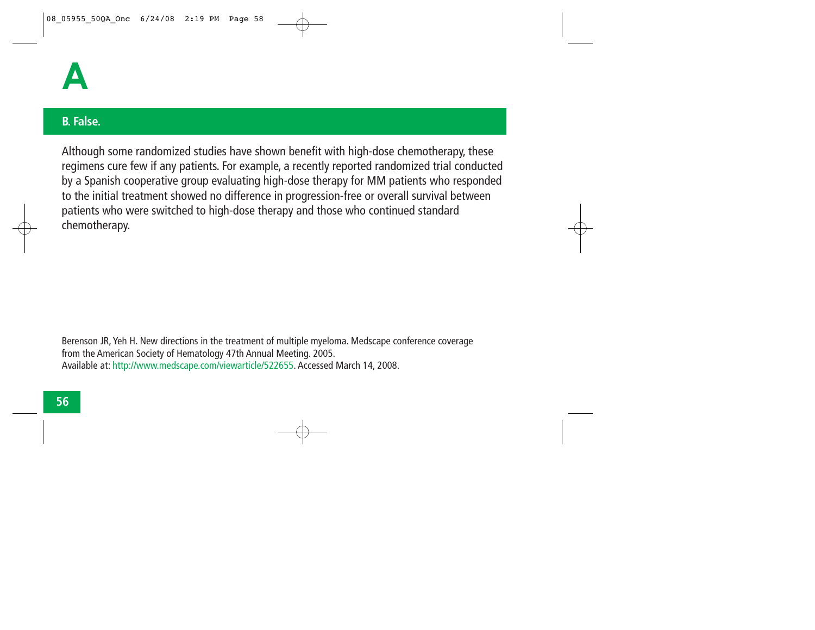

## **B. False.**

Although some randomized studies have shown benefit with high-dose chemotherapy, these regimens cure few if any patients. For example, a recently reported randomized trial conducted by a Spanish cooperative group evaluating high-dose therapy for MM patients who responded to the initial treatment showed no difference in progression-free or overall survival between patients who were switched to high-dose therapy and those who continued standard chemotherapy.

Berenson JR, Yeh H. New directions in the treatment of multiple myeloma. Medscape conference coverage from the American Society of Hematology 47th Annual Meeting. 2005. Available at: http://www.medscape.com/viewarticle/522655. Accessed March 14, 2008.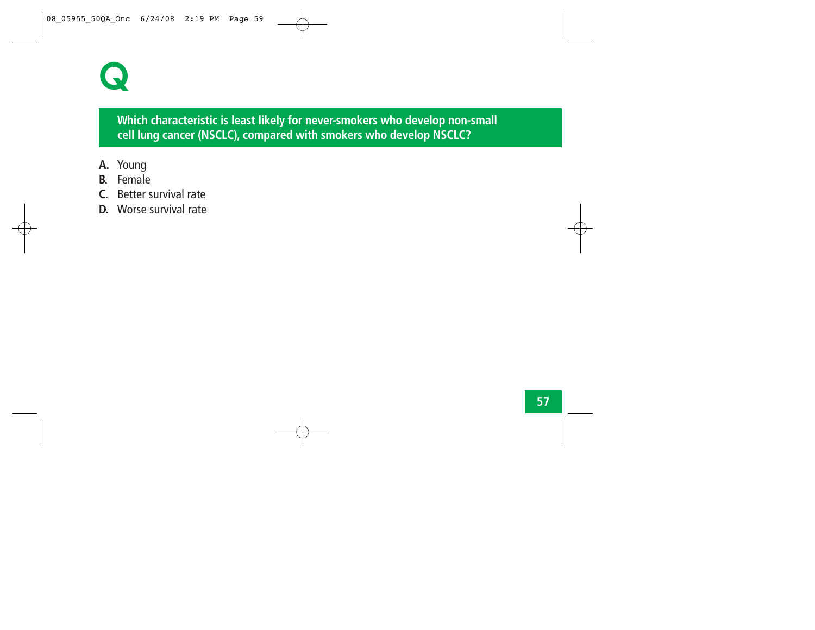# **Q**

# **Which characteristic is least likely for never-smokers who develop non-small cell lung cancer (NSCLC), compared with smokers who develop NSCLC?**

- **A.** Young
- **B.** Female
- **C.** Better survival rate
- **D.** Worse survival rate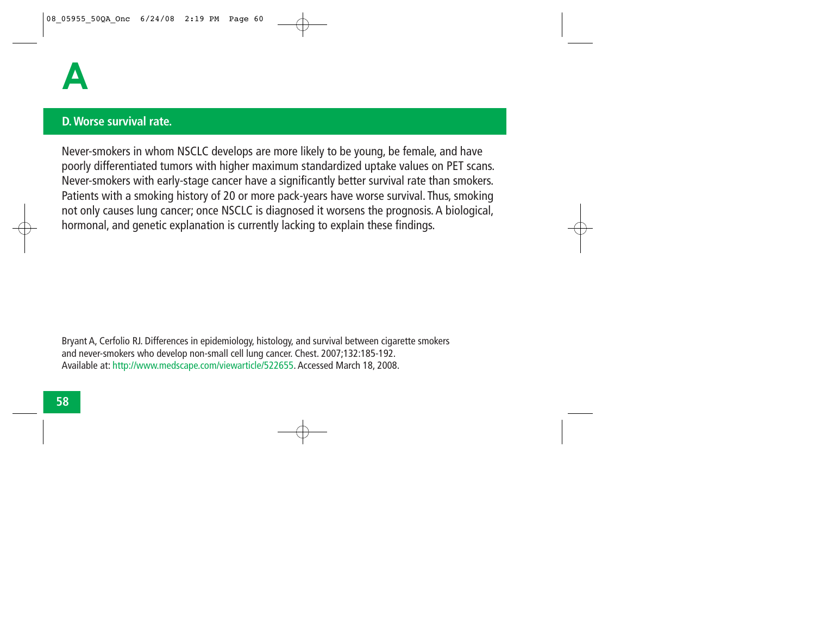

#### **D. Worse survival rate.**

Never-smokers in whom NSCLC develops are more likely to be young, be female, and have poorly differentiated tumors with higher maximum standardized uptake values on PET scans. Never-smokers with early-stage cancer have a significantly better survival rate than smokers. Patients with a smoking history of 20 or more pack-years have worse survival. Thus, smoking not only causes lung cancer; once NSCLC is diagnosed it worsens the prognosis. A biological, hormonal, and genetic explanation is currently lacking to explain these findings.

Bryant A, Cerfolio RJ. Differences in epidemiology, histology, and survival between cigarette smokers and never-smokers who develop non-small cell lung cancer. Chest. 2007;132:185-192. Available at: http://www.medscape.com/viewarticle/522655. Accessed March 18, 2008.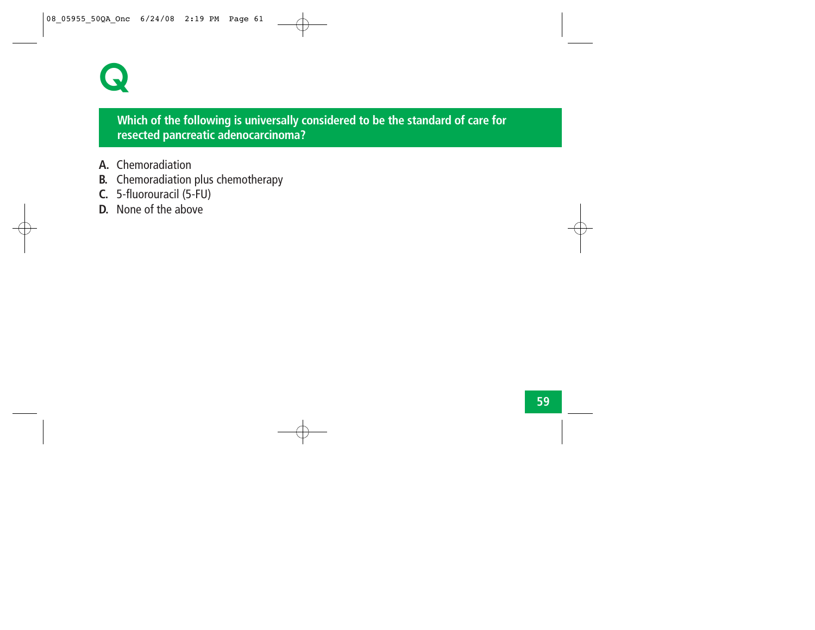

# **Which of the following is universally considered to be the standard of care for resected pancreatic adenocarcinoma?**

- **A.** Chemoradiation
- **B.** Chemoradiation plus chemotherapy
- **C.** 5-fluorouracil (5-FU)
- **D.** None of the above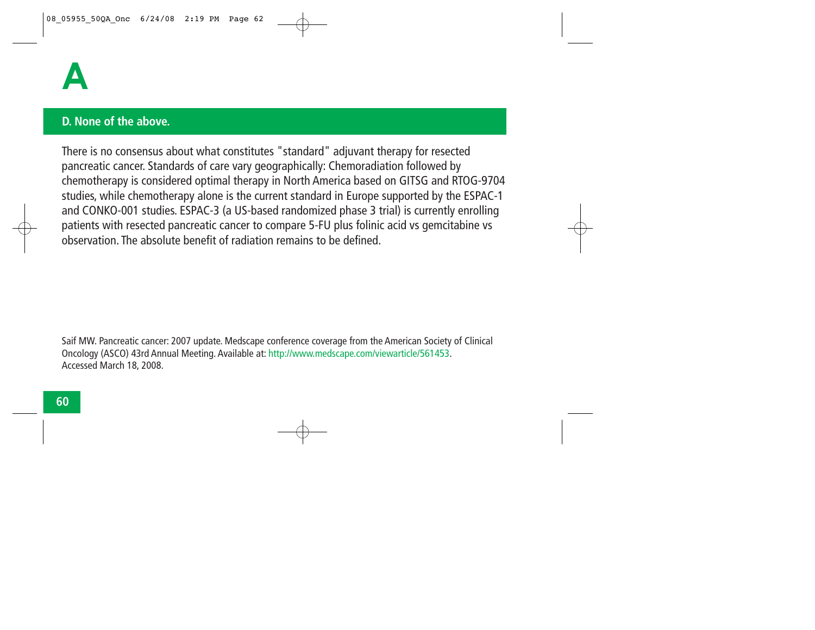### **D. None of the above.**

There is no consensus about what constitutes "standard" adjuvant therapy for resected pancreatic cancer. Standards of care vary geographically: Chemoradiation followed by chemotherapy is considered optimal therapy in North America based on GITSG and RTOG-9704 studies, while chemotherapy alone is the current standard in Europe supported by the ESPAC-1 and CONKO-001 studies. ESPAC-3 (a US-based randomized phase 3 trial) is currently enrolling patients with resected pancreatic cancer to compare 5-FU plus folinic acid vs gemcitabine vs observation. The absolute benefit of radiation remains to be defined.

Saif MW. Pancreatic cancer: 2007 update. Medscape conference coverage from the American Society of Clinical Oncology (ASCO) 43rd Annual Meeting. Available at: http://www.medscape.com/viewarticle/561453. Accessed March 18, 2008.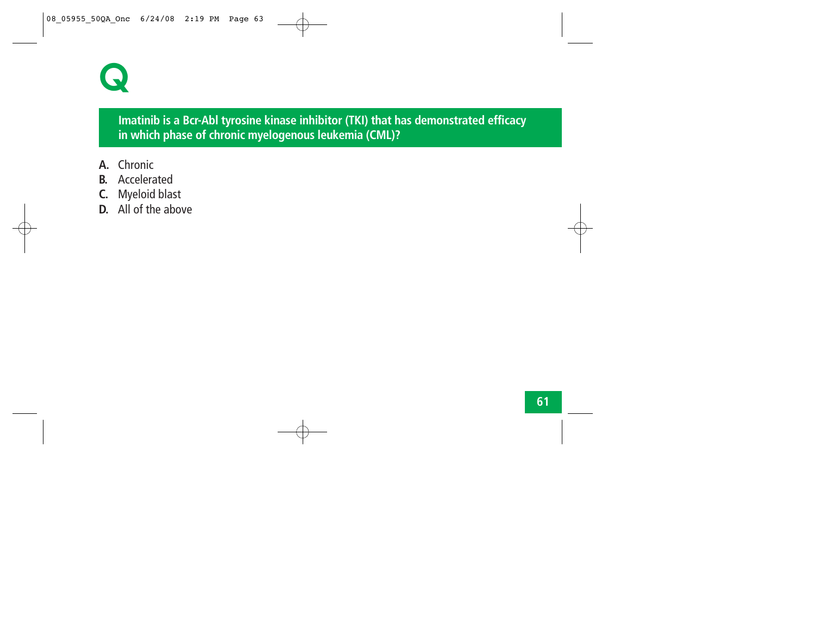

# **Imatinib is a Bcr-Abl tyrosine kinase inhibitor (TKI) that has demonstrated efficacy in which phase of chronic myelogenous leukemia (CML)?**

- **A.** Chronic
- **B.** Accelerated
- **C.** Myeloid blast
- **D.** All of the above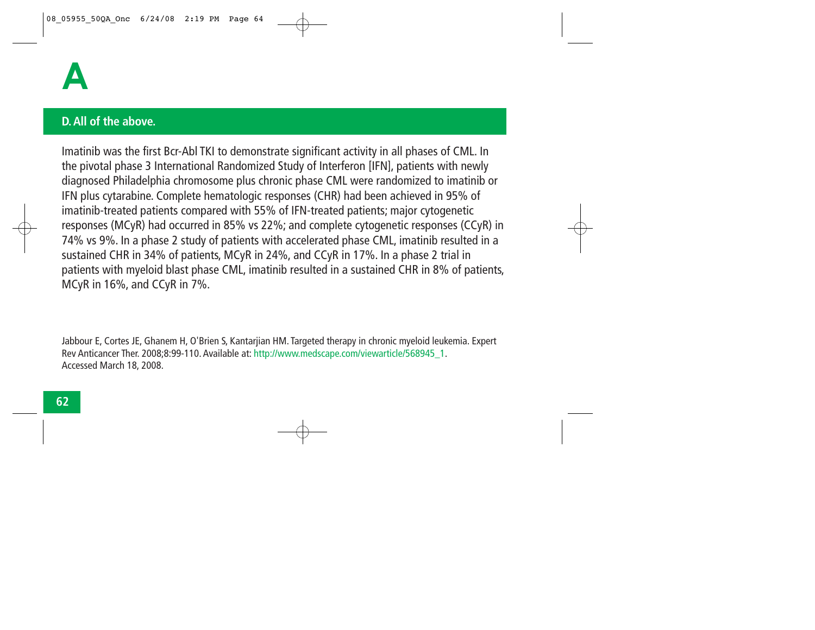

#### **D. All of the above.**

Imatinib was the first Bcr-Abl TKI to demonstrate significant activity in all phases of CML. In the pivotal phase 3 International Randomized Study of Interferon [IFN], patients with newly diagnosed Philadelphia chromosome plus chronic phase CML were randomized to imatinib or IFN plus cytarabine. Complete hematologic responses (CHR) had been achieved in 95% of imatinib-treated patients compared with 55% of IFN-treated patients; major cytogenetic responses (MCyR) had occurred in 85% vs 22%; and complete cytogenetic responses (CCyR) in 74% vs 9%. In a phase 2 study of patients with accelerated phase CML, imatinib resulted in a sustained CHR in 34% of patients, MCyR in 24%, and CCyR in 17%. In a phase 2 trial in patients with myeloid blast phase CML, imatinib resulted in a sustained CHR in 8% of patients, MCyR in 16%, and CCyR in 7%.

Jabbour E, Cortes JE, Ghanem H, O'Brien S, Kantarjian HM. Targeted therapy in chronic myeloid leukemia. Expert Rev Anticancer Ther. 2008;8:99-110. Available at: http://www.medscape.com/viewarticle/568945\_1. Accessed March 18, 2008.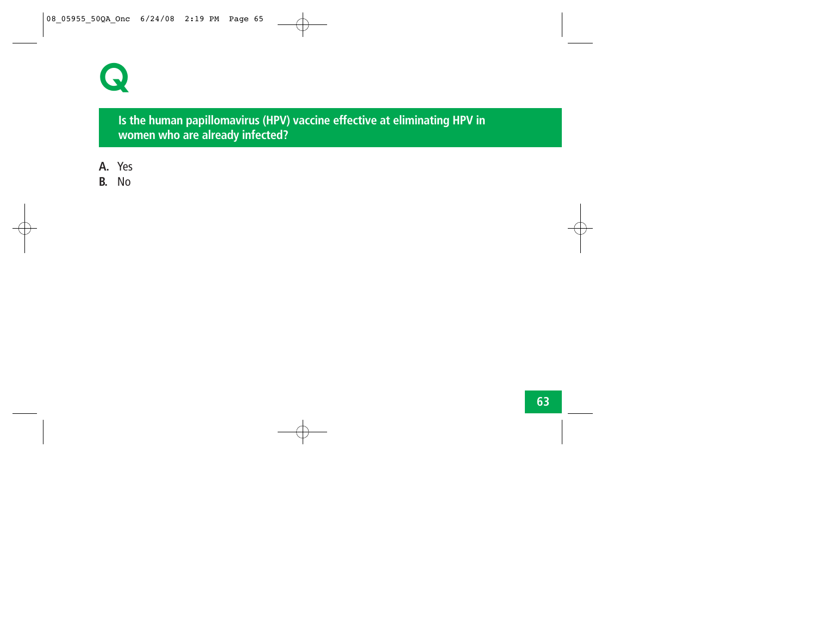

**Is the human papillomavirus (HPV) vaccine effective at eliminating HPV in women who are already infected?**

- **A.** Yes
- **B.** No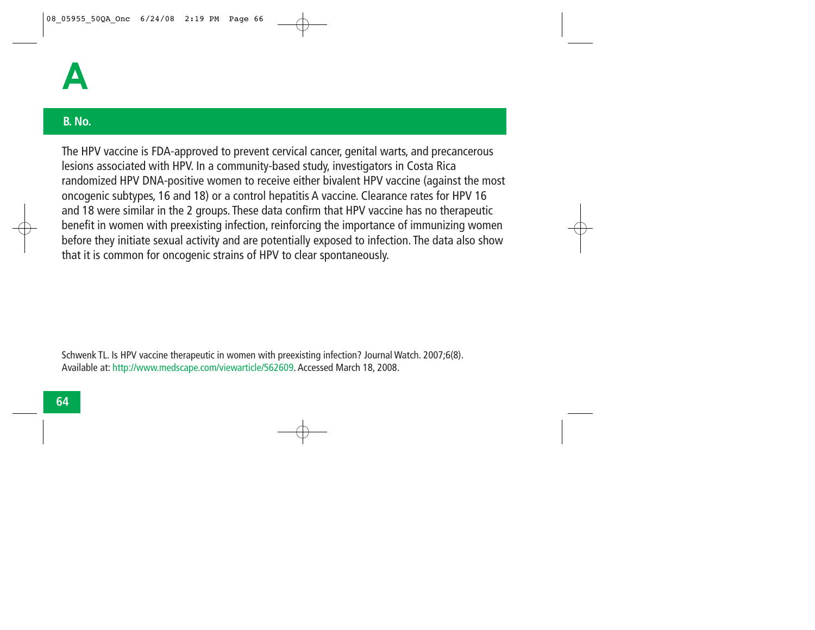

## **B. No.**

The HPV vaccine is FDA-approved to prevent cervical cancer, genital warts, and precancerous lesions associated with HPV. In a community-based study, investigators in Costa Rica randomized HPV DNA-positive women to receive either bivalent HPV vaccine (against the most oncogenic subtypes, 16 and 18) or a control hepatitis A vaccine. Clearance rates for HPV 16 and 18 were similar in the 2 groups. These data confirm that HPV vaccine has no therapeutic benefit in women with preexisting infection, reinforcing the importance of immunizing women before they initiate sexual activity and are potentially exposed to infection. The data also show that it is common for oncogenic strains of HPV to clear spontaneously.

Schwenk TL. Is HPV vaccine therapeutic in women with preexisting infection? Journal Watch. 2007;6(8). Available at: http://www.medscape.com/viewarticle/562609. Accessed March 18, 2008.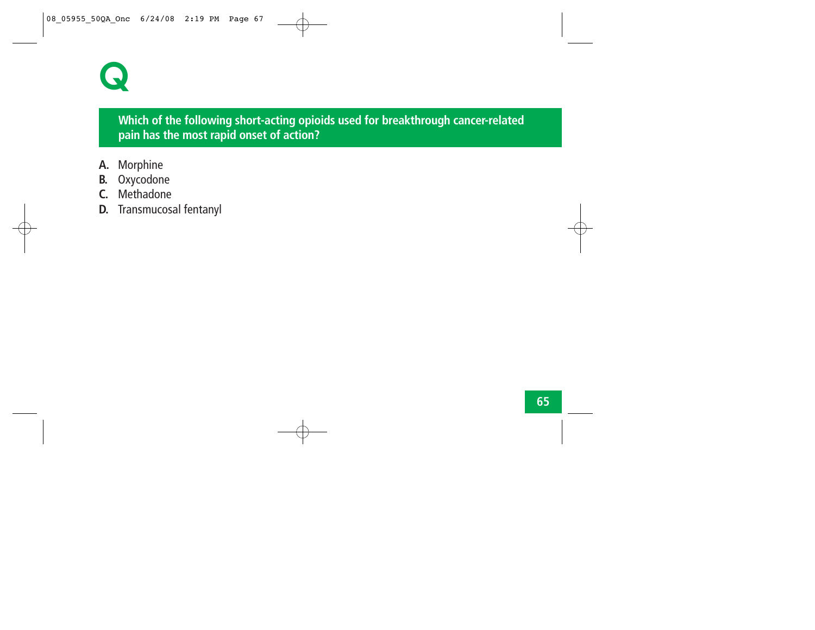# **Q**

# **Which of the following short-acting opioids used for breakthrough cancer-related pain has the most rapid onset of action?**

- **A.** Morphine
- **B.** Oxycodone
- **C.** Methadone
- **D.** Transmucosal fentanyl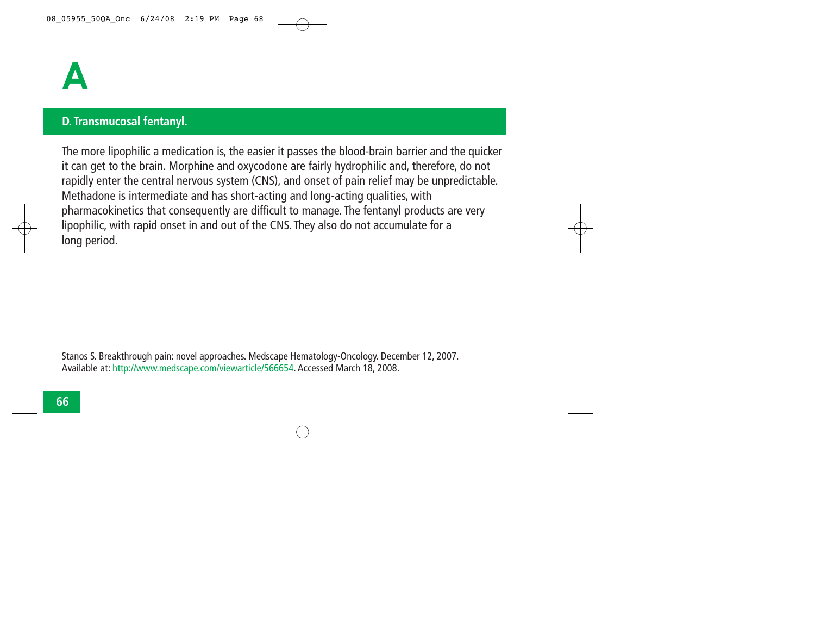### **D. Transmucosal fentanyl.**

The more lipophilic a medication is, the easier it passes the blood-brain barrier and the quicker it can get to the brain. Morphine and oxycodone are fairly hydrophilic and, therefore, do not rapidly enter the central nervous system (CNS), and onset of pain relief may be unpredictable. Methadone is intermediate and has short-acting and long-acting qualities, with pharmacokinetics that consequently are difficult to manage. The fentanyl products are very lipophilic, with rapid onset in and out of the CNS. They also do not accumulate for a long period.

Stanos S. Breakthrough pain: novel approaches. Medscape Hematology-Oncology. December 12, 2007. Available at: http://www.medscape.com/viewarticle/566654. Accessed March 18, 2008.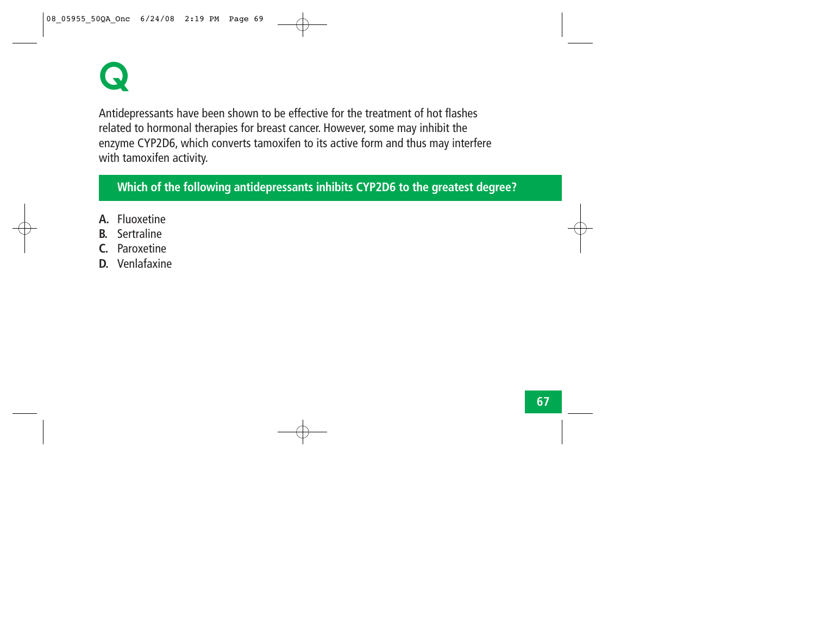# **Q**

Antidepressants have been shown to be effective for the treatment of hot flashes related to hormonal therapies for breast cancer. However, some may inhibit the enzyme CYP2D6, which converts tamoxifen to its active form and thus may interfere with tamoxifen activity.

# **Which of the following antidepressants inhibits CYP2D6 to the greatest degree?**

- **A.** Fluoxetine
- **B.** Sertraline
- **C.** Paroxetine
- **D.** Venlafaxine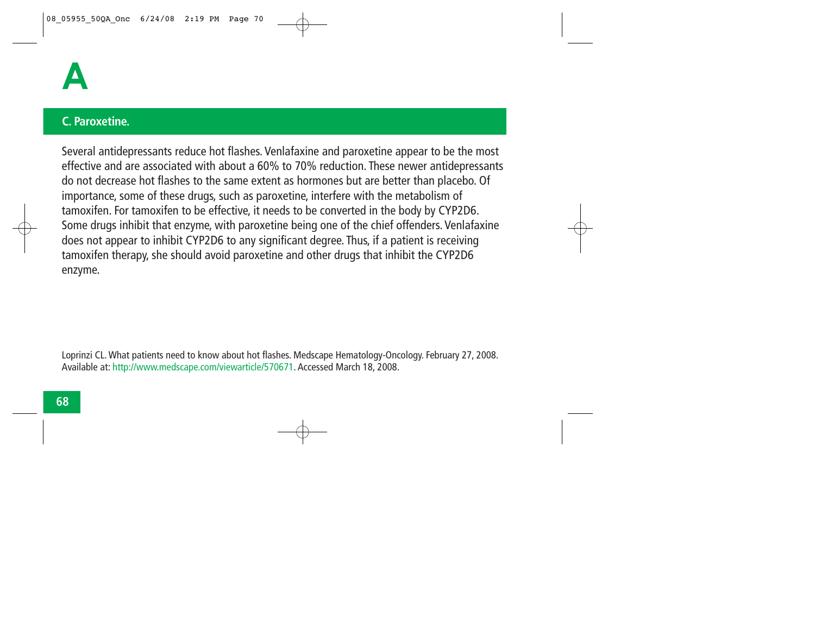

#### **C. Paroxetine.**

Several antidepressants reduce hot flashes. Venlafaxine and paroxetine appear to be the most effective and are associated with about a 60% to 70% reduction. These newer antidepressants do not decrease hot flashes to the same extent as hormones but are better than placebo. Of importance, some of these drugs, such as paroxetine, interfere with the metabolism of tamoxifen. For tamoxifen to be effective, it needs to be converted in the body by CYP2D6. Some drugs inhibit that enzyme, with paroxetine being one of the chief offenders. Venlafaxine does not appear to inhibit CYP2D6 to any significant degree. Thus, if a patient is receiving tamoxifen therapy, she should avoid paroxetine and other drugs that inhibit the CYP2D6 enzyme.

Loprinzi CL. What patients need to know about hot flashes. Medscape Hematology-Oncology. February 27, 2008. Available at: http://www.medscape.com/viewarticle/570671. Accessed March 18, 2008.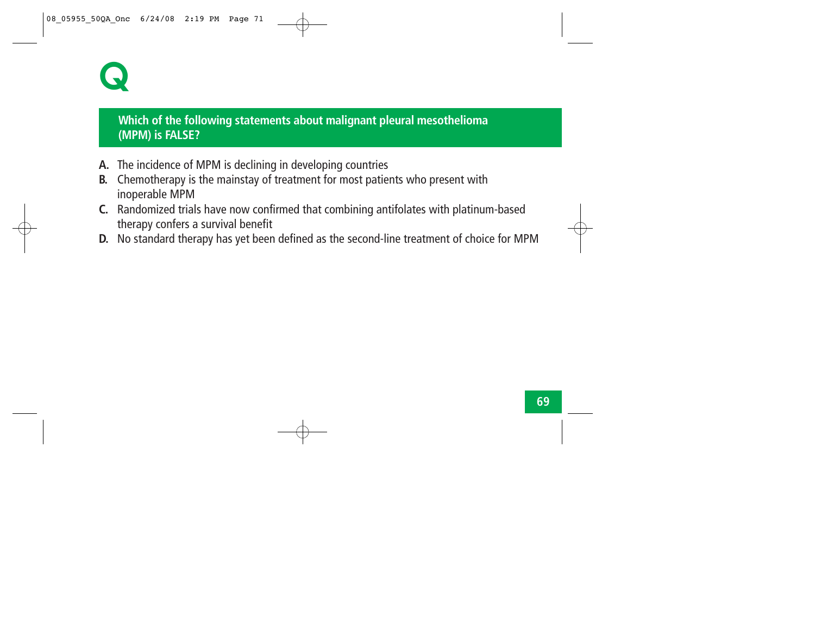# **Q**

# **Which of the following statements about malignant pleural mesothelioma (MPM) is FALSE?**

- **A.** The incidence of MPM is declining in developing countries
- **B.** Chemotherapy is the mainstay of treatment for most patients who present with inoperable MPM
- **C.** Randomized trials have now confirmed that combining antifolates with platinum-based therapy confers a survival benefit
- **D.** No standard therapy has yet been defined as the second-line treatment of choice for MPM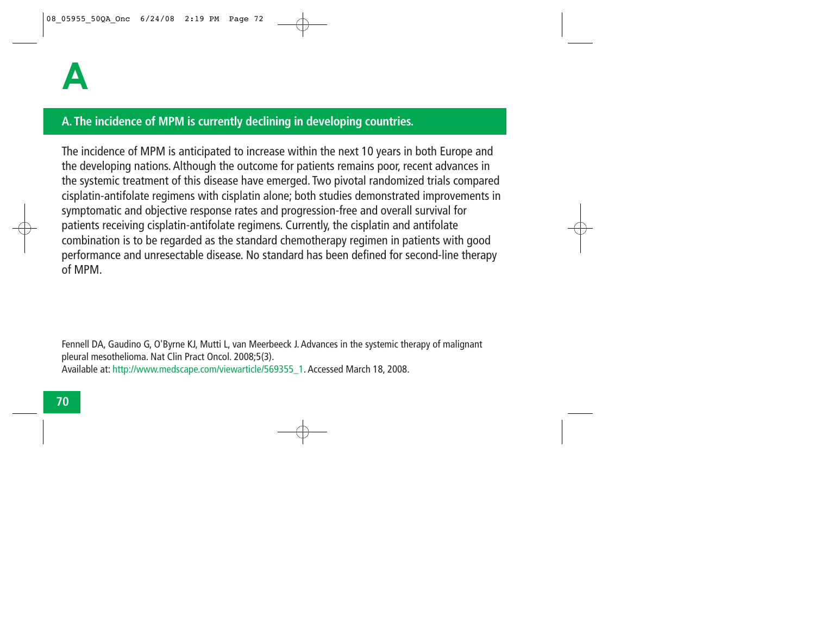## **A. The incidence of MPM is currently declining in developing countries.**

The incidence of MPM is anticipated to increase within the next 10 years in both Europe and the developing nations. Although the outcome for patients remains poor, recent advances in the systemic treatment of this disease have emerged. Two pivotal randomized trials compared cisplatin-antifolate regimens with cisplatin alone; both studies demonstrated improvements in symptomatic and objective response rates and progression-free and overall survival for patients receiving cisplatin-antifolate regimens. Currently, the cisplatin and antifolate combination is to be regarded as the standard chemotherapy regimen in patients with good performance and unresectable disease. No standard has been defined for second-line therapy of MPM.

Fennell DA, Gaudino G, O'Byrne KJ, Mutti L, van Meerbeeck J. Advances in the systemic therapy of malignant pleural mesothelioma. Nat Clin Pract Oncol. 2008;5(3). Available at: http://www.medscape.com/viewarticle/569355\_1. Accessed March 18, 2008.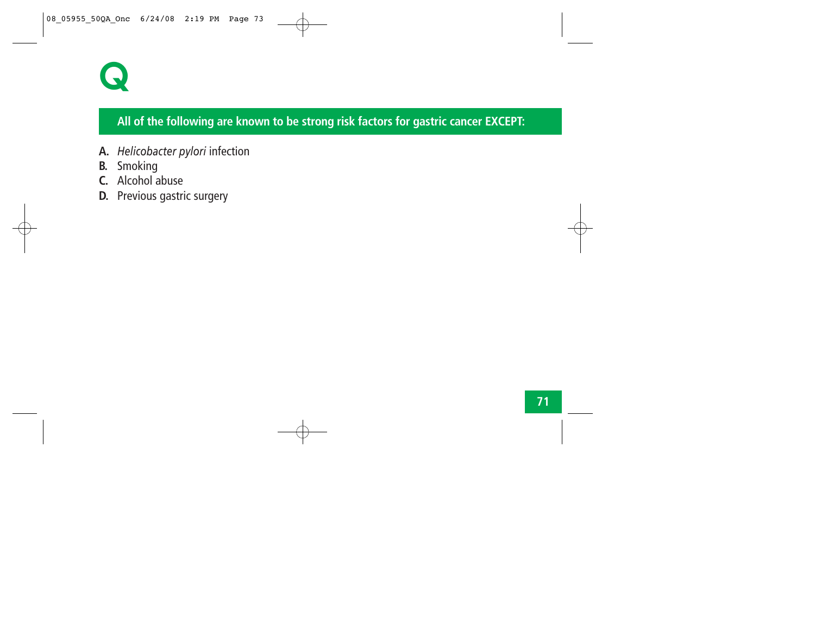

# **All of the following are known to be strong risk factors for gastric cancer EXCEPT:**

- **A.** *Helicobacter pylori* infection
- **B.** Smoking
- **C.** Alcohol abuse
- **D.** Previous gastric surgery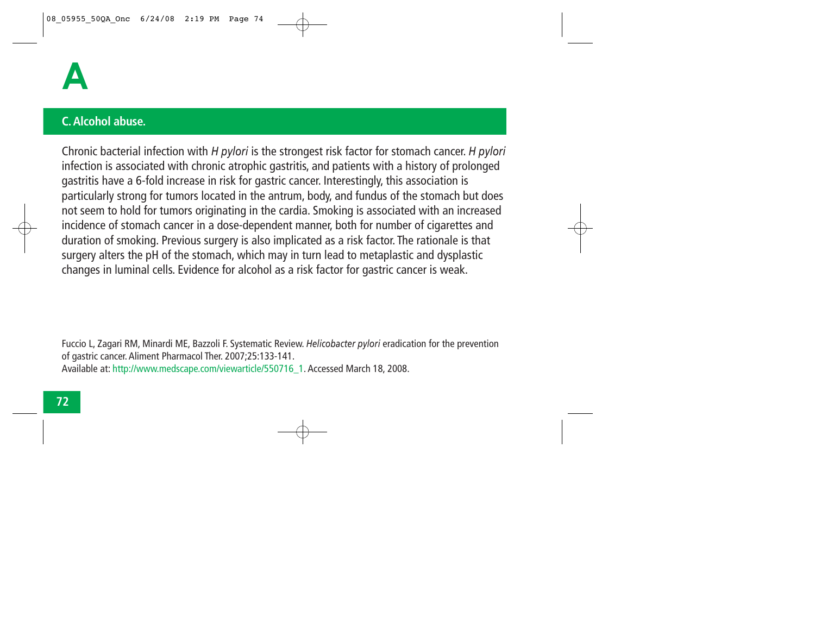

#### **C. Alcohol abuse.**

Chronic bacterial infection with *H pylori* is the strongest risk factor for stomach cancer. *H pylori* infection is associated with chronic atrophic gastritis, and patients with a history of prolonged gastritis have a 6-fold increase in risk for gastric cancer. Interestingly, this association is particularly strong for tumors located in the antrum, body, and fundus of the stomach but does not seem to hold for tumors originating in the cardia. Smoking is associated with an increased incidence of stomach cancer in a dose-dependent manner, both for number of cigarettes and duration of smoking. Previous surgery is also implicated as a risk factor. The rationale is that surgery alters the pH of the stomach, which may in turn lead to metaplastic and dysplastic changes in luminal cells. Evidence for alcohol as a risk factor for gastric cancer is weak.

Fuccio L, Zagari RM, Minardi ME, Bazzoli F. Systematic Review. *Helicobacter pylori* eradication for the prevention of gastric cancer. Aliment Pharmacol Ther. 2007;25:133-141. Available at: http://www.medscape.com/viewarticle/550716\_1. Accessed March 18, 2008.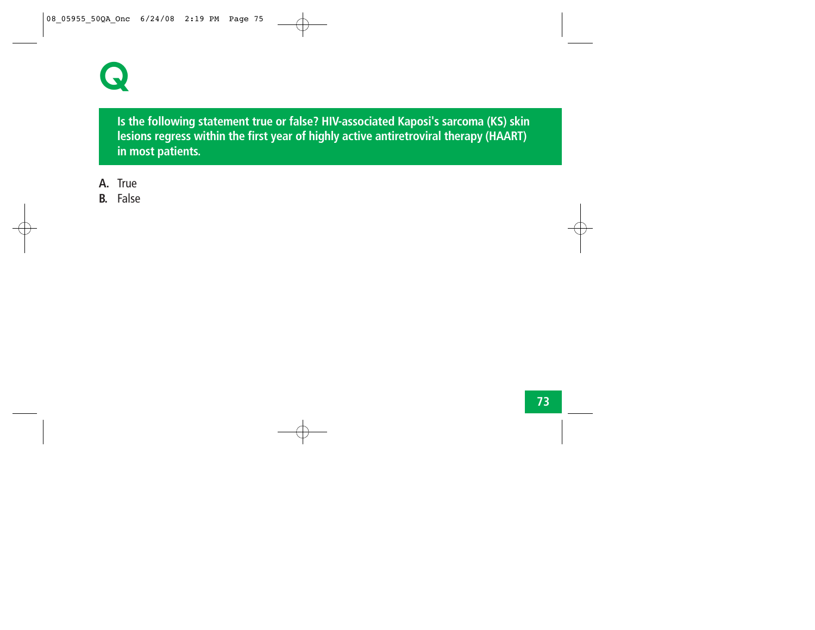

**Is the following statement true or false? HIV-associated Kaposi's sarcoma (KS) skin lesions regress within the first year of highly active antiretroviral therapy (HAART) in most patients.**

- **A.** True
- **B.** False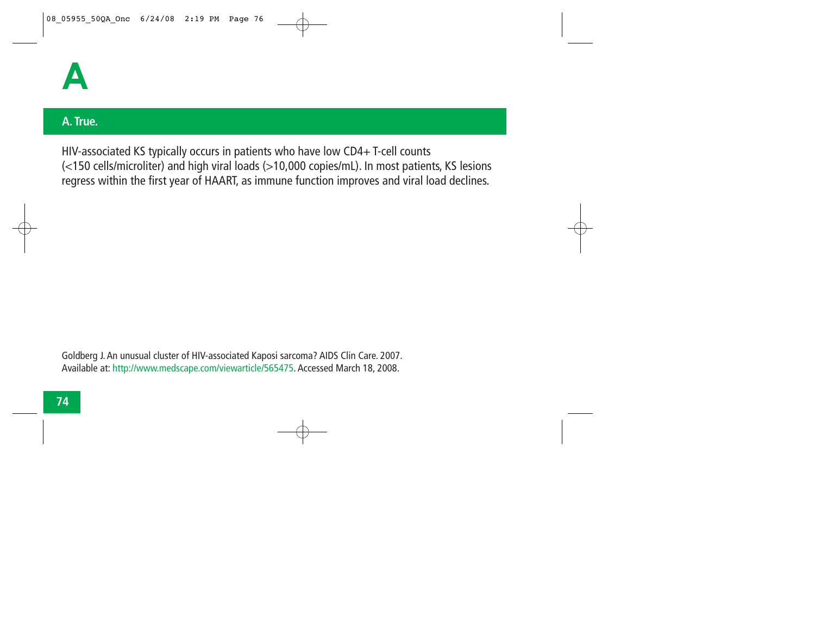

#### **A. True.**

HIV-associated KS typically occurs in patients who have low CD4+ T-cell counts (<150 cells/microliter) and high viral loads (>10,000 copies/mL). In most patients, KS lesions regress within the first year of HAART, as immune function improves and viral load declines.

Goldberg J. An unusual cluster of HIV-associated Kaposi sarcoma? AIDS Clin Care. 2007. Available at: http://www.medscape.com/viewarticle/565475. Accessed March 18, 2008.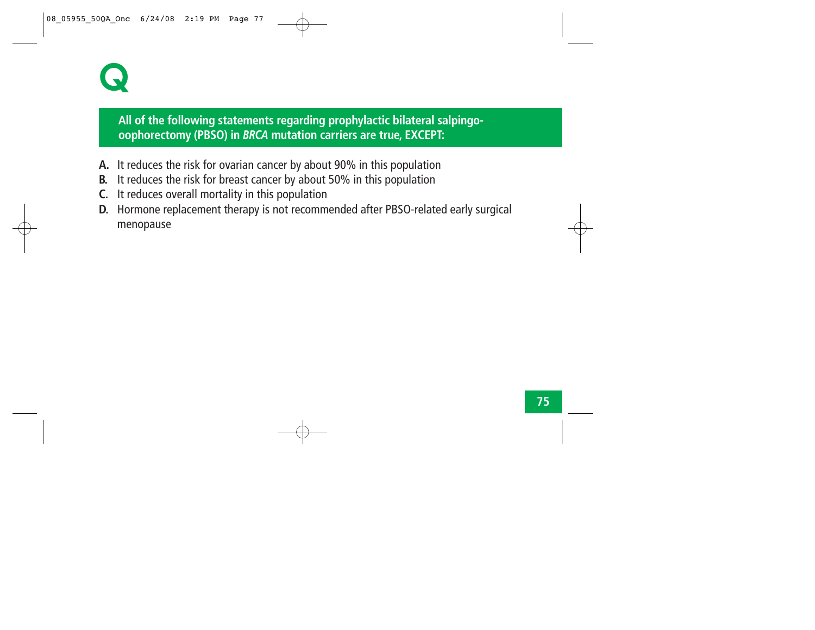

# **All of the following statements regarding prophylactic bilateral salpingooophorectomy (PBSO) in** *BRCA* **mutation carriers are true, EXCEPT:**

- **A.** It reduces the risk for ovarian cancer by about 90% in this population
- **B.** It reduces the risk for breast cancer by about 50% in this population
- **C.** It reduces overall mortality in this population
- **D.** Hormone replacement therapy is not recommended after PBSO-related early surgical menopause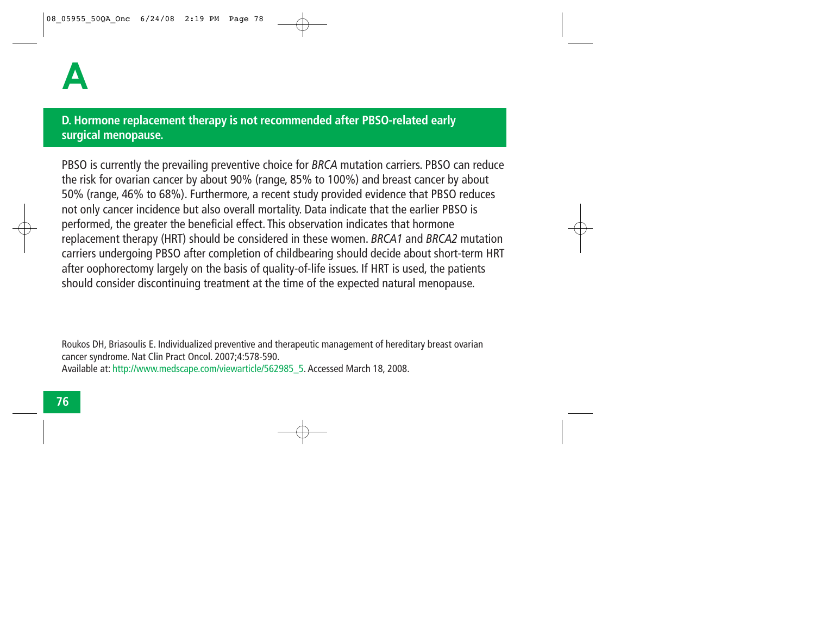# **D. Hormone replacement therapy is not recommended after PBSO-related early surgical menopause.**

PBSO is currently the prevailing preventive choice for *BRCA* mutation carriers. PBSO can reduce the risk for ovarian cancer by about 90% (range, 85% to 100%) and breast cancer by about 50% (range, 46% to 68%). Furthermore, a recent study provided evidence that PBSO reduces not only cancer incidence but also overall mortality. Data indicate that the earlier PBSO is performed, the greater the beneficial effect. This observation indicates that hormone replacement therapy (HRT) should be considered in these women. *BRCA1* and *BRCA2* mutation carriers undergoing PBSO after completion of childbearing should decide about short-term HRT after oophorectomy largely on the basis of quality-of-life issues. If HRT is used, the patients should consider discontinuing treatment at the time of the expected natural menopause.

Roukos DH, Briasoulis E. Individualized preventive and therapeutic management of hereditary breast ovarian cancer syndrome. Nat Clin Pract Oncol. 2007;4:578-590. Available at: http://www.medscape.com/viewarticle/562985\_5. Accessed March 18, 2008.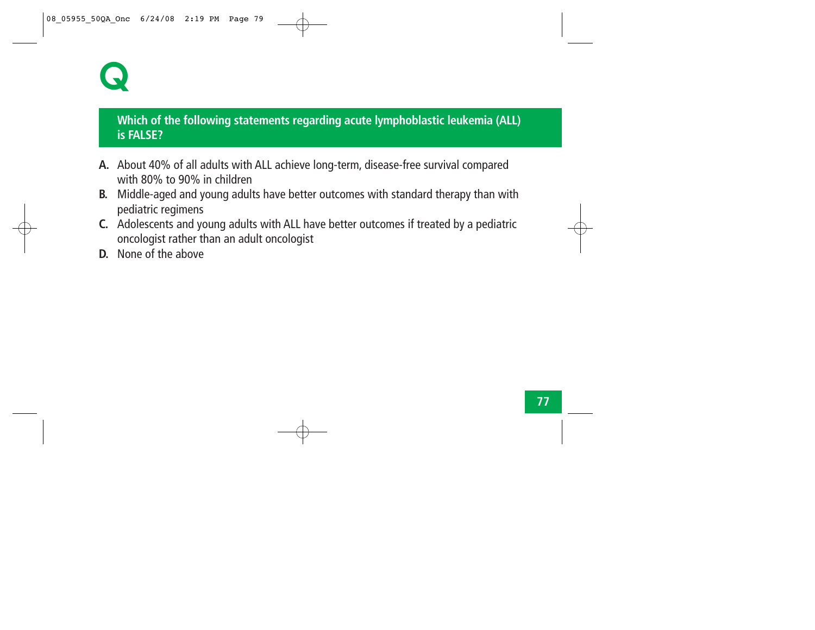# **Q**

# **Which of the following statements regarding acute lymphoblastic leukemia (ALL) is FALSE?**

- **A.** About 40% of all adults with ALL achieve long-term, disease-free survival compared with 80% to 90% in children
- **B.** Middle-aged and young adults have better outcomes with standard therapy than with pediatric regimens
- **C.** Adolescents and young adults with ALL have better outcomes if treated by a pediatric oncologist rather than an adult oncologist
- **D.** None of the above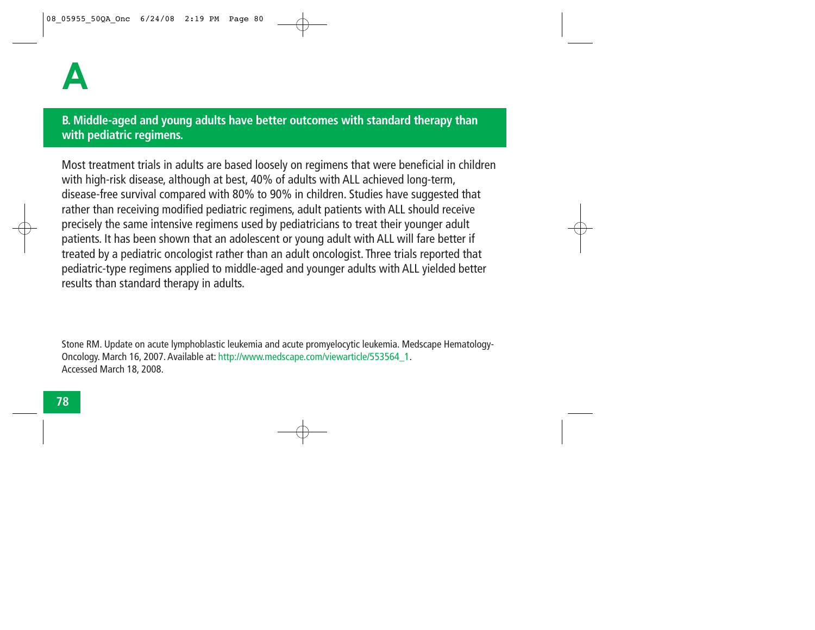### **B. Middle-aged and young adults have better outcomes with standard therapy than with pediatric regimens.**

Most treatment trials in adults are based loosely on regimens that were beneficial in children with high-risk disease, although at best, 40% of adults with ALL achieved long-term, disease-free survival compared with 80% to 90% in children. Studies have suggested that rather than receiving modified pediatric regimens, adult patients with ALL should receive precisely the same intensive regimens used by pediatricians to treat their younger adult patients. It has been shown that an adolescent or young adult with ALL will fare better if treated by a pediatric oncologist rather than an adult oncologist. Three trials reported that pediatric-type regimens applied to middle-aged and younger adults with ALL yielded better results than standard therapy in adults.

Stone RM. Update on acute lymphoblastic leukemia and acute promyelocytic leukemia. Medscape Hematology-Oncology. March 16, 2007. Available at: http://www.medscape.com/viewarticle/553564\_1. Accessed March 18, 2008.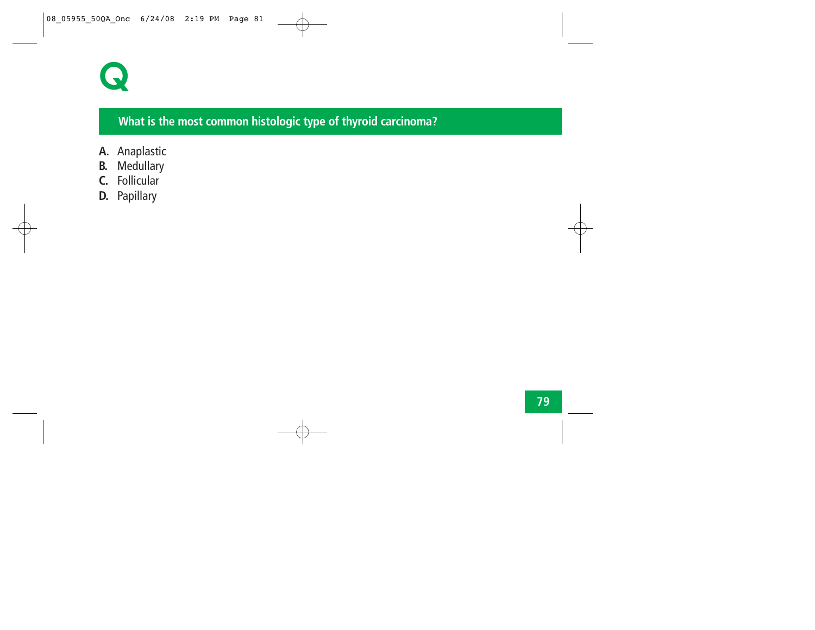

# **What is the most common histologic type of thyroid carcinoma?**

- **A.** Anaplastic
- **B.** Medullary
- **C.** Follicular
- **D.** Papillary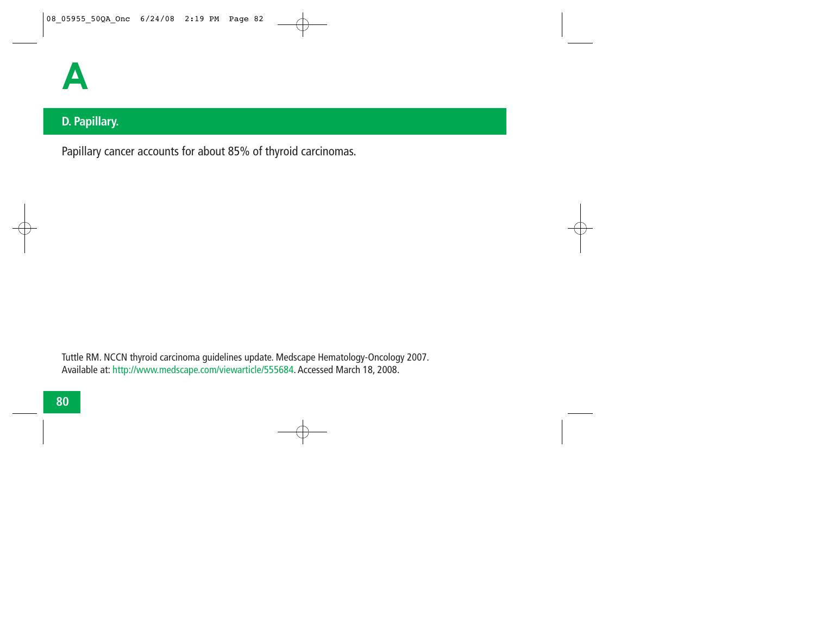

# **D. Papillary.**

Papillary cancer accounts for about 85% of thyroid carcinomas.

Tuttle RM. NCCN thyroid carcinoma guidelines update. Medscape Hematology-Oncology 2007. Available at: http://www.medscape.com/viewarticle/555684. Accessed March 18, 2008.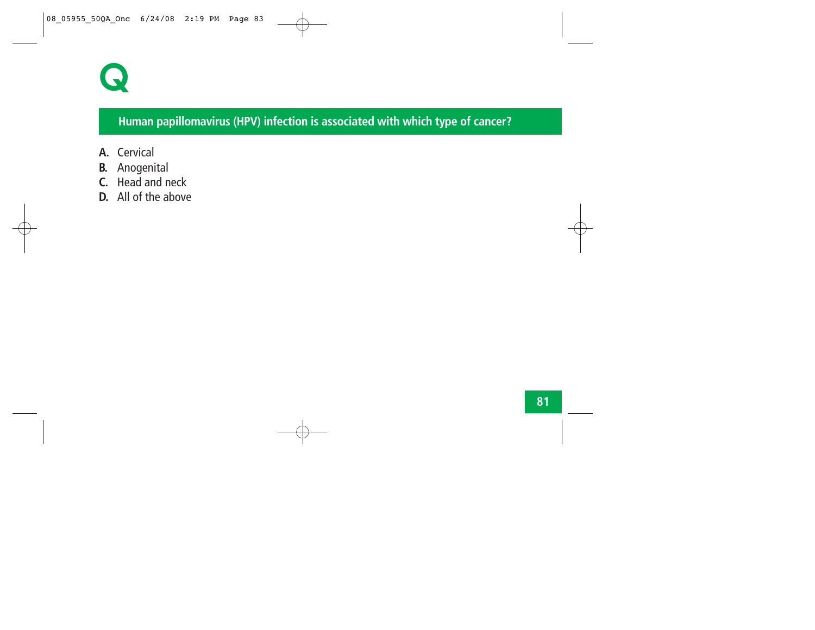

# **Human papillomavirus (HPV) infection is associated with which type of cancer?**

- **A.** Cervical
- **B.** Anogenital
- **C.** Head and neck
- **D.** All of the above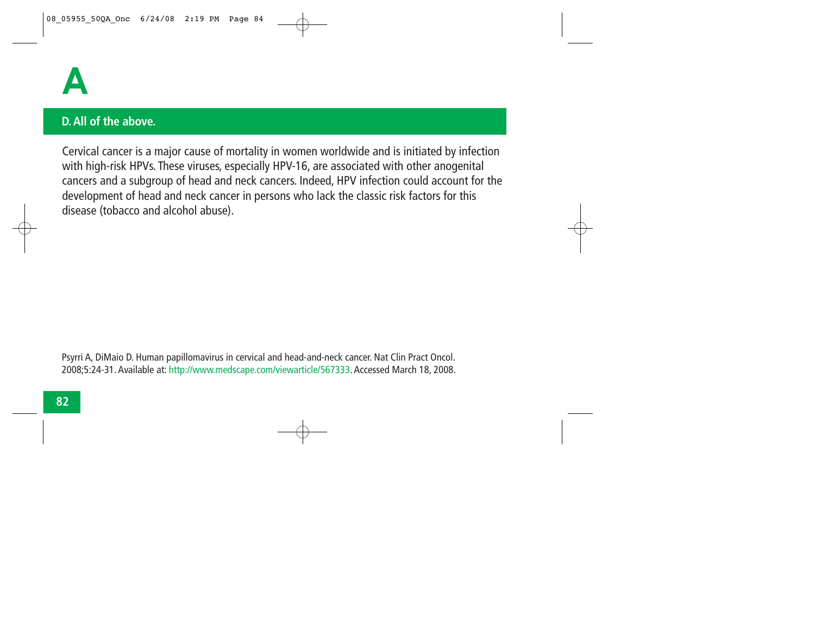

#### **D. All of the above.**

Cervical cancer is a major cause of mortality in women worldwide and is initiated by infection with high-risk HPVs. These viruses, especially HPV-16, are associated with other anogenital cancers and a subgroup of head and neck cancers. Indeed, HPV infection could account for the development of head and neck cancer in persons who lack the classic risk factors for this disease (tobacco and alcohol abuse).

Psyrri A, DiMaio D. Human papillomavirus in cervical and head-and-neck cancer. Nat Clin Pract Oncol. 2008;5:24-31. Available at: http://www.medscape.com/viewarticle/567333. Accessed March 18, 2008.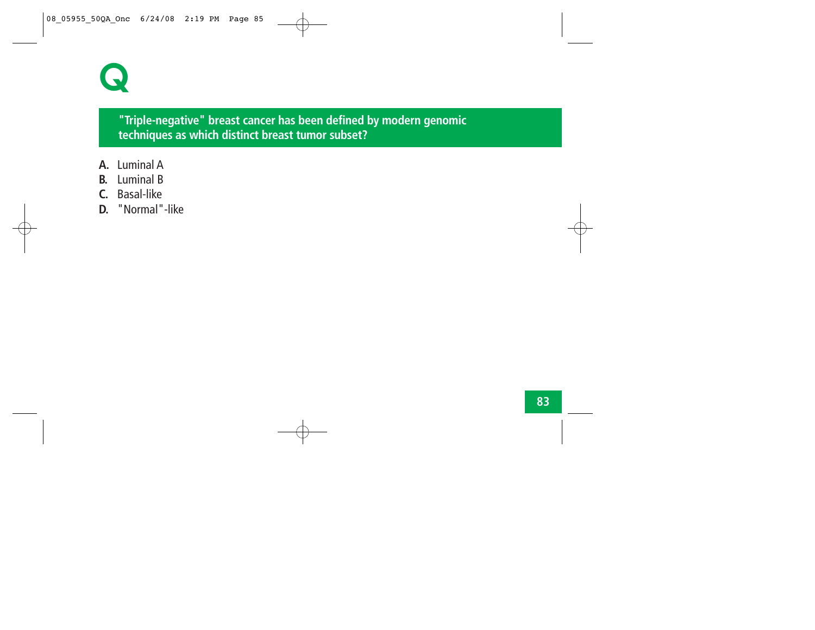

#### **"Triple-negative" breast cancer has been defined by modern genomic techniques as which distinct breast tumor subset?**

- **A.** Luminal A
- **B.** Luminal B
- **C.** Basal-like
- **D.** "Normal"-like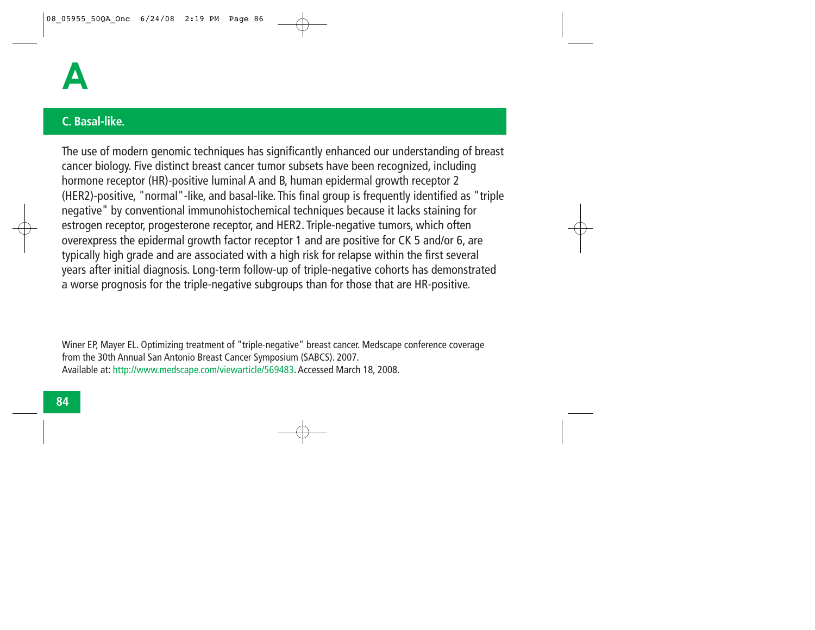

#### **C. Basal-like.**

The use of modern genomic techniques has significantly enhanced our understanding of breast cancer biology. Five distinct breast cancer tumor subsets have been recognized, including hormone receptor (HR)-positive luminal A and B, human epidermal growth receptor 2 (HER2)-positive, "normal"-like, and basal-like. This final group is frequently identified as "triple negative" by conventional immunohistochemical techniques because it lacks staining for estrogen receptor, progesterone receptor, and HER2. Triple-negative tumors, which often overexpress the epidermal growth factor receptor 1 and are positive for CK 5 and/or 6, are typically high grade and are associated with a high risk for relapse within the first several years after initial diagnosis. Long-term follow-up of triple-negative cohorts has demonstrated a worse prognosis for the triple-negative subgroups than for those that are HR-positive.

Winer EP, Mayer EL. Optimizing treatment of "triple-negative" breast cancer. Medscape conference coverage from the 30th Annual San Antonio Breast Cancer Symposium (SABCS). 2007. Available at: http://www.medscape.com/viewarticle/569483. Accessed March 18, 2008.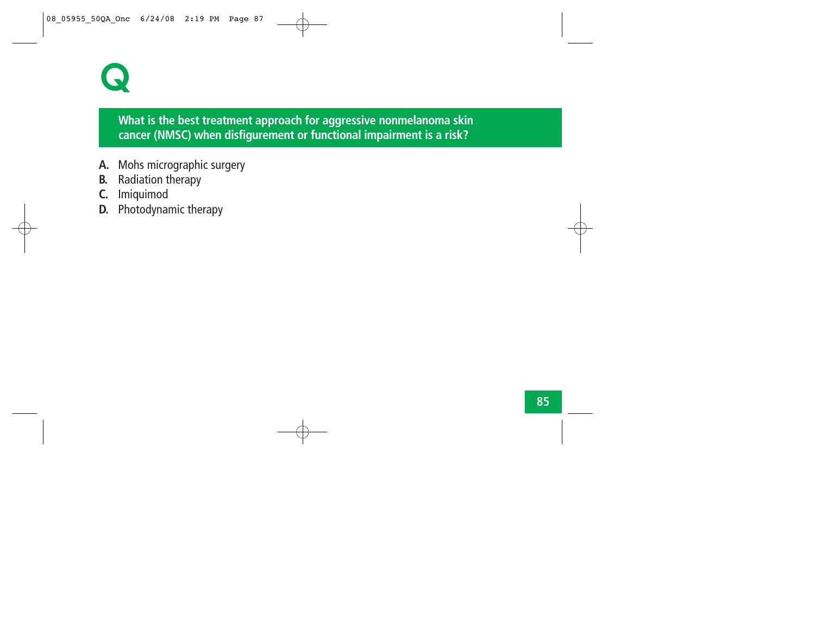# **Q**

# **What is the best treatment approach for aggressive nonmelanoma skin cancer (NMSC) when disfigurement or functional impairment is a risk?**

- **A.** Mohs micrographic surgery
- **B.** Radiation therapy
- **C.** Imiquimod
- **D.** Photodynamic therapy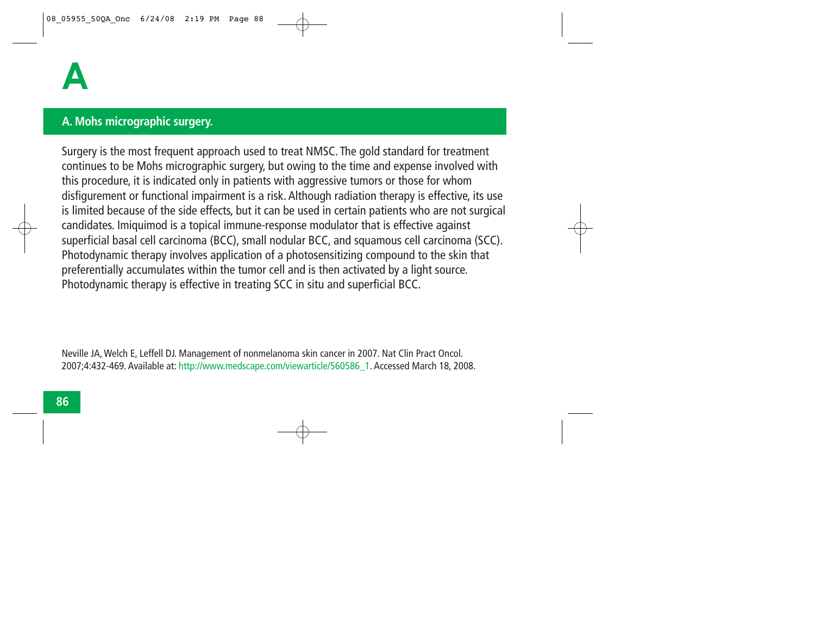### **A. Mohs micrographic surgery.**

Surgery is the most frequent approach used to treat NMSC. The gold standard for treatment continues to be Mohs micrographic surgery, but owing to the time and expense involved with this procedure, it is indicated only in patients with aggressive tumors or those for whom disfigurement or functional impairment is a risk. Although radiation therapy is effective, its use is limited because of the side effects, but it can be used in certain patients who are not surgical candidates. Imiquimod is a topical immune-response modulator that is effective against superficial basal cell carcinoma (BCC), small nodular BCC, and squamous cell carcinoma (SCC). Photodynamic therapy involves application of a photosensitizing compound to the skin that preferentially accumulates within the tumor cell and is then activated by a light source. Photodynamic therapy is effective in treating SCC in situ and superficial BCC.

Neville JA, Welch E, Leffell DJ. Management of nonmelanoma skin cancer in 2007. Nat Clin Pract Oncol. 2007;4:432-469. Available at: http://www.medscape.com/viewarticle/560586\_1. Accessed March 18, 2008.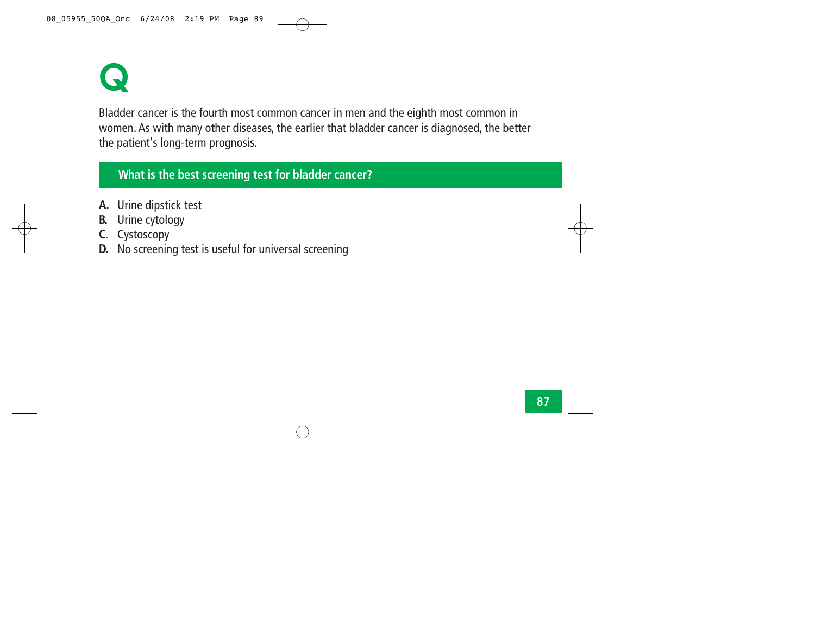

Bladder cancer is the fourth most common cancer in men and the eighth most common in women. As with many other diseases, the earlier that bladder cancer is diagnosed, the better the patient's long-term prognosis.

# **What is the best screening test for bladder cancer?**

- **A.** Urine dipstick test
- **B.** Urine cytology
- **C.** Cystoscopy
- **D.** No screening test is useful for universal screening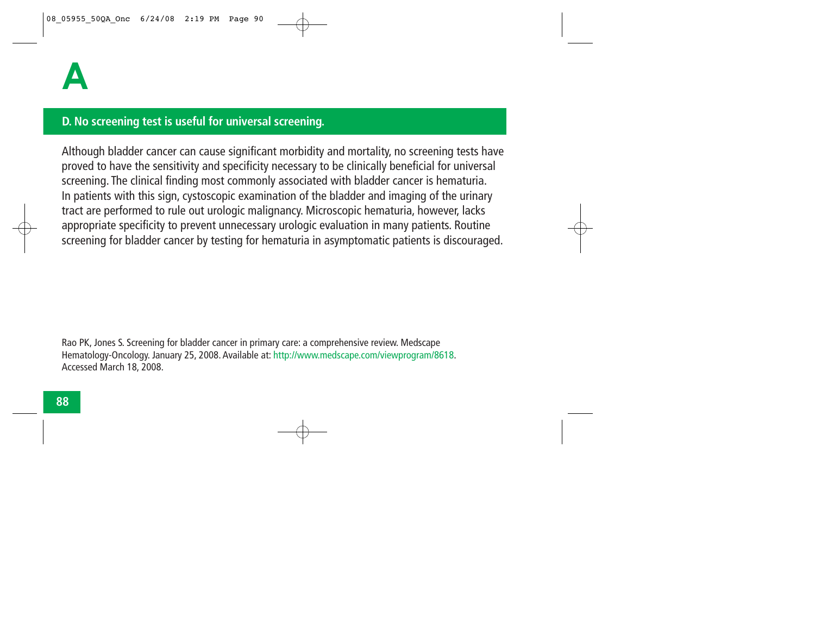#### **D. No screening test is useful for universal screening.**

Although bladder cancer can cause significant morbidity and mortality, no screening tests have proved to have the sensitivity and specificity necessary to be clinically beneficial for universal screening. The clinical finding most commonly associated with bladder cancer is hematuria. In patients with this sign, cystoscopic examination of the bladder and imaging of the urinary tract are performed to rule out urologic malignancy. Microscopic hematuria, however, lacks appropriate specificity to prevent unnecessary urologic evaluation in many patients. Routine screening for bladder cancer by testing for hematuria in asymptomatic patients is discouraged.

Rao PK, Jones S. Screening for bladder cancer in primary care: a comprehensive review. Medscape Hematology-Oncology. January 25, 2008. Available at: http://www.medscape.com/viewprogram/8618. Accessed March 18, 2008.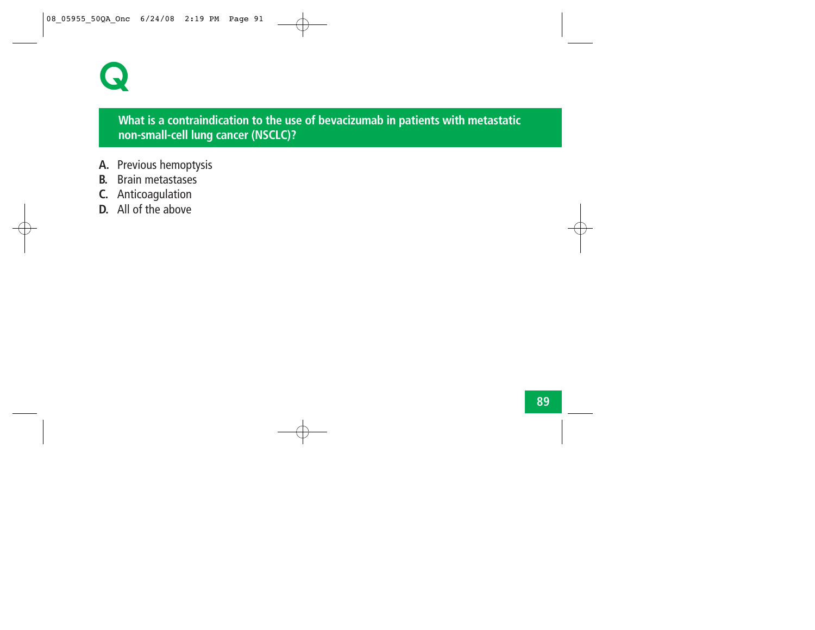# **Q**

# **What is a contraindication to the use of bevacizumab in patients with metastatic non-small-cell lung cancer (NSCLC)?**

- **A.** Previous hemoptysis
- **B.** Brain metastases
- **C.** Anticoagulation
- **D.** All of the above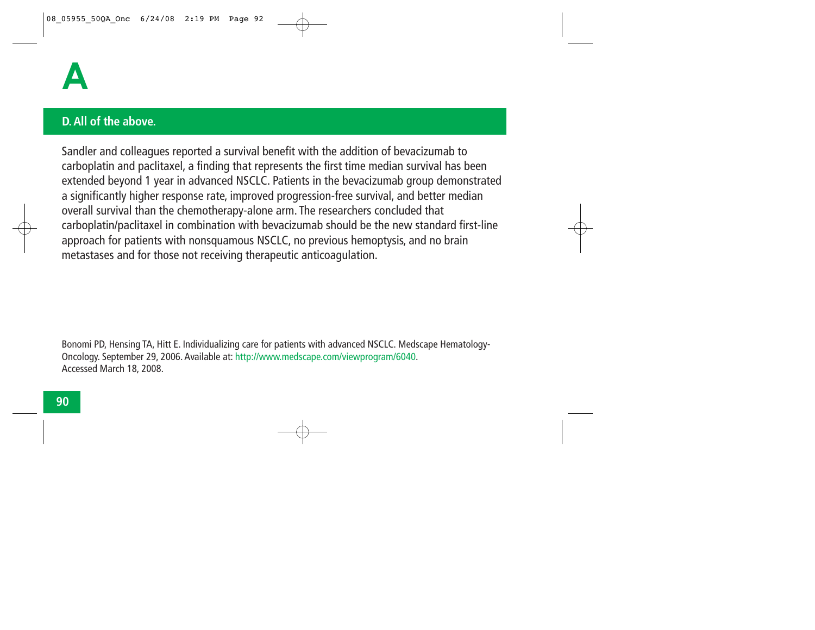

#### **D. All of the above.**

Sandler and colleagues reported a survival benefit with the addition of bevacizumab to carboplatin and paclitaxel, a finding that represents the first time median survival has been extended beyond 1 year in advanced NSCLC. Patients in the bevacizumab group demonstrated a significantly higher response rate, improved progression-free survival, and better median overall survival than the chemotherapy-alone arm. The researchers concluded that carboplatin/paclitaxel in combination with bevacizumab should be the new standard first-line approach for patients with nonsquamous NSCLC, no previous hemoptysis, and no brain metastases and for those not receiving therapeutic anticoagulation.

Bonomi PD, Hensing TA, Hitt E. Individualizing care for patients with advanced NSCLC. Medscape Hematology-Oncology. September 29, 2006. Available at: http://www.medscape.com/viewprogram/6040. Accessed March 18, 2008.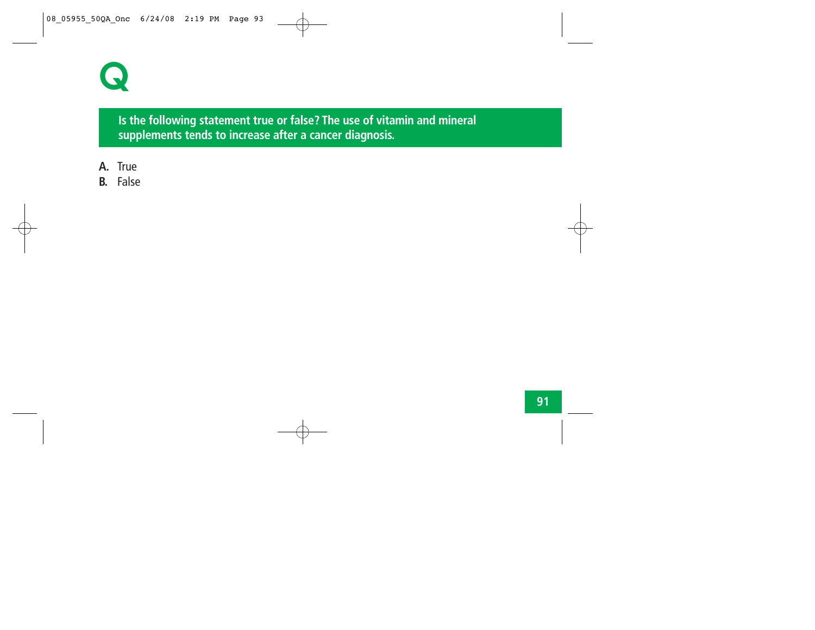

**Is the following statement true or false? The use of vitamin and mineral supplements tends to increase after a cancer diagnosis.**

- **A.** True
- **B.** False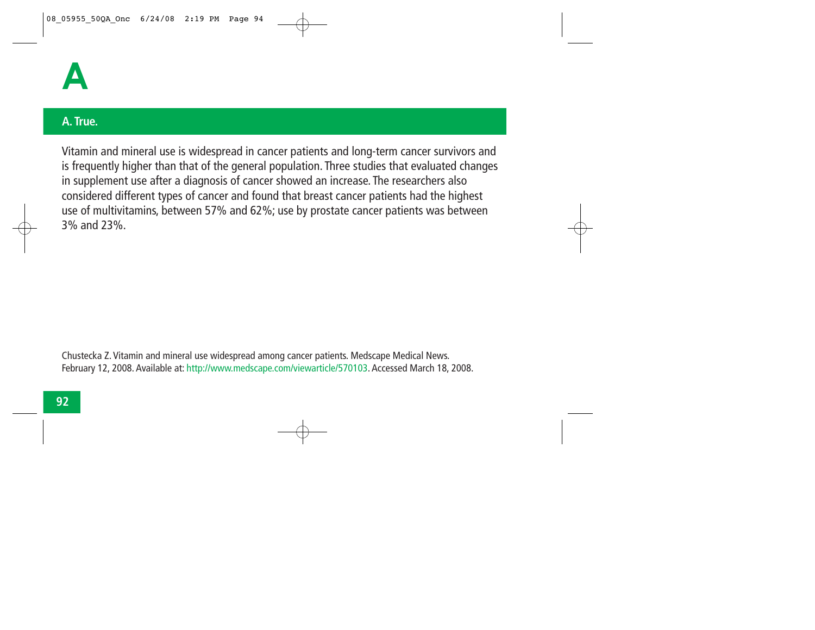

#### **A. True.**

Vitamin and mineral use is widespread in cancer patients and long-term cancer survivors and is frequently higher than that of the general population. Three studies that evaluated changes in supplement use after a diagnosis of cancer showed an increase. The researchers also considered different types of cancer and found that breast cancer patients had the highest use of multivitamins, between 57% and 62%; use by prostate cancer patients was between 3% and 23%.

Chustecka Z. Vitamin and mineral use widespread among cancer patients. Medscape Medical News. February 12, 2008. Available at: http://www.medscape.com/viewarticle/570103. Accessed March 18, 2008.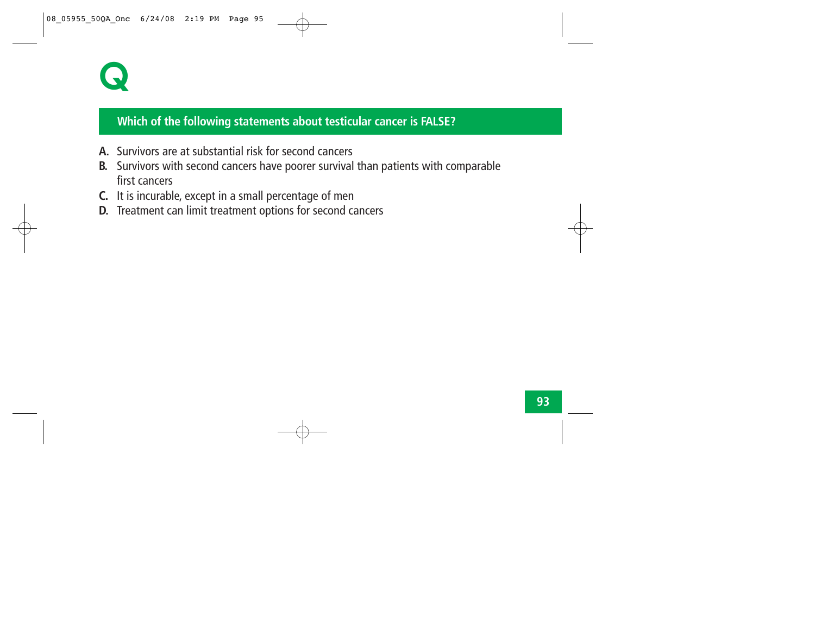

#### **Which of the following statements about testicular cancer is FALSE?**

- **A.** Survivors are at substantial risk for second cancers
- **B.** Survivors with second cancers have poorer survival than patients with comparable first cancers
- **C.** It is incurable, except in a small percentage of men
- **D.** Treatment can limit treatment options for second cancers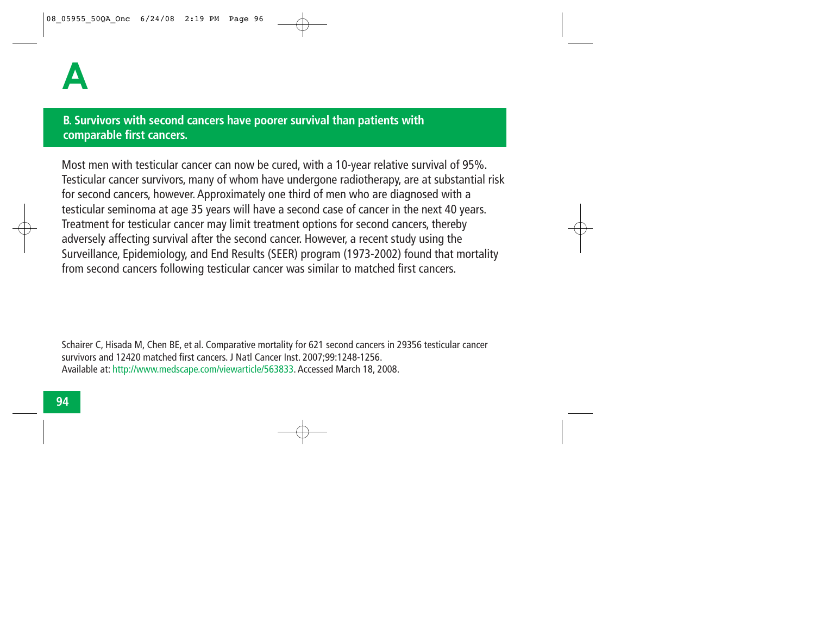### **B. Survivors with second cancers have poorer survival than patients with comparable first cancers.**

Most men with testicular cancer can now be cured, with a 10-year relative survival of 95%. Testicular cancer survivors, many of whom have undergone radiotherapy, are at substantial risk for second cancers, however. Approximately one third of men who are diagnosed with a testicular seminoma at age 35 years will have a second case of cancer in the next 40 years. Treatment for testicular cancer may limit treatment options for second cancers, thereby adversely affecting survival after the second cancer. However, a recent study using the Surveillance, Epidemiology, and End Results (SEER) program (1973-2002) found that mortality from second cancers following testicular cancer was similar to matched first cancers.

Schairer C, Hisada M, Chen BE, et al. Comparative mortality for 621 second cancers in 29356 testicular cancer survivors and 12420 matched first cancers. J Natl Cancer Inst. 2007;99:1248-1256. Available at: http://www.medscape.com/viewarticle/563833. Accessed March 18, 2008.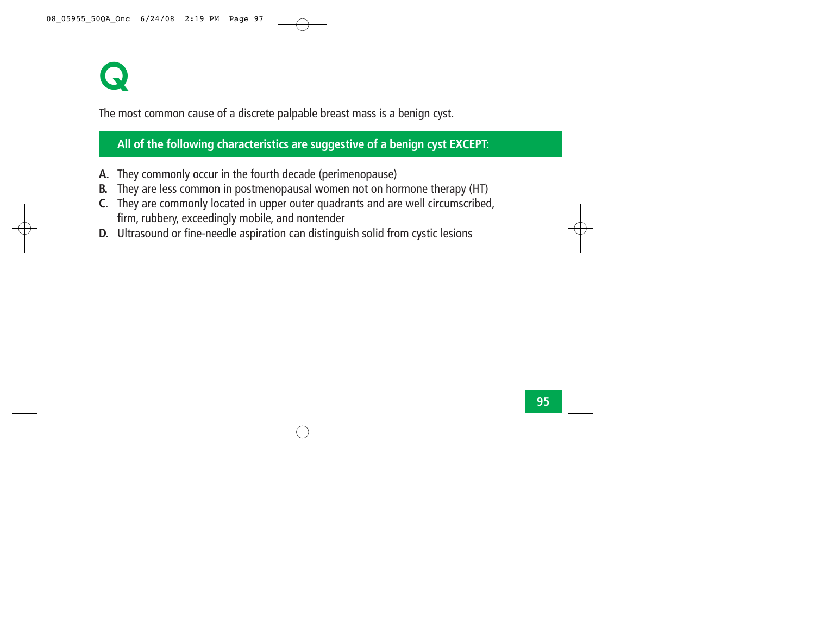

The most common cause of a discrete palpable breast mass is a benign cyst.

**All of the following characteristics are suggestive of a benign cyst EXCEPT:**

- **A.** They commonly occur in the fourth decade (perimenopause)
- **B.** They are less common in postmenopausal women not on hormone therapy (HT)
- **C.** They are commonly located in upper outer quadrants and are well circumscribed, firm, rubbery, exceedingly mobile, and nontender
- **D.** Ultrasound or fine-needle aspiration can distinguish solid from cystic lesions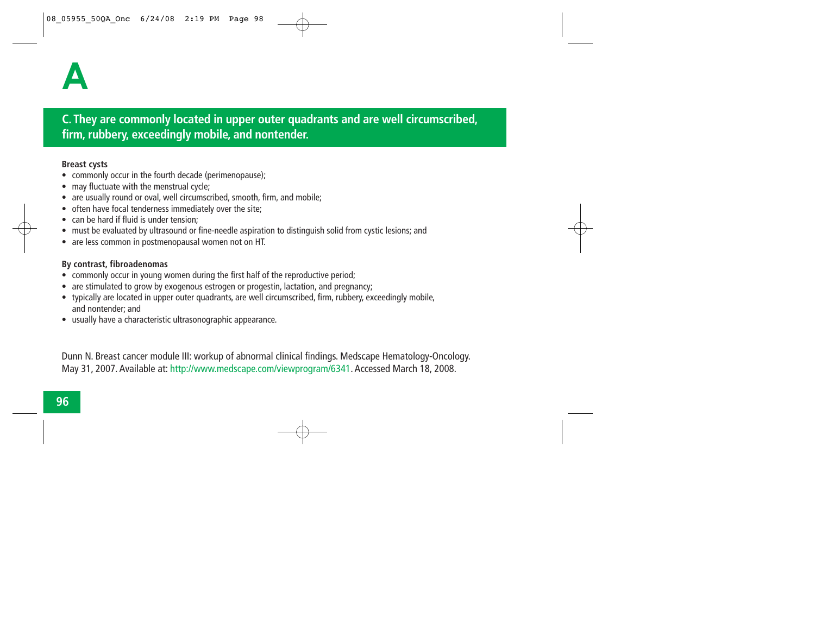### **C. They are commonly located in upper outer quadrants and are well circumscribed, firm, rubbery, exceedingly mobile, and nontender.**

#### **Breast cysts**

- commonly occur in the fourth decade (perimenopause);
- may fluctuate with the menstrual cycle;
- •are usually round or oval, well circumscribed, smooth, firm, and mobile;
- often have focal tenderness immediately over the site;
- can be hard if fluid is under tension;
- must be evaluated by ultrasound or fine-needle aspiration to distinguish solid from cystic lesions; and
- are less common in postmenopausal women not on HT.

#### **By contrast, fibroadenomas**

- commonly occur in young women during the first half of the reproductive period;
- are stimulated to grow by exogenous estrogen or progestin, lactation, and pregnancy;
- typically are located in upper outer quadrants, are well circumscribed, firm, rubbery, exceedingly mobile, and nontender; and
- usually have a characteristic ultrasonographic appearance.

Dunn N. Breast cancer module III: workup of abnormal clinical findings. Medscape Hematology-Oncology. May 31, 2007. Available at: http://www.medscape.com/viewprogram/6341. Accessed March 18, 2008.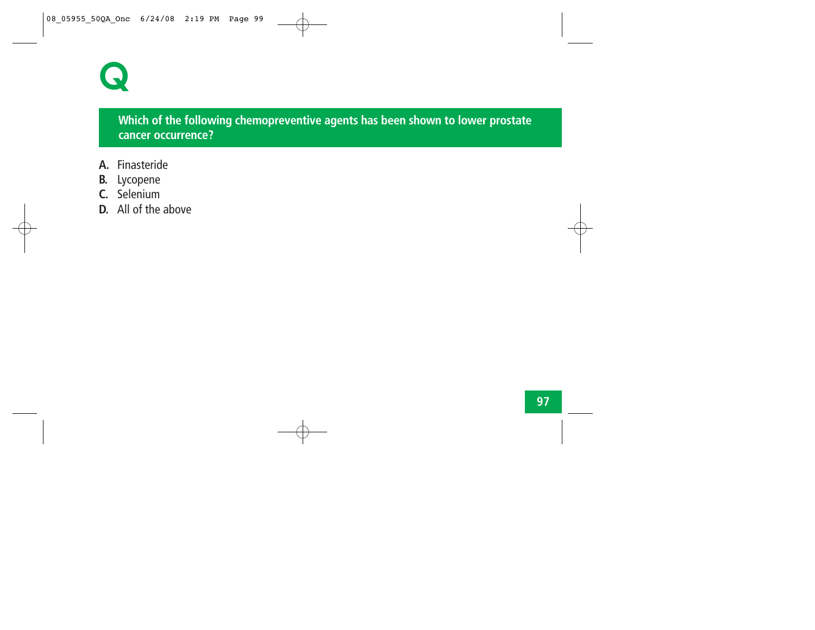

# **Which of the following chemopreventive agents has been shown to lower prostate cancer occurrence?**

- **A.** Finasteride
- **B.** Lycopene
- **C.** Selenium
- **D.** All of the above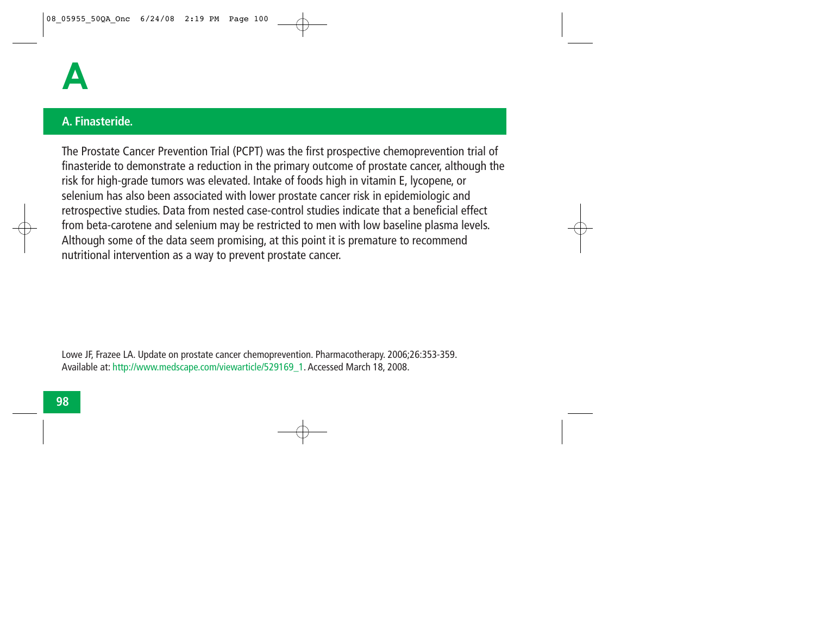

#### **A. Finasteride.**

The Prostate Cancer Prevention Trial (PCPT) was the first prospective chemoprevention trial of finasteride to demonstrate a reduction in the primary outcome of prostate cancer, although the risk for high-grade tumors was elevated. Intake of foods high in vitamin E, lycopene, or selenium has also been associated with lower prostate cancer risk in epidemiologic and retrospective studies. Data from nested case-control studies indicate that a beneficial effect from beta-carotene and selenium may be restricted to men with low baseline plasma levels. Although some of the data seem promising, at this point it is premature to recommend nutritional intervention as a way to prevent prostate cancer.

Lowe JF, Frazee LA. Update on prostate cancer chemoprevention. Pharmacotherapy. 2006;26:353-359. Available at: http://www.medscape.com/viewarticle/529169\_1. Accessed March 18, 2008.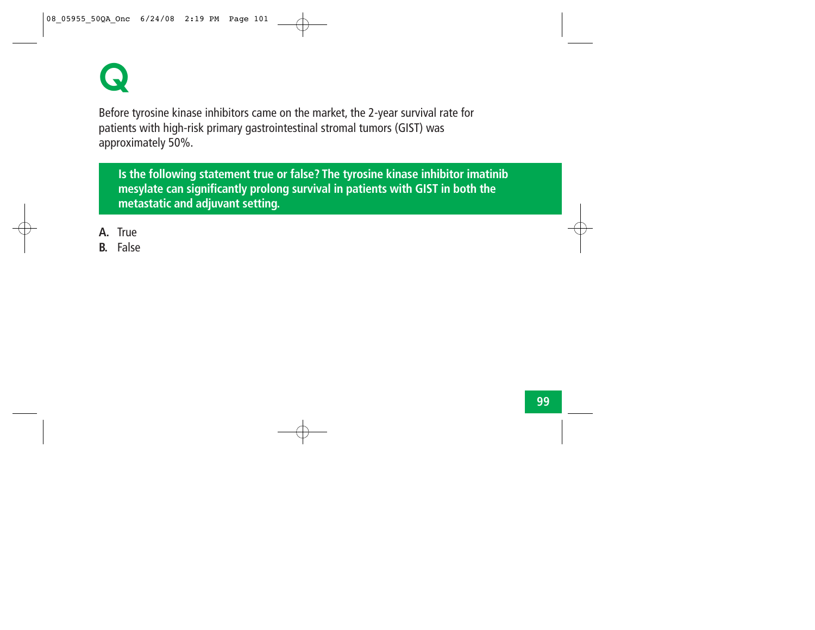

Before tyrosine kinase inhibitors came on the market, the 2-year survival rate for patients with high-risk primary gastrointestinal stromal tumors (GIST) was approximately 50%.

**Is the following statement true or false? The tyrosine kinase inhibitor imatinib mesylate can significantly prolong survival in patients with GIST in both the metastatic and adjuvant setting.**

- **A.** True
- **B.** False